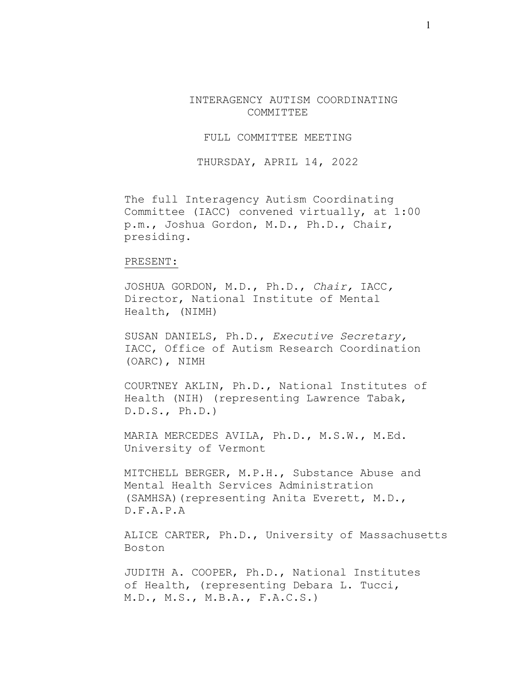INTERAGENCY AUTISM COORDINATING COMMITTEE

FULL COMMITTEE MEETING

THURSDAY, APRIL 14, 2022

The full Interagency Autism Coordinating Committee (IACC) convened virtually, at 1:00 p.m., Joshua Gordon, M.D., Ph.D., Chair, presiding.

## PRESENT:

JOSHUA GORDON, M.D., Ph.D., *Chair,* IACC*,* Director, National Institute of Mental Health, (NIMH)

SUSAN DANIELS, Ph.D., *Executive Secretary,* IACC, Office of Autism Research Coordination (OARC), NIMH

COURTNEY AKLIN, Ph.D., National Institutes of Health (NIH) (representing Lawrence Tabak, D.D.S., Ph.D.)

MARIA MERCEDES AVILA, Ph.D., M.S.W., M.Ed. University of Vermont

MITCHELL BERGER, M.P.H., Substance Abuse and Mental Health Services Administration (SAMHSA)(representing Anita Everett, M.D., D.F.A.P.A

ALICE CARTER, Ph.D., University of Massachusetts Boston

JUDITH A. COOPER, Ph.D., National Institutes of Health, (representing Debara L. Tucci, M.D., M.S., M.B.A., F.A.C.S.)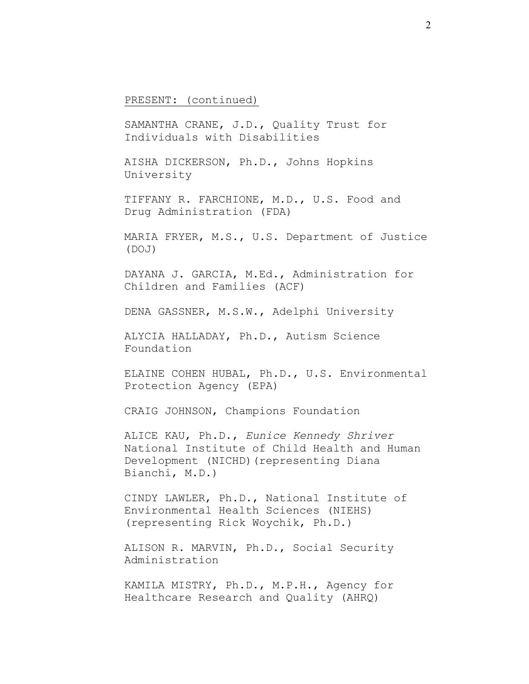PRESENT: (continued)

SAMANTHA CRANE, J.D., Quality Trust for Individuals with Disabilities

AISHA DICKERSON, Ph.D., Johns Hopkins University

TIFFANY R. FARCHIONE, M.D., U.S. Food and Drug Administration (FDA)

MARIA FRYER, M.S., U.S. Department of Justice (DOJ)

DAYANA J. GARCIA, M.Ed., Administration for Children and Families (ACF)

DENA GASSNER, M.S.W., Adelphi University

ALYCIA HALLADAY, Ph.D., Autism Science Foundation

ELAINE COHEN HUBAL, Ph.D., U.S. Environmental Protection Agency (EPA)

CRAIG JOHNSON, Champions Foundation

ALICE KAU, Ph.D., *Eunice Kennedy Shriver* National Institute of Child Health and Human Development (NICHD)(representing Diana Bianchi, M.D.)

CINDY LAWLER, Ph.D., National Institute of Environmental Health Sciences (NIEHS) (representing Rick Woychik, Ph.D.)

ALISON R. MARVIN, Ph.D., Social Security Administration

KAMILA MISTRY, Ph.D., M.P.H., Agency for Healthcare Research and Quality (AHRQ)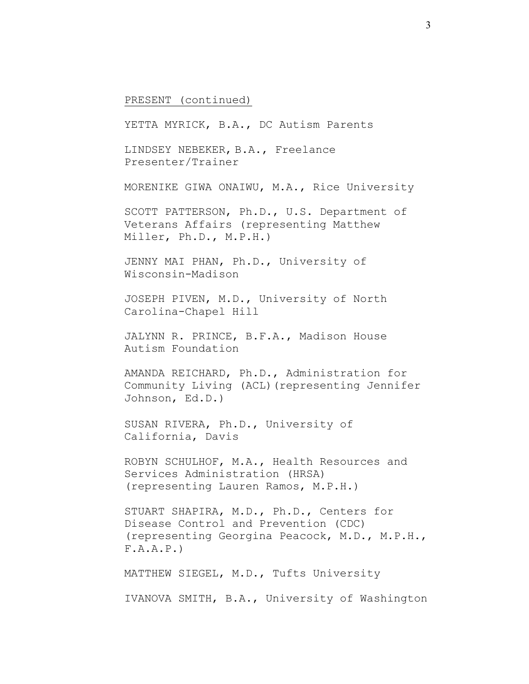## PRESENT (continued)

YETTA MYRICK, B.A., DC Autism Parents LINDSEY NEBEKER, B.A., Freelance Presenter/Trainer MORENIKE GIWA ONAIWU, M.A., Rice University SCOTT PATTERSON, Ph.D., U.S. Department of Veterans Affairs (representing Matthew Miller, Ph.D., M.P.H.) JENNY MAI PHAN, Ph.D., University of Wisconsin-Madison JOSEPH PIVEN, M.D., University of North Carolina-Chapel Hill JALYNN R. PRINCE, B.F.A., Madison House Autism Foundation AMANDA REICHARD, Ph.D., Administration for Community Living (ACL)(representing Jennifer Johnson, Ed.D.) SUSAN RIVERA, Ph.D., University of California, Davis ROBYN SCHULHOF, M.A., Health Resources and Services Administration (HRSA) (representing Lauren Ramos, M.P.H.) STUART SHAPIRA, M.D., Ph.D., Centers for Disease Control and Prevention (CDC) (representing Georgina Peacock, M.D., M.P.H., F.A.A.P.) MATTHEW SIEGEL, M.D., Tufts University IVANOVA SMITH, B.A., University of Washington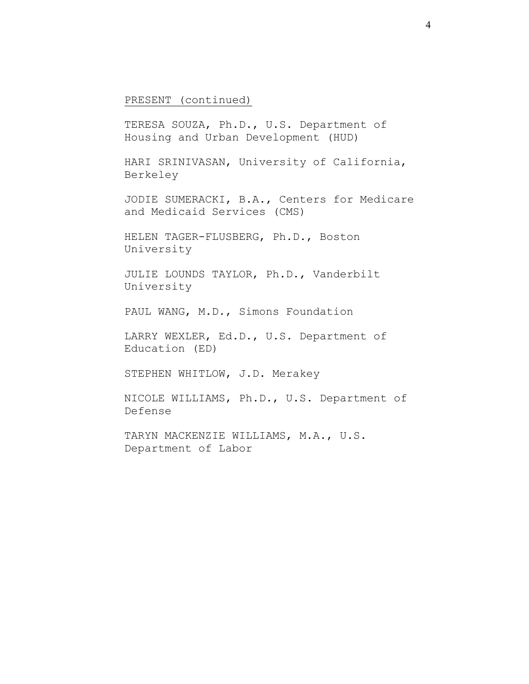PRESENT (continued)

TERESA SOUZA, Ph.D., U.S. Department of Housing and Urban Development (HUD)

HARI SRINIVASAN, University of California, Berkeley

JODIE SUMERACKI, B.A., Centers for Medicare and Medicaid Services (CMS)

HELEN TAGER-FLUSBERG, Ph.D., Boston University

JULIE LOUNDS TAYLOR, Ph.D., Vanderbilt University

PAUL WANG, M.D., Simons Foundation

LARRY WEXLER, Ed.D., U.S. Department of Education (ED)

STEPHEN WHITLOW, J.D. Merakey

NICOLE WILLIAMS, Ph.D., U.S. Department of Defense

TARYN MACKENZIE WILLIAMS, M.A., U.S. Department of Labor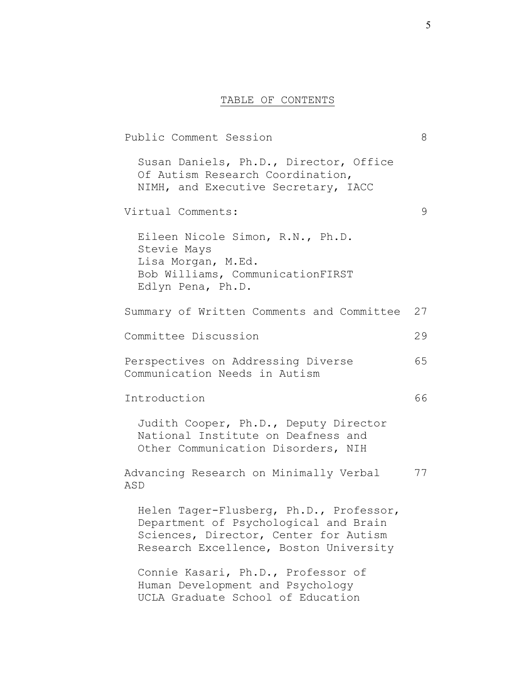## TABLE OF CONTENTS

Public Comment Session 8 Susan Daniels, Ph.D., Director, Office Of Autism Research Coordination, NIMH, and Executive Secretary, IACC Virtual Comments: 9 Eileen Nicole Simon, R.N., Ph.D. Stevie Mays Lisa Morgan, M.Ed. Bob Williams, CommunicationFIRST Edlyn Pena, Ph.D. Summary of Written Comments and Committee 27 Committee Discussion 29 Perspectives on Addressing Diverse 65 Communication Needs in Autism Introduction 66 Judith Cooper, Ph.D., Deputy Director National Institute on Deafness and Other Communication Disorders, NIH Advancing Research on Minimally Verbal 77 ASD Helen Tager-Flusberg, Ph.D., Professor, Department of Psychological and Brain Sciences, Director, Center for Autism Research Excellence, Boston University Connie Kasari, Ph.D., Professor of Human Development and Psychology UCLA Graduate School of Education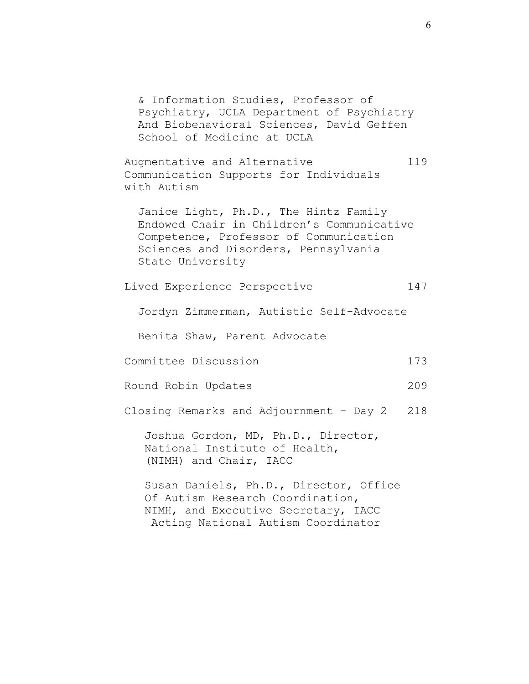& Information Studies, Professor of Psychiatry, UCLA Department of Psychiatry And Biobehavioral Sciences, David Geffen School of Medicine at UCLA Augmentative and Alternative 119 Communication Supports for Individuals with Autism Janice Light, Ph.D., The Hintz Family Endowed Chair in Children's Communicative Competence, Professor of Communication Sciences and Disorders, Pennsylvania State University Lived Experience Perspective 147 Jordyn Zimmerman, Autistic Self-Advocate Benita Shaw, Parent Advocate Committee Discussion 173 Round Robin Updates 209 Closing Remarks and Adjournment – Day 2 218 Joshua Gordon, MD, Ph.D., Director, National Institute of Health, (NIMH) and Chair, IACC Susan Daniels, Ph.D., Director, Office Of Autism Research Coordination, NIMH, and Executive Secretary, IACC Acting National Autism Coordinator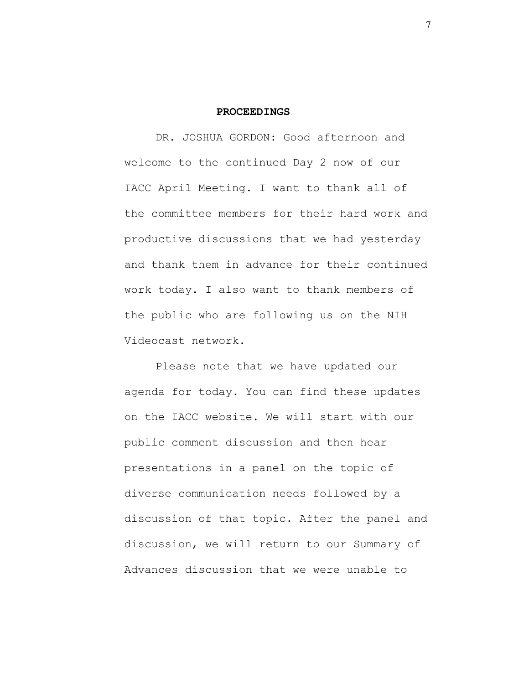## **PROCEEDINGS**

DR. JOSHUA GORDON: Good afternoon and welcome to the continued Day 2 now of our IACC April Meeting. I want to thank all of the committee members for their hard work and productive discussions that we had yesterday and thank them in advance for their continued work today. I also want to thank members of the public who are following us on the NIH Videocast network.

Please note that we have updated our agenda for today. You can find these updates on the IACC website. We will start with our public comment discussion and then hear presentations in a panel on the topic of diverse communication needs followed by a discussion of that topic. After the panel and discussion, we will return to our Summary of Advances discussion that we were unable to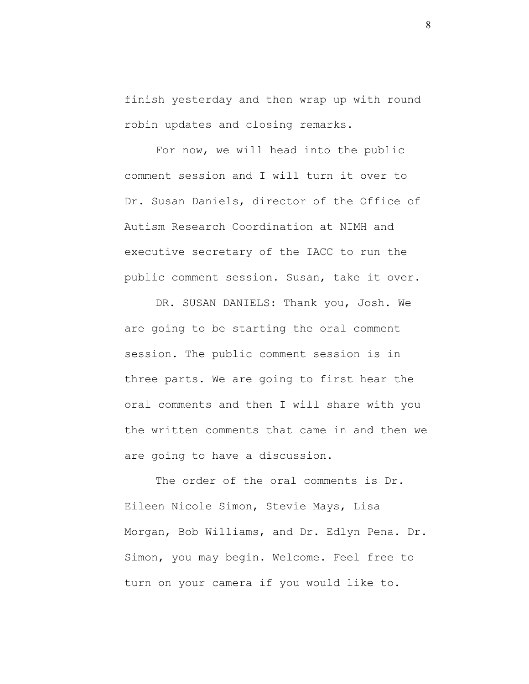finish yesterday and then wrap up with round robin updates and closing remarks.

For now, we will head into the public comment session and I will turn it over to Dr. Susan Daniels, director of the Office of Autism Research Coordination at NIMH and executive secretary of the IACC to run the public comment session. Susan, take it over.

DR. SUSAN DANIELS: Thank you, Josh. We are going to be starting the oral comment session. The public comment session is in three parts. We are going to first hear the oral comments and then I will share with you the written comments that came in and then we are going to have a discussion.

The order of the oral comments is Dr. Eileen Nicole Simon, Stevie Mays, Lisa Morgan, Bob Williams, and Dr. Edlyn Pena. Dr. Simon, you may begin. Welcome. Feel free to turn on your camera if you would like to.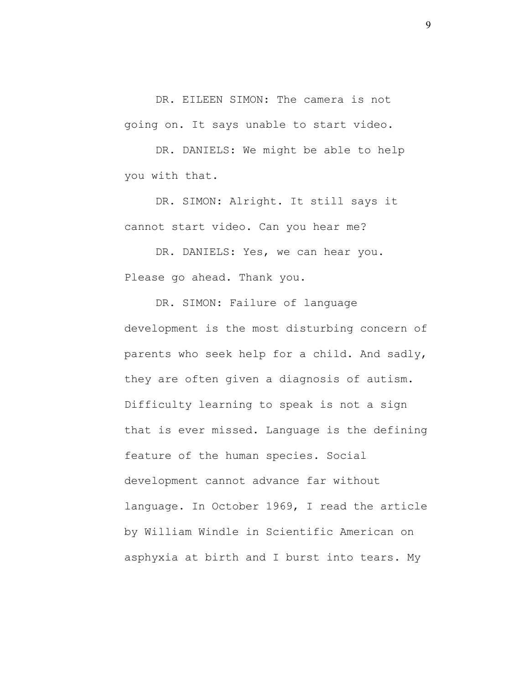DR. EILEEN SIMON: The camera is not going on. It says unable to start video.

DR. DANIELS: We might be able to help you with that.

DR. SIMON: Alright. It still says it cannot start video. Can you hear me?

DR. DANIELS: Yes, we can hear you. Please go ahead. Thank you.

DR. SIMON: Failure of language development is the most disturbing concern of parents who seek help for a child. And sadly, they are often given a diagnosis of autism. Difficulty learning to speak is not a sign that is ever missed. Language is the defining feature of the human species. Social development cannot advance far without language. In October 1969, I read the article by William Windle in Scientific American on asphyxia at birth and I burst into tears. My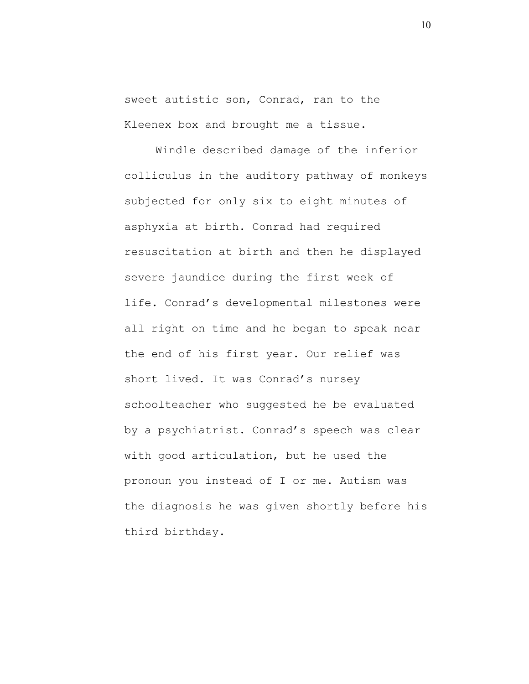sweet autistic son, Conrad, ran to the Kleenex box and brought me a tissue.

Windle described damage of the inferior colliculus in the auditory pathway of monkeys subjected for only six to eight minutes of asphyxia at birth. Conrad had required resuscitation at birth and then he displayed severe jaundice during the first week of life. Conrad's developmental milestones were all right on time and he began to speak near the end of his first year. Our relief was short lived. It was Conrad's nursey schoolteacher who suggested he be evaluated by a psychiatrist. Conrad's speech was clear with good articulation, but he used the pronoun you instead of I or me. Autism was the diagnosis he was given shortly before his third birthday.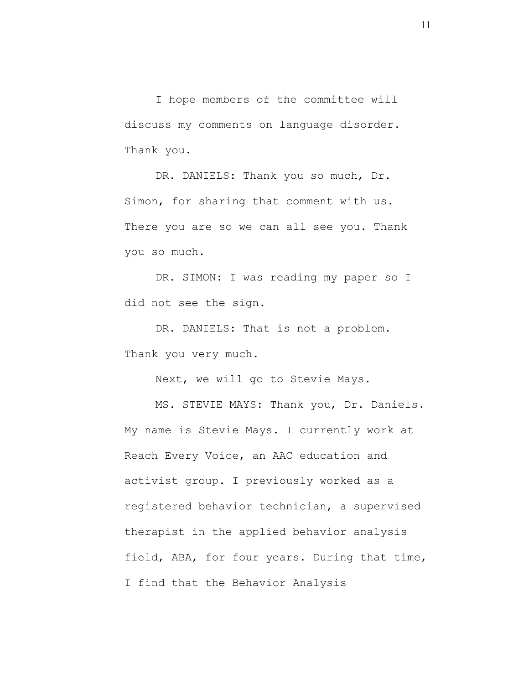I hope members of the committee will discuss my comments on language disorder. Thank you.

DR. DANIELS: Thank you so much, Dr. Simon, for sharing that comment with us. There you are so we can all see you. Thank you so much.

DR. SIMON: I was reading my paper so I did not see the sign.

DR. DANIELS: That is not a problem. Thank you very much.

Next, we will go to Stevie Mays.

MS. STEVIE MAYS: Thank you, Dr. Daniels. My name is Stevie Mays. I currently work at Reach Every Voice, an AAC education and activist group. I previously worked as a registered behavior technician, a supervised therapist in the applied behavior analysis field, ABA, for four years. During that time, I find that the Behavior Analysis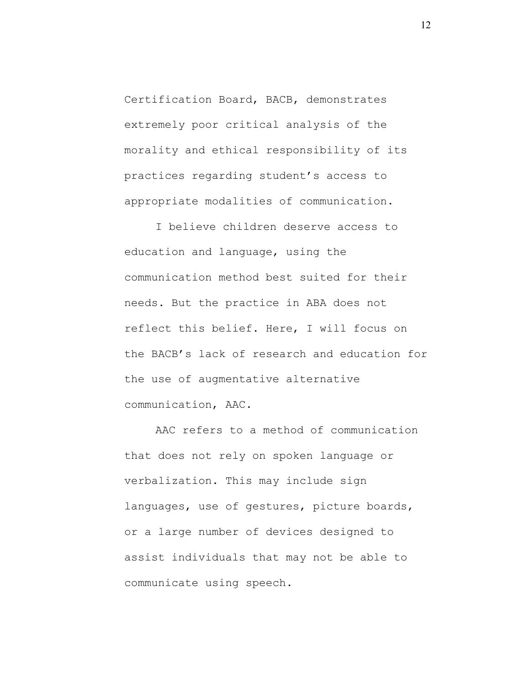Certification Board, BACB, demonstrates extremely poor critical analysis of the morality and ethical responsibility of its practices regarding student's access to appropriate modalities of communication.

I believe children deserve access to education and language, using the communication method best suited for their needs. But the practice in ABA does not reflect this belief. Here, I will focus on the BACB's lack of research and education for the use of augmentative alternative communication, AAC.

AAC refers to a method of communication that does not rely on spoken language or verbalization. This may include sign languages, use of gestures, picture boards, or a large number of devices designed to assist individuals that may not be able to communicate using speech.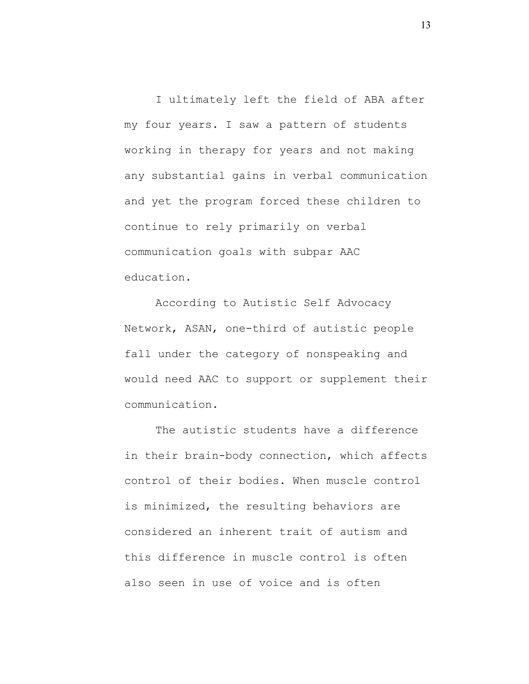I ultimately left the field of ABA after my four years. I saw a pattern of students working in therapy for years and not making any substantial gains in verbal communication and yet the program forced these children to continue to rely primarily on verbal communication goals with subpar AAC education.

According to Autistic Self Advocacy Network, ASAN, one-third of autistic people fall under the category of nonspeaking and would need AAC to support or supplement their communication.

The autistic students have a difference in their brain-body connection, which affects control of their bodies. When muscle control is minimized, the resulting behaviors are considered an inherent trait of autism and this difference in muscle control is often also seen in use of voice and is often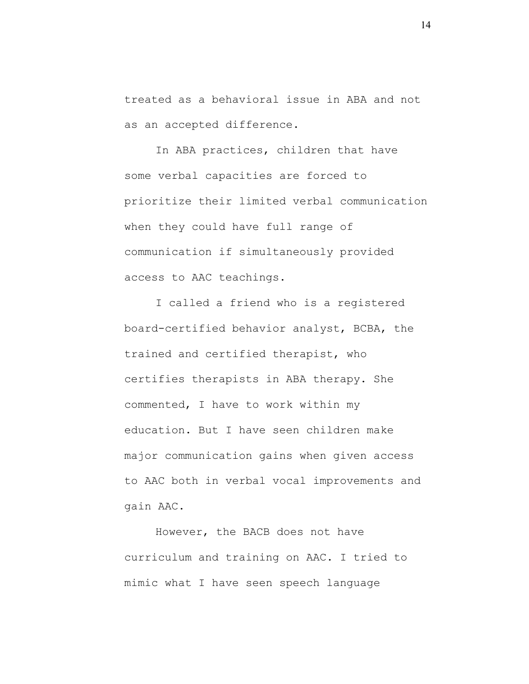treated as a behavioral issue in ABA and not as an accepted difference.

In ABA practices, children that have some verbal capacities are forced to prioritize their limited verbal communication when they could have full range of communication if simultaneously provided access to AAC teachings.

I called a friend who is a registered board-certified behavior analyst, BCBA, the trained and certified therapist, who certifies therapists in ABA therapy. She commented, I have to work within my education. But I have seen children make major communication gains when given access to AAC both in verbal vocal improvements and gain AAC.

However, the BACB does not have curriculum and training on AAC. I tried to mimic what I have seen speech language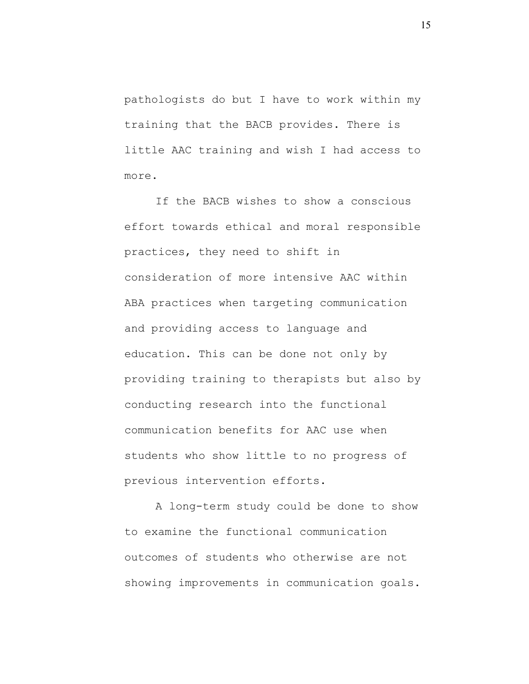pathologists do but I have to work within my training that the BACB provides. There is little AAC training and wish I had access to more.

If the BACB wishes to show a conscious effort towards ethical and moral responsible practices, they need to shift in consideration of more intensive AAC within ABA practices when targeting communication and providing access to language and education. This can be done not only by providing training to therapists but also by conducting research into the functional communication benefits for AAC use when students who show little to no progress of previous intervention efforts.

A long-term study could be done to show to examine the functional communication outcomes of students who otherwise are not showing improvements in communication goals.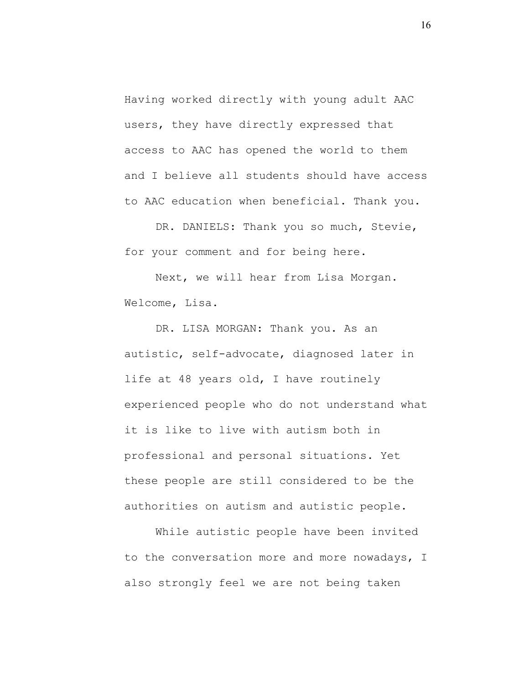Having worked directly with young adult AAC users, they have directly expressed that access to AAC has opened the world to them and I believe all students should have access to AAC education when beneficial. Thank you.

DR. DANIELS: Thank you so much, Stevie, for your comment and for being here.

Next, we will hear from Lisa Morgan. Welcome, Lisa.

DR. LISA MORGAN: Thank you. As an autistic, self-advocate, diagnosed later in life at 48 years old, I have routinely experienced people who do not understand what it is like to live with autism both in professional and personal situations. Yet these people are still considered to be the authorities on autism and autistic people.

While autistic people have been invited to the conversation more and more nowadays, I also strongly feel we are not being taken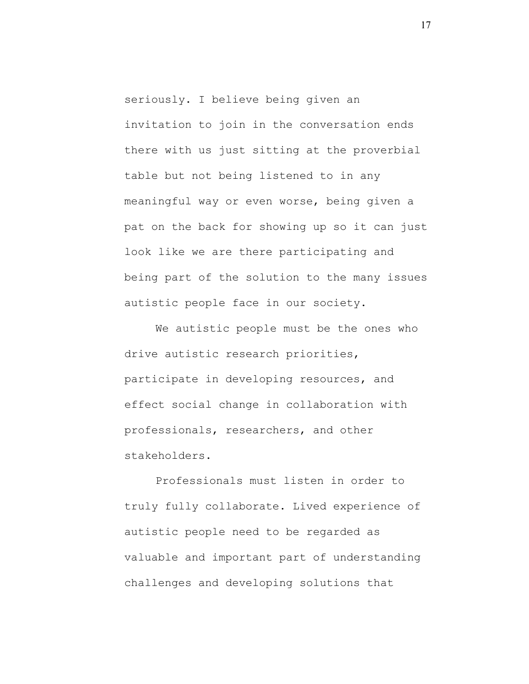seriously. I believe being given an invitation to join in the conversation ends there with us just sitting at the proverbial table but not being listened to in any meaningful way or even worse, being given a pat on the back for showing up so it can just look like we are there participating and being part of the solution to the many issues autistic people face in our society.

We autistic people must be the ones who drive autistic research priorities, participate in developing resources, and effect social change in collaboration with professionals, researchers, and other stakeholders.

Professionals must listen in order to truly fully collaborate. Lived experience of autistic people need to be regarded as valuable and important part of understanding challenges and developing solutions that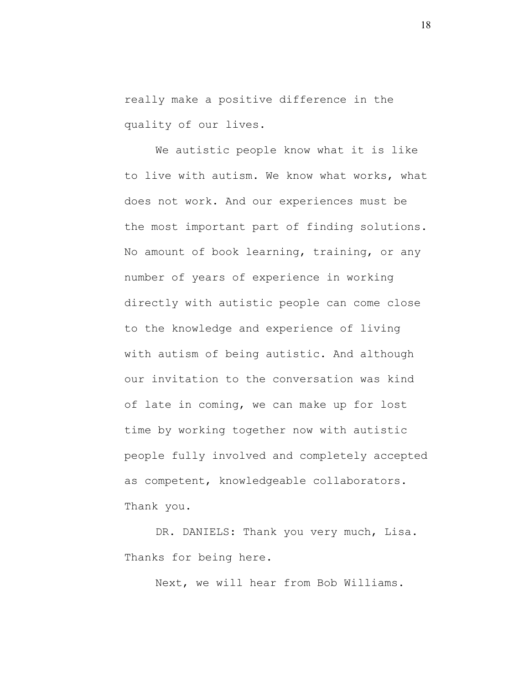really make a positive difference in the quality of our lives.

We autistic people know what it is like to live with autism. We know what works, what does not work. And our experiences must be the most important part of finding solutions. No amount of book learning, training, or any number of years of experience in working directly with autistic people can come close to the knowledge and experience of living with autism of being autistic. And although our invitation to the conversation was kind of late in coming, we can make up for lost time by working together now with autistic people fully involved and completely accepted as competent, knowledgeable collaborators. Thank you.

DR. DANIELS: Thank you very much, Lisa. Thanks for being here.

Next, we will hear from Bob Williams.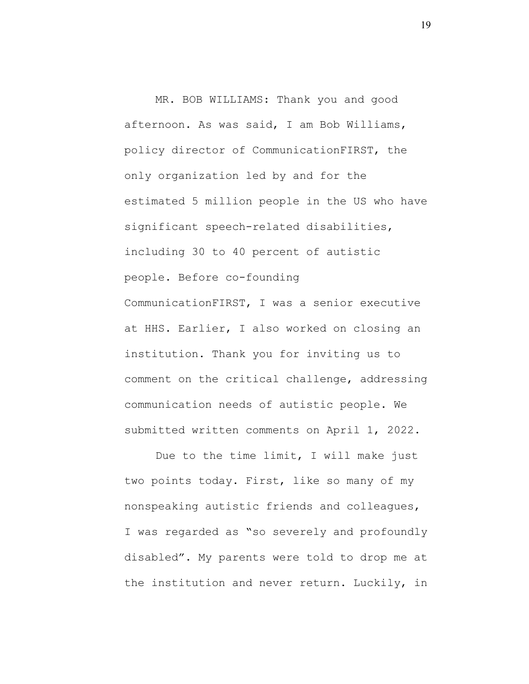MR. BOB WILLIAMS: Thank you and good afternoon. As was said, I am Bob Williams, policy director of CommunicationFIRST, the only organization led by and for the estimated 5 million people in the US who have significant speech-related disabilities, including 30 to 40 percent of autistic people. Before co-founding CommunicationFIRST, I was a senior executive at HHS. Earlier, I also worked on closing an institution. Thank you for inviting us to comment on the critical challenge, addressing communication needs of autistic people. We submitted written comments on April 1, 2022.

Due to the time limit, I will make just two points today. First, like so many of my nonspeaking autistic friends and colleagues, I was regarded as "so severely and profoundly disabled". My parents were told to drop me at the institution and never return. Luckily, in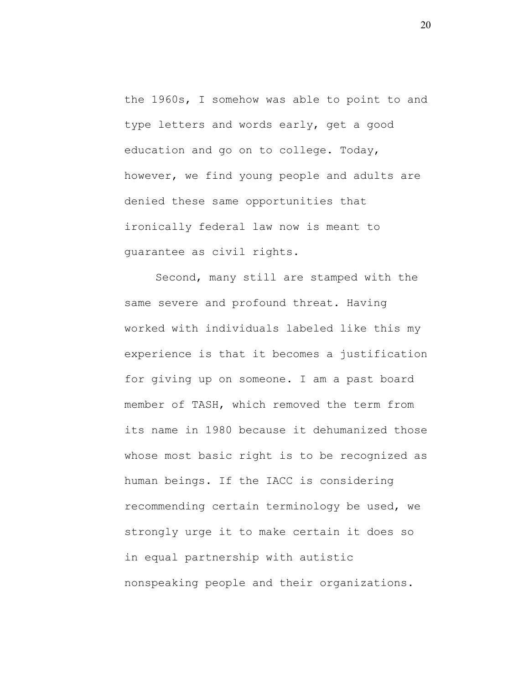the 1960s, I somehow was able to point to and type letters and words early, get a good education and go on to college. Today, however, we find young people and adults are denied these same opportunities that ironically federal law now is meant to guarantee as civil rights.

Second, many still are stamped with the same severe and profound threat. Having worked with individuals labeled like this my experience is that it becomes a justification for giving up on someone. I am a past board member of TASH, which removed the term from its name in 1980 because it dehumanized those whose most basic right is to be recognized as human beings. If the IACC is considering recommending certain terminology be used, we strongly urge it to make certain it does so in equal partnership with autistic nonspeaking people and their organizations.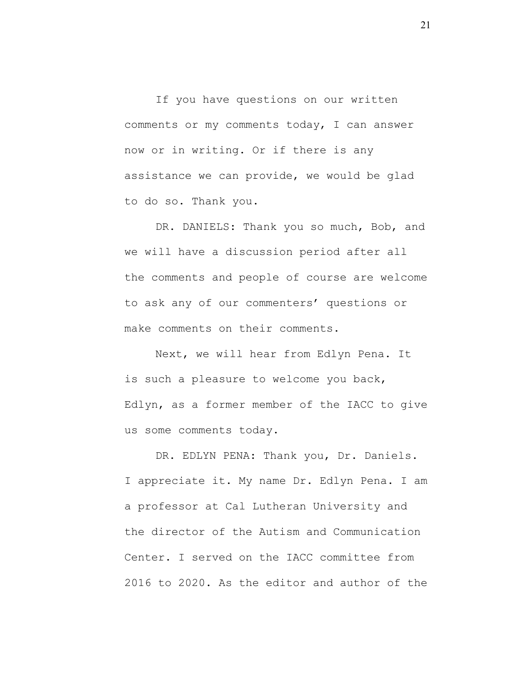If you have questions on our written comments or my comments today, I can answer now or in writing. Or if there is any assistance we can provide, we would be glad to do so. Thank you.

DR. DANIELS: Thank you so much, Bob, and we will have a discussion period after all the comments and people of course are welcome to ask any of our commenters' questions or make comments on their comments.

Next, we will hear from Edlyn Pena. It is such a pleasure to welcome you back, Edlyn, as a former member of the IACC to give us some comments today.

DR. EDLYN PENA: Thank you, Dr. Daniels. I appreciate it. My name Dr. Edlyn Pena. I am a professor at Cal Lutheran University and the director of the Autism and Communication Center. I served on the IACC committee from 2016 to 2020. As the editor and author of the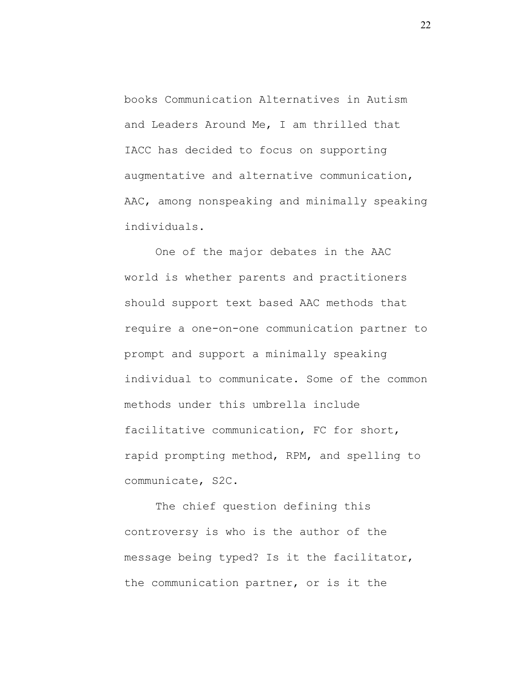books Communication Alternatives in Autism and Leaders Around Me, I am thrilled that IACC has decided to focus on supporting augmentative and alternative communication, AAC, among nonspeaking and minimally speaking individuals.

One of the major debates in the AAC world is whether parents and practitioners should support text based AAC methods that require a one-on-one communication partner to prompt and support a minimally speaking individual to communicate. Some of the common methods under this umbrella include facilitative communication, FC for short, rapid prompting method, RPM, and spelling to communicate, S2C.

The chief question defining this controversy is who is the author of the message being typed? Is it the facilitator, the communication partner, or is it the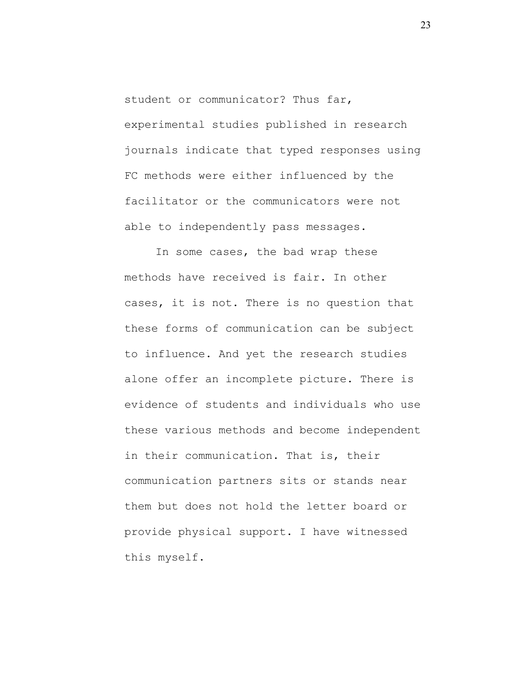student or communicator? Thus far, experimental studies published in research journals indicate that typed responses using FC methods were either influenced by the facilitator or the communicators were not able to independently pass messages.

In some cases, the bad wrap these methods have received is fair. In other cases, it is not. There is no question that these forms of communication can be subject to influence. And yet the research studies alone offer an incomplete picture. There is evidence of students and individuals who use these various methods and become independent in their communication. That is, their communication partners sits or stands near them but does not hold the letter board or provide physical support. I have witnessed this myself.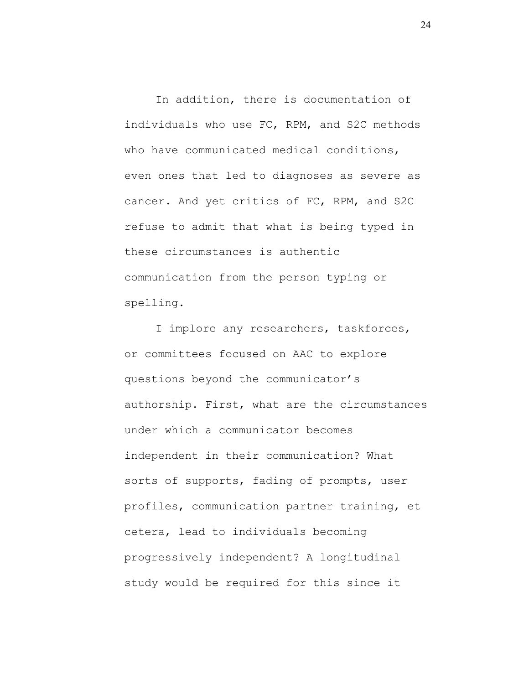In addition, there is documentation of individuals who use FC, RPM, and S2C methods who have communicated medical conditions, even ones that led to diagnoses as severe as cancer. And yet critics of FC, RPM, and S2C refuse to admit that what is being typed in these circumstances is authentic communication from the person typing or spelling.

I implore any researchers, taskforces, or committees focused on AAC to explore questions beyond the communicator's authorship. First, what are the circumstances under which a communicator becomes independent in their communication? What sorts of supports, fading of prompts, user profiles, communication partner training, et cetera, lead to individuals becoming progressively independent? A longitudinal study would be required for this since it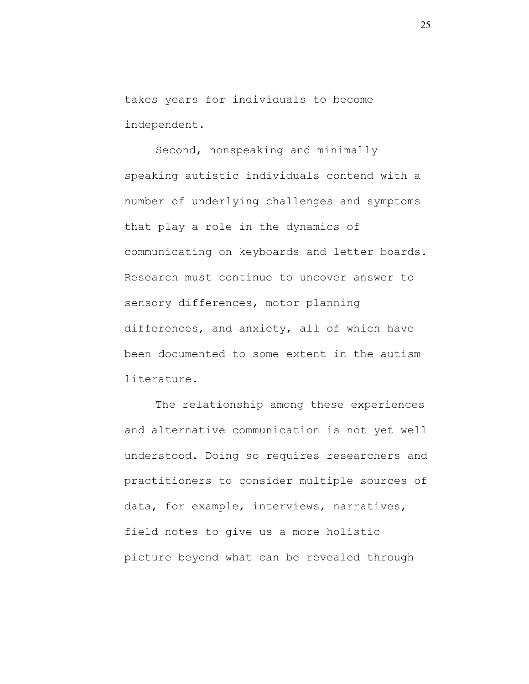takes years for individuals to become independent.

Second, nonspeaking and minimally speaking autistic individuals contend with a number of underlying challenges and symptoms that play a role in the dynamics of communicating on keyboards and letter boards. Research must continue to uncover answer to sensory differences, motor planning differences, and anxiety, all of which have been documented to some extent in the autism literature.

The relationship among these experiences and alternative communication is not yet well understood. Doing so requires researchers and practitioners to consider multiple sources of data, for example, interviews, narratives, field notes to give us a more holistic picture beyond what can be revealed through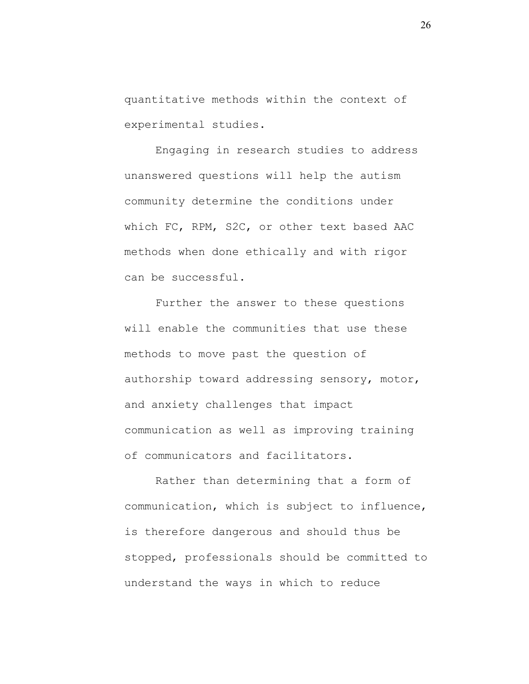quantitative methods within the context of experimental studies.

Engaging in research studies to address unanswered questions will help the autism community determine the conditions under which FC, RPM, S2C, or other text based AAC methods when done ethically and with rigor can be successful.

Further the answer to these questions will enable the communities that use these methods to move past the question of authorship toward addressing sensory, motor, and anxiety challenges that impact communication as well as improving training of communicators and facilitators.

Rather than determining that a form of communication, which is subject to influence, is therefore dangerous and should thus be stopped, professionals should be committed to understand the ways in which to reduce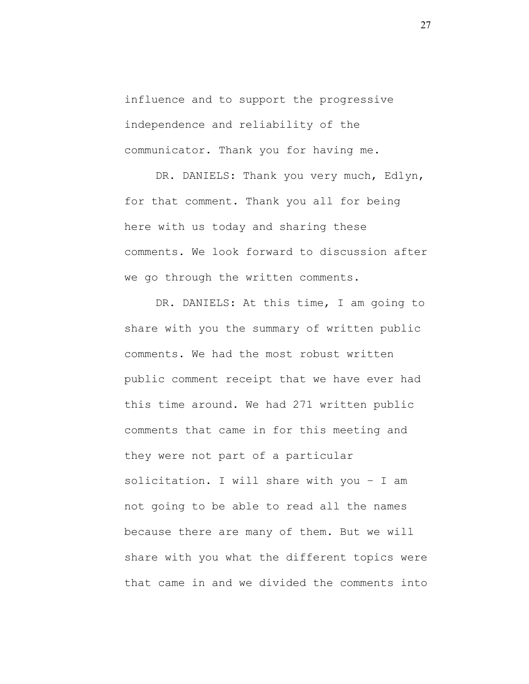influence and to support the progressive independence and reliability of the communicator. Thank you for having me.

DR. DANIELS: Thank you very much, Edlyn, for that comment. Thank you all for being here with us today and sharing these comments. We look forward to discussion after we go through the written comments.

DR. DANIELS: At this time, I am going to share with you the summary of written public comments. We had the most robust written public comment receipt that we have ever had this time around. We had 271 written public comments that came in for this meeting and they were not part of a particular solicitation. I will share with you – I am not going to be able to read all the names because there are many of them. But we will share with you what the different topics were that came in and we divided the comments into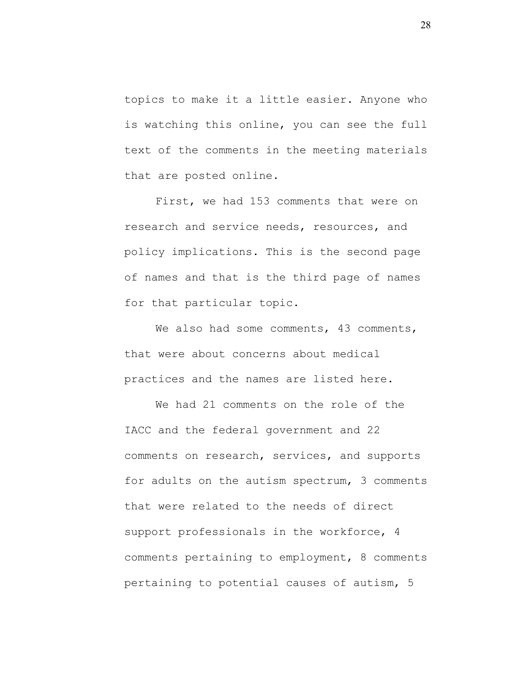topics to make it a little easier. Anyone who is watching this online, you can see the full text of the comments in the meeting materials that are posted online.

First, we had 153 comments that were on research and service needs, resources, and policy implications. This is the second page of names and that is the third page of names for that particular topic.

We also had some comments, 43 comments, that were about concerns about medical practices and the names are listed here.

We had 21 comments on the role of the IACC and the federal government and 22 comments on research, services, and supports for adults on the autism spectrum, 3 comments that were related to the needs of direct support professionals in the workforce, 4 comments pertaining to employment, 8 comments pertaining to potential causes of autism, 5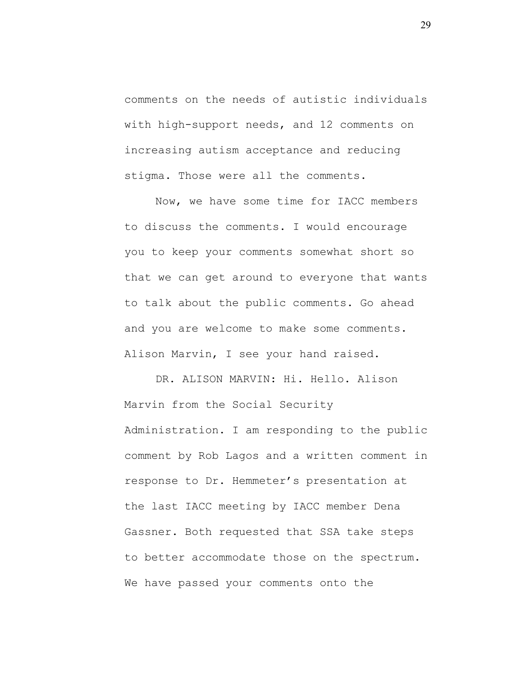comments on the needs of autistic individuals with high-support needs, and 12 comments on increasing autism acceptance and reducing stigma. Those were all the comments.

Now, we have some time for IACC members to discuss the comments. I would encourage you to keep your comments somewhat short so that we can get around to everyone that wants to talk about the public comments. Go ahead and you are welcome to make some comments. Alison Marvin, I see your hand raised.

DR. ALISON MARVIN: Hi. Hello. Alison Marvin from the Social Security Administration. I am responding to the public comment by Rob Lagos and a written comment in response to Dr. Hemmeter's presentation at the last IACC meeting by IACC member Dena Gassner. Both requested that SSA take steps to better accommodate those on the spectrum. We have passed your comments onto the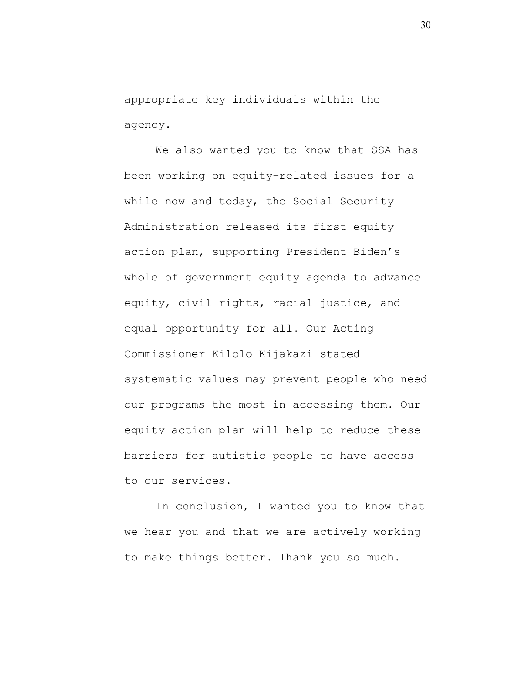appropriate key individuals within the agency.

We also wanted you to know that SSA has been working on equity-related issues for a while now and today, the Social Security Administration released its first equity action plan, supporting President Biden's whole of government equity agenda to advance equity, civil rights, racial justice, and equal opportunity for all. Our Acting Commissioner Kilolo Kijakazi stated systematic values may prevent people who need our programs the most in accessing them. Our equity action plan will help to reduce these barriers for autistic people to have access to our services.

In conclusion, I wanted you to know that we hear you and that we are actively working to make things better. Thank you so much.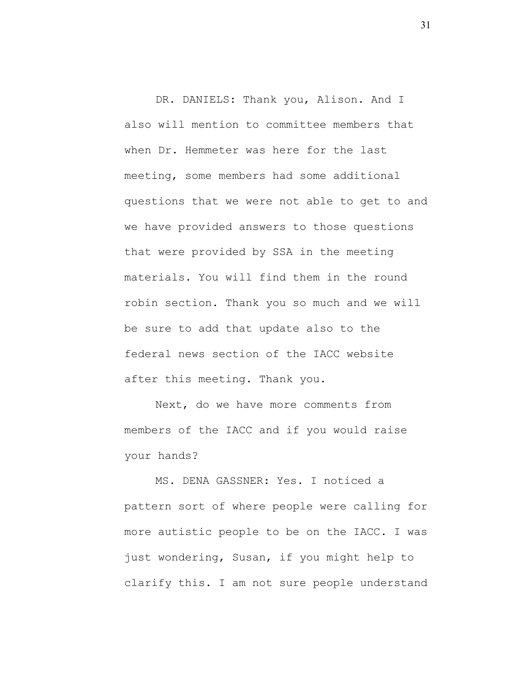DR. DANIELS: Thank you, Alison. And I also will mention to committee members that when Dr. Hemmeter was here for the last meeting, some members had some additional questions that we were not able to get to and we have provided answers to those questions that were provided by SSA in the meeting materials. You will find them in the round robin section. Thank you so much and we will be sure to add that update also to the federal news section of the IACC website after this meeting. Thank you.

Next, do we have more comments from members of the IACC and if you would raise your hands?

MS. DENA GASSNER: Yes. I noticed a pattern sort of where people were calling for more autistic people to be on the IACC. I was just wondering, Susan, if you might help to clarify this. I am not sure people understand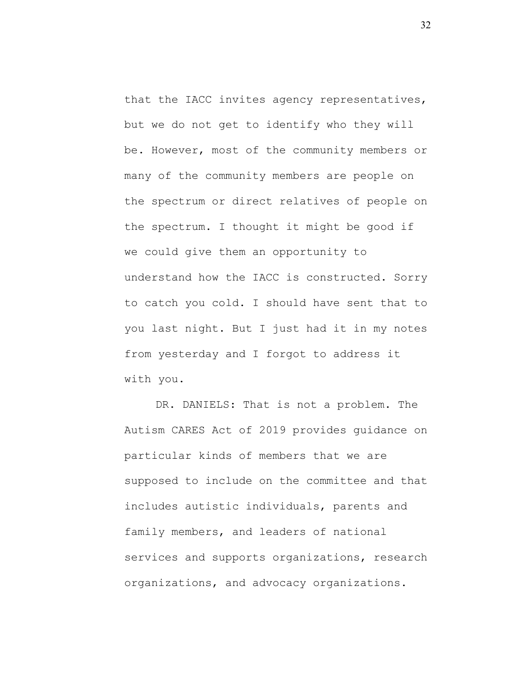that the IACC invites agency representatives, but we do not get to identify who they will be. However, most of the community members or many of the community members are people on the spectrum or direct relatives of people on the spectrum. I thought it might be good if we could give them an opportunity to understand how the IACC is constructed. Sorry to catch you cold. I should have sent that to you last night. But I just had it in my notes from yesterday and I forgot to address it with you.

DR. DANIELS: That is not a problem. The Autism CARES Act of 2019 provides guidance on particular kinds of members that we are supposed to include on the committee and that includes autistic individuals, parents and family members, and leaders of national services and supports organizations, research organizations, and advocacy organizations.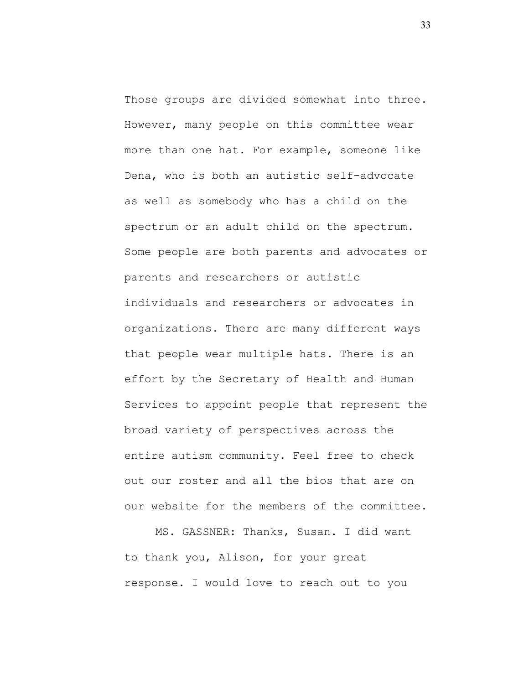Those groups are divided somewhat into three. However, many people on this committee wear more than one hat. For example, someone like Dena, who is both an autistic self-advocate as well as somebody who has a child on the spectrum or an adult child on the spectrum. Some people are both parents and advocates or parents and researchers or autistic individuals and researchers or advocates in organizations. There are many different ways that people wear multiple hats. There is an effort by the Secretary of Health and Human Services to appoint people that represent the broad variety of perspectives across the entire autism community. Feel free to check out our roster and all the bios that are on our website for the members of the committee.

MS. GASSNER: Thanks, Susan. I did want to thank you, Alison, for your great response. I would love to reach out to you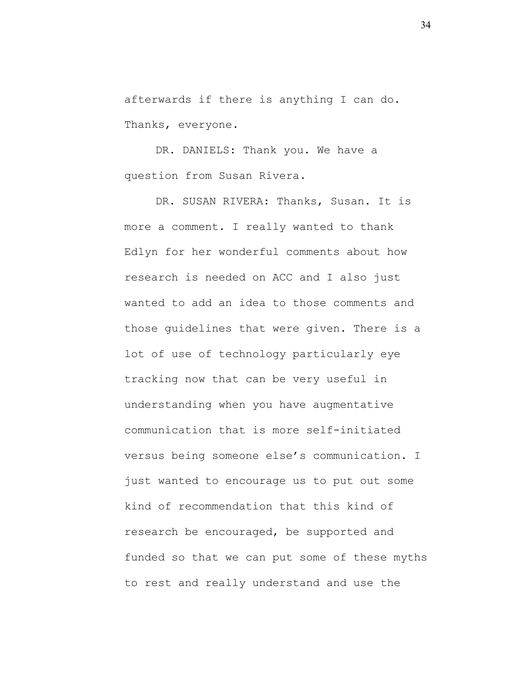afterwards if there is anything I can do. Thanks, everyone.

DR. DANIELS: Thank you. We have a question from Susan Rivera.

DR. SUSAN RIVERA: Thanks, Susan. It is more a comment. I really wanted to thank Edlyn for her wonderful comments about how research is needed on ACC and I also just wanted to add an idea to those comments and those guidelines that were given. There is a lot of use of technology particularly eye tracking now that can be very useful in understanding when you have augmentative communication that is more self-initiated versus being someone else's communication. I just wanted to encourage us to put out some kind of recommendation that this kind of research be encouraged, be supported and funded so that we can put some of these myths to rest and really understand and use the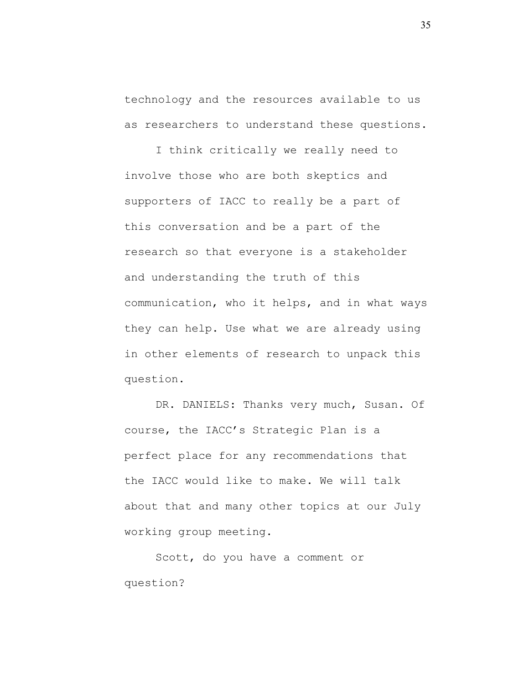technology and the resources available to us as researchers to understand these questions.

I think critically we really need to involve those who are both skeptics and supporters of IACC to really be a part of this conversation and be a part of the research so that everyone is a stakeholder and understanding the truth of this communication, who it helps, and in what ways they can help. Use what we are already using in other elements of research to unpack this question.

DR. DANIELS: Thanks very much, Susan. Of course, the IACC's Strategic Plan is a perfect place for any recommendations that the IACC would like to make. We will talk about that and many other topics at our July working group meeting.

Scott, do you have a comment or question?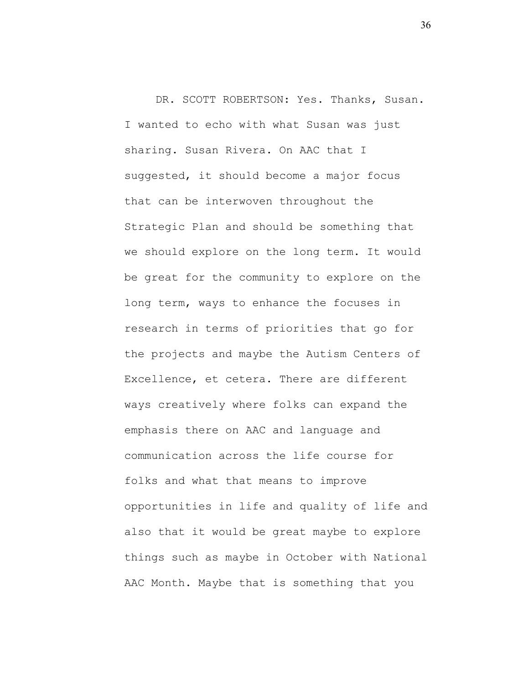DR. SCOTT ROBERTSON: Yes. Thanks, Susan. I wanted to echo with what Susan was just sharing. Susan Rivera. On AAC that I suggested, it should become a major focus that can be interwoven throughout the Strategic Plan and should be something that we should explore on the long term. It would be great for the community to explore on the long term, ways to enhance the focuses in research in terms of priorities that go for the projects and maybe the Autism Centers of Excellence, et cetera. There are different ways creatively where folks can expand the emphasis there on AAC and language and communication across the life course for folks and what that means to improve opportunities in life and quality of life and also that it would be great maybe to explore things such as maybe in October with National AAC Month. Maybe that is something that you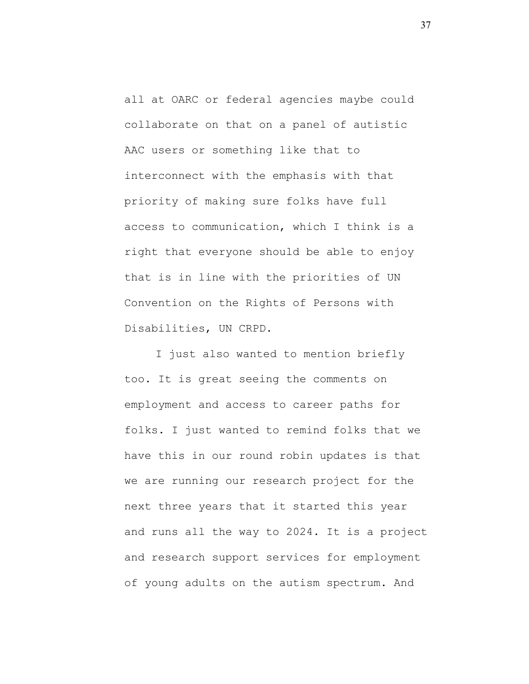all at OARC or federal agencies maybe could collaborate on that on a panel of autistic AAC users or something like that to interconnect with the emphasis with that priority of making sure folks have full access to communication, which I think is a right that everyone should be able to enjoy that is in line with the priorities of UN Convention on the Rights of Persons with Disabilities, UN CRPD.

I just also wanted to mention briefly too. It is great seeing the comments on employment and access to career paths for folks. I just wanted to remind folks that we have this in our round robin updates is that we are running our research project for the next three years that it started this year and runs all the way to 2024. It is a project and research support services for employment of young adults on the autism spectrum. And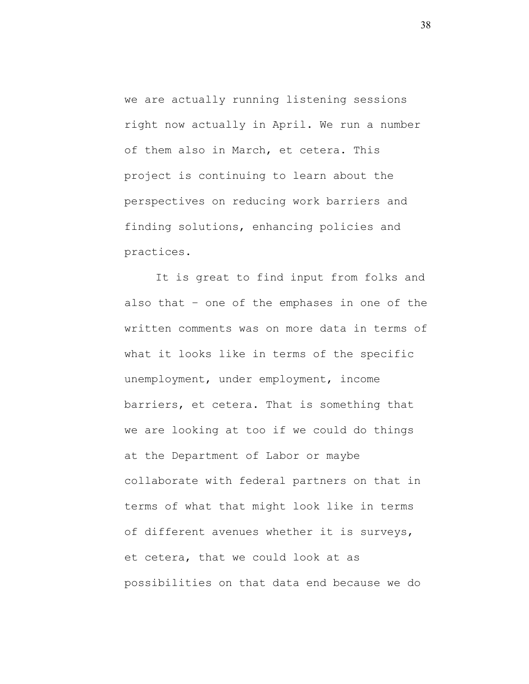we are actually running listening sessions right now actually in April. We run a number of them also in March, et cetera. This project is continuing to learn about the perspectives on reducing work barriers and finding solutions, enhancing policies and practices.

It is great to find input from folks and also that – one of the emphases in one of the written comments was on more data in terms of what it looks like in terms of the specific unemployment, under employment, income barriers, et cetera. That is something that we are looking at too if we could do things at the Department of Labor or maybe collaborate with federal partners on that in terms of what that might look like in terms of different avenues whether it is surveys, et cetera, that we could look at as possibilities on that data end because we do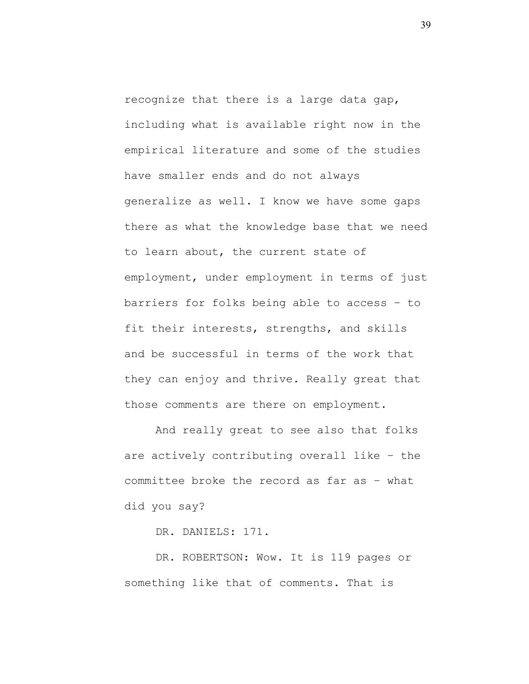recognize that there is a large data gap, including what is available right now in the empirical literature and some of the studies have smaller ends and do not always generalize as well. I know we have some gaps there as what the knowledge base that we need to learn about, the current state of employment, under employment in terms of just barriers for folks being able to access – to fit their interests, strengths, and skills and be successful in terms of the work that they can enjoy and thrive. Really great that those comments are there on employment.

And really great to see also that folks are actively contributing overall like – the committee broke the record as far as – what did you say?

DR. DANIELS: 171.

DR. ROBERTSON: Wow. It is 119 pages or something like that of comments. That is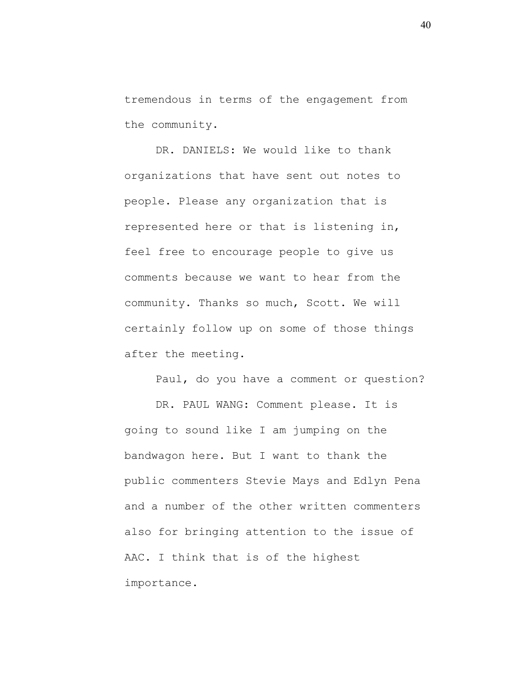tremendous in terms of the engagement from the community.

DR. DANIELS: We would like to thank organizations that have sent out notes to people. Please any organization that is represented here or that is listening in, feel free to encourage people to give us comments because we want to hear from the community. Thanks so much, Scott. We will certainly follow up on some of those things after the meeting.

Paul, do you have a comment or question? DR. PAUL WANG: Comment please. It is going to sound like I am jumping on the bandwagon here. But I want to thank the public commenters Stevie Mays and Edlyn Pena and a number of the other written commenters also for bringing attention to the issue of AAC. I think that is of the highest importance.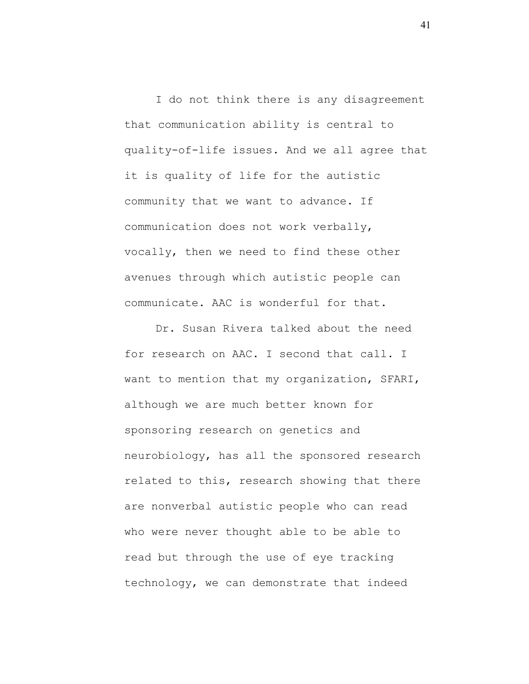I do not think there is any disagreement that communication ability is central to quality-of-life issues. And we all agree that it is quality of life for the autistic community that we want to advance. If communication does not work verbally, vocally, then we need to find these other avenues through which autistic people can communicate. AAC is wonderful for that.

Dr. Susan Rivera talked about the need for research on AAC. I second that call. I want to mention that my organization, SFARI, although we are much better known for sponsoring research on genetics and neurobiology, has all the sponsored research related to this, research showing that there are nonverbal autistic people who can read who were never thought able to be able to read but through the use of eye tracking technology, we can demonstrate that indeed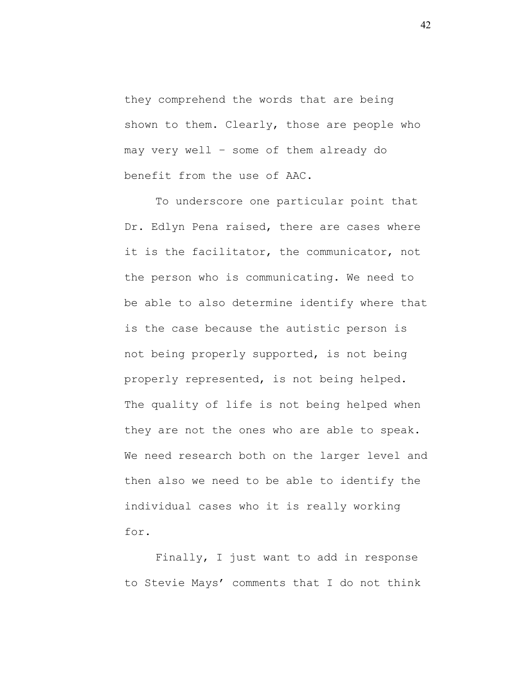they comprehend the words that are being shown to them. Clearly, those are people who may very well – some of them already do benefit from the use of AAC.

To underscore one particular point that Dr. Edlyn Pena raised, there are cases where it is the facilitator, the communicator, not the person who is communicating. We need to be able to also determine identify where that is the case because the autistic person is not being properly supported, is not being properly represented, is not being helped. The quality of life is not being helped when they are not the ones who are able to speak. We need research both on the larger level and then also we need to be able to identify the individual cases who it is really working for.

Finally, I just want to add in response to Stevie Mays' comments that I do not think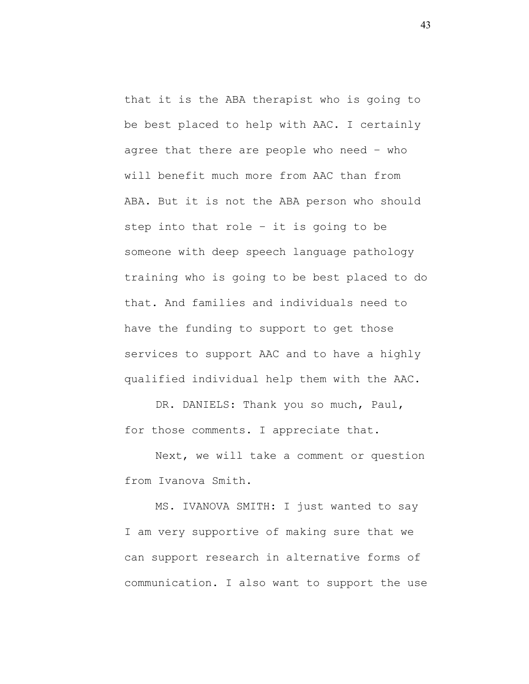that it is the ABA therapist who is going to be best placed to help with AAC. I certainly agree that there are people who need – who will benefit much more from AAC than from ABA. But it is not the ABA person who should step into that role – it is going to be someone with deep speech language pathology training who is going to be best placed to do that. And families and individuals need to have the funding to support to get those services to support AAC and to have a highly qualified individual help them with the AAC.

DR. DANIELS: Thank you so much, Paul, for those comments. I appreciate that.

Next, we will take a comment or question from Ivanova Smith.

MS. IVANOVA SMITH: I just wanted to say I am very supportive of making sure that we can support research in alternative forms of communication. I also want to support the use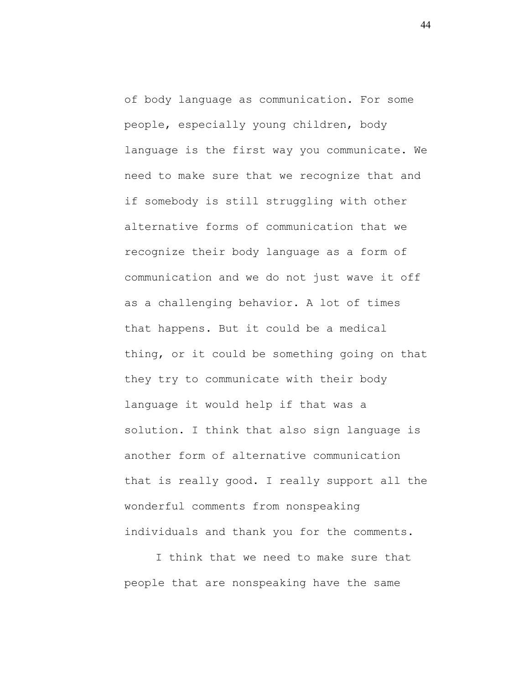of body language as communication. For some people, especially young children, body language is the first way you communicate. We need to make sure that we recognize that and if somebody is still struggling with other alternative forms of communication that we recognize their body language as a form of communication and we do not just wave it off as a challenging behavior. A lot of times that happens. But it could be a medical thing, or it could be something going on that they try to communicate with their body language it would help if that was a solution. I think that also sign language is another form of alternative communication that is really good. I really support all the wonderful comments from nonspeaking individuals and thank you for the comments.

I think that we need to make sure that people that are nonspeaking have the same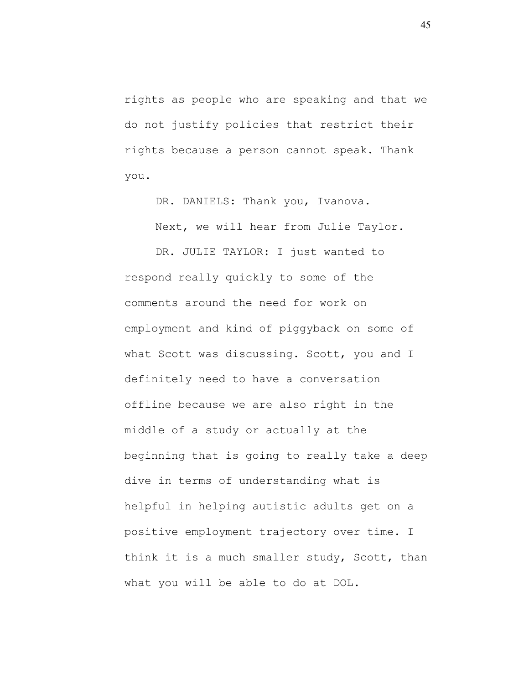rights as people who are speaking and that we do not justify policies that restrict their rights because a person cannot speak. Thank you.

DR. DANIELS: Thank you, Ivanova.

Next, we will hear from Julie Taylor.

DR. JULIE TAYLOR: I just wanted to respond really quickly to some of the comments around the need for work on employment and kind of piggyback on some of what Scott was discussing. Scott, you and I definitely need to have a conversation offline because we are also right in the middle of a study or actually at the beginning that is going to really take a deep dive in terms of understanding what is helpful in helping autistic adults get on a positive employment trajectory over time. I think it is a much smaller study, Scott, than what you will be able to do at DOL.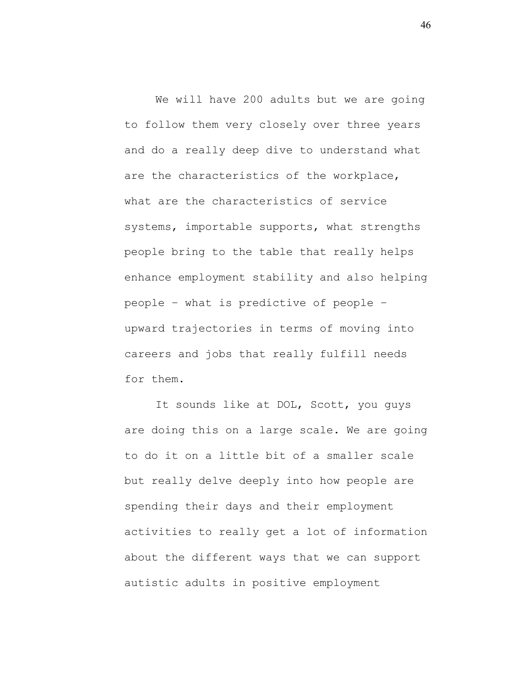We will have 200 adults but we are going to follow them very closely over three years and do a really deep dive to understand what are the characteristics of the workplace, what are the characteristics of service systems, importable supports, what strengths people bring to the table that really helps enhance employment stability and also helping people – what is predictive of people – upward trajectories in terms of moving into careers and jobs that really fulfill needs for them.

It sounds like at DOL, Scott, you guys are doing this on a large scale. We are going to do it on a little bit of a smaller scale but really delve deeply into how people are spending their days and their employment activities to really get a lot of information about the different ways that we can support autistic adults in positive employment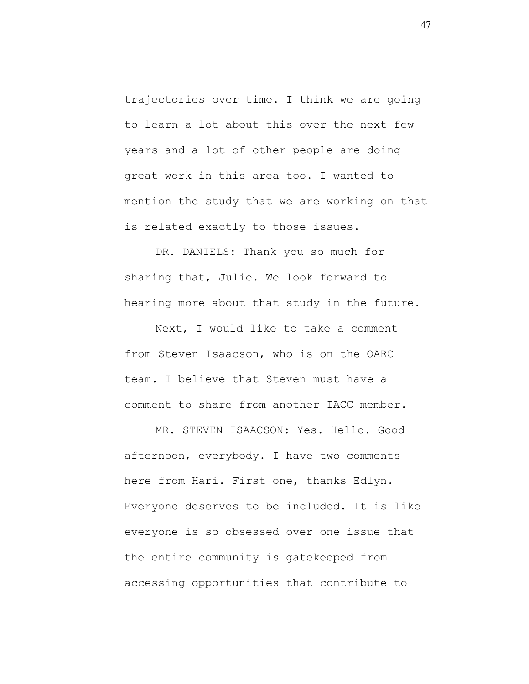trajectories over time. I think we are going to learn a lot about this over the next few years and a lot of other people are doing great work in this area too. I wanted to mention the study that we are working on that is related exactly to those issues.

DR. DANIELS: Thank you so much for sharing that, Julie. We look forward to hearing more about that study in the future.

Next, I would like to take a comment from Steven Isaacson, who is on the OARC team. I believe that Steven must have a comment to share from another IACC member.

MR. STEVEN ISAACSON: Yes. Hello. Good afternoon, everybody. I have two comments here from Hari. First one, thanks Edlyn. Everyone deserves to be included. It is like everyone is so obsessed over one issue that the entire community is gatekeeped from accessing opportunities that contribute to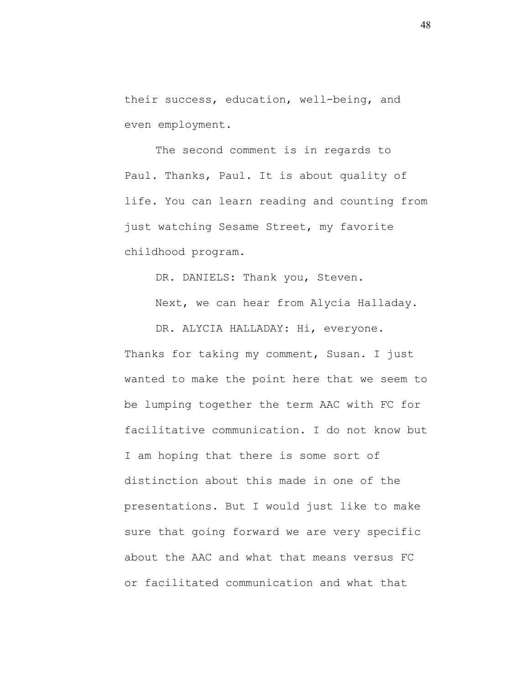their success, education, well-being, and even employment.

The second comment is in regards to Paul. Thanks, Paul. It is about quality of life. You can learn reading and counting from just watching Sesame Street, my favorite childhood program.

DR. DANIELS: Thank you, Steven.

Next, we can hear from Alycia Halladay.

DR. ALYCIA HALLADAY: Hi, everyone. Thanks for taking my comment, Susan. I just wanted to make the point here that we seem to be lumping together the term AAC with FC for facilitative communication. I do not know but I am hoping that there is some sort of distinction about this made in one of the presentations. But I would just like to make sure that going forward we are very specific about the AAC and what that means versus FC or facilitated communication and what that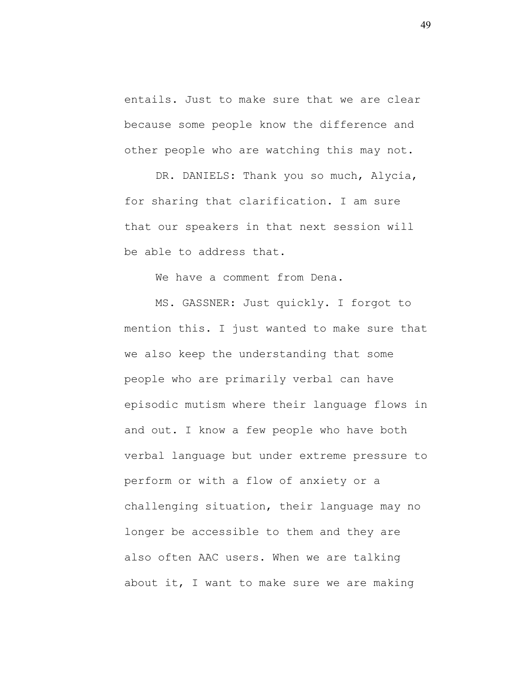entails. Just to make sure that we are clear because some people know the difference and other people who are watching this may not.

DR. DANIELS: Thank you so much, Alycia, for sharing that clarification. I am sure that our speakers in that next session will be able to address that.

We have a comment from Dena.

MS. GASSNER: Just quickly. I forgot to mention this. I just wanted to make sure that we also keep the understanding that some people who are primarily verbal can have episodic mutism where their language flows in and out. I know a few people who have both verbal language but under extreme pressure to perform or with a flow of anxiety or a challenging situation, their language may no longer be accessible to them and they are also often AAC users. When we are talking about it, I want to make sure we are making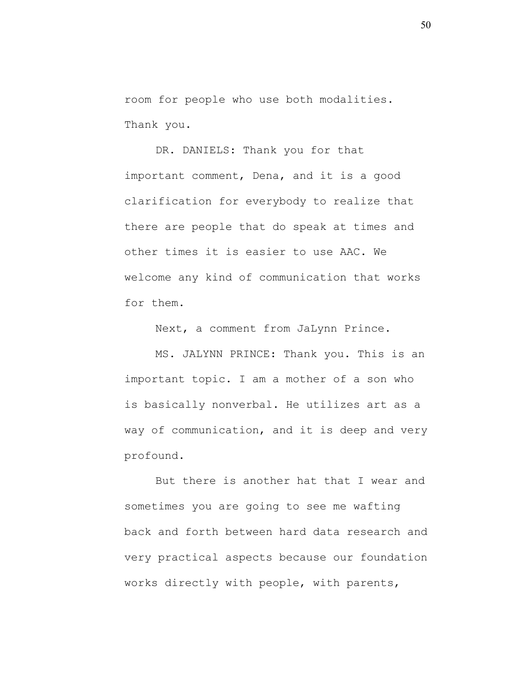room for people who use both modalities. Thank you.

DR. DANIELS: Thank you for that important comment, Dena, and it is a good clarification for everybody to realize that there are people that do speak at times and other times it is easier to use AAC. We welcome any kind of communication that works for them.

Next, a comment from JaLynn Prince.

MS. JALYNN PRINCE: Thank you. This is an important topic. I am a mother of a son who is basically nonverbal. He utilizes art as a way of communication, and it is deep and very profound.

But there is another hat that I wear and sometimes you are going to see me wafting back and forth between hard data research and very practical aspects because our foundation works directly with people, with parents,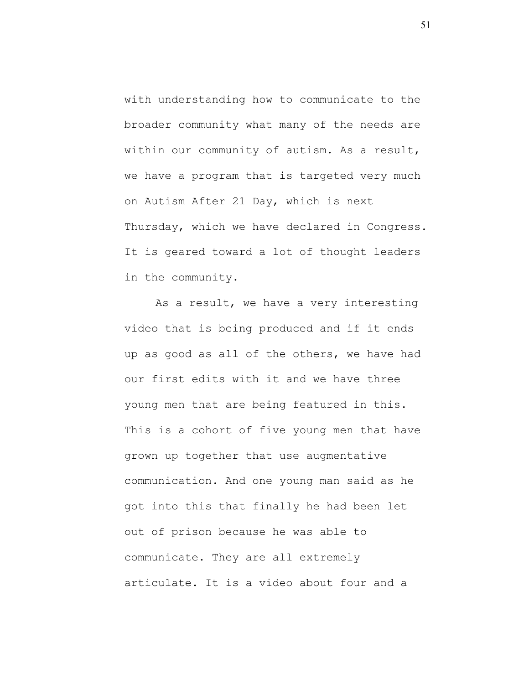with understanding how to communicate to the broader community what many of the needs are within our community of autism. As a result, we have a program that is targeted very much on Autism After 21 Day, which is next Thursday, which we have declared in Congress. It is geared toward a lot of thought leaders in the community.

As a result, we have a very interesting video that is being produced and if it ends up as good as all of the others, we have had our first edits with it and we have three young men that are being featured in this. This is a cohort of five young men that have grown up together that use augmentative communication. And one young man said as he got into this that finally he had been let out of prison because he was able to communicate. They are all extremely articulate. It is a video about four and a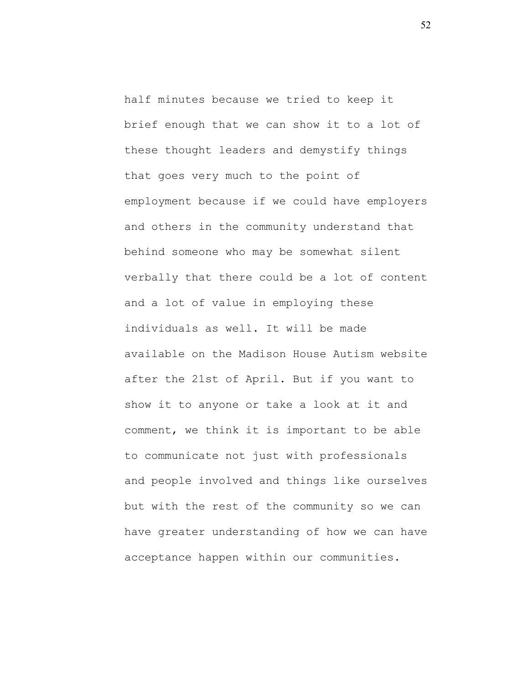half minutes because we tried to keep it brief enough that we can show it to a lot of these thought leaders and demystify things that goes very much to the point of employment because if we could have employers and others in the community understand that behind someone who may be somewhat silent verbally that there could be a lot of content and a lot of value in employing these individuals as well. It will be made available on the Madison House Autism website after the 21st of April. But if you want to show it to anyone or take a look at it and comment, we think it is important to be able to communicate not just with professionals and people involved and things like ourselves but with the rest of the community so we can have greater understanding of how we can have acceptance happen within our communities.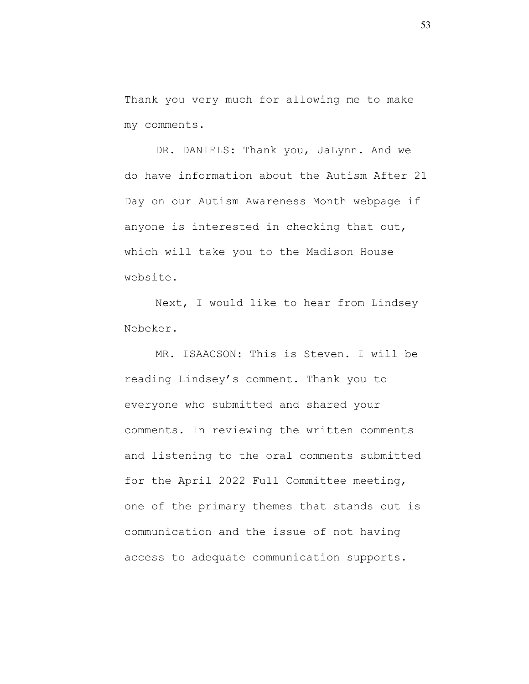Thank you very much for allowing me to make my comments.

DR. DANIELS: Thank you, JaLynn. And we do have information about the Autism After 21 Day on our Autism Awareness Month webpage if anyone is interested in checking that out, which will take you to the Madison House website.

Next, I would like to hear from Lindsey Nebeker.

MR. ISAACSON: This is Steven. I will be reading Lindsey's comment. Thank you to everyone who submitted and shared your comments. In reviewing the written comments and listening to the oral comments submitted for the April 2022 Full Committee meeting, one of the primary themes that stands out is communication and the issue of not having access to adequate communication supports.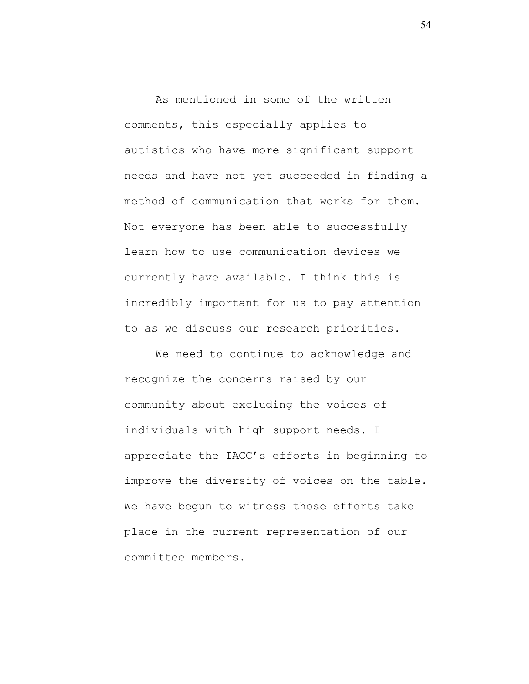As mentioned in some of the written comments, this especially applies to autistics who have more significant support needs and have not yet succeeded in finding a method of communication that works for them. Not everyone has been able to successfully learn how to use communication devices we currently have available. I think this is incredibly important for us to pay attention to as we discuss our research priorities.

We need to continue to acknowledge and recognize the concerns raised by our community about excluding the voices of individuals with high support needs. I appreciate the IACC's efforts in beginning to improve the diversity of voices on the table. We have begun to witness those efforts take place in the current representation of our committee members.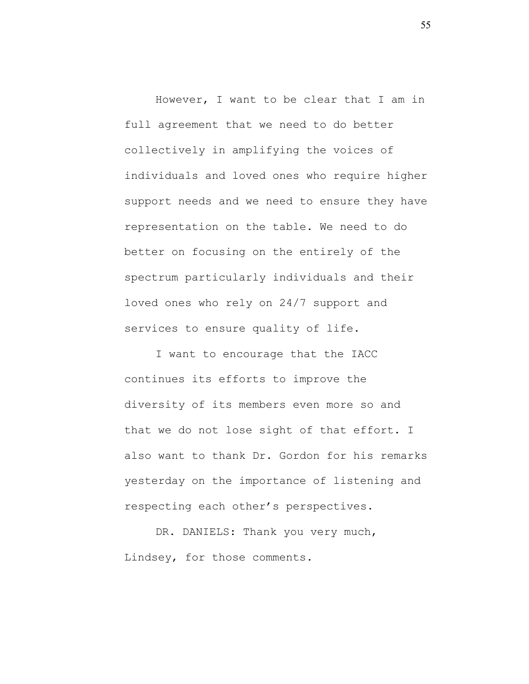However, I want to be clear that I am in full agreement that we need to do better collectively in amplifying the voices of individuals and loved ones who require higher support needs and we need to ensure they have representation on the table. We need to do better on focusing on the entirely of the spectrum particularly individuals and their loved ones who rely on 24/7 support and services to ensure quality of life.

I want to encourage that the IACC continues its efforts to improve the diversity of its members even more so and that we do not lose sight of that effort. I also want to thank Dr. Gordon for his remarks yesterday on the importance of listening and respecting each other's perspectives.

DR. DANIELS: Thank you very much, Lindsey, for those comments.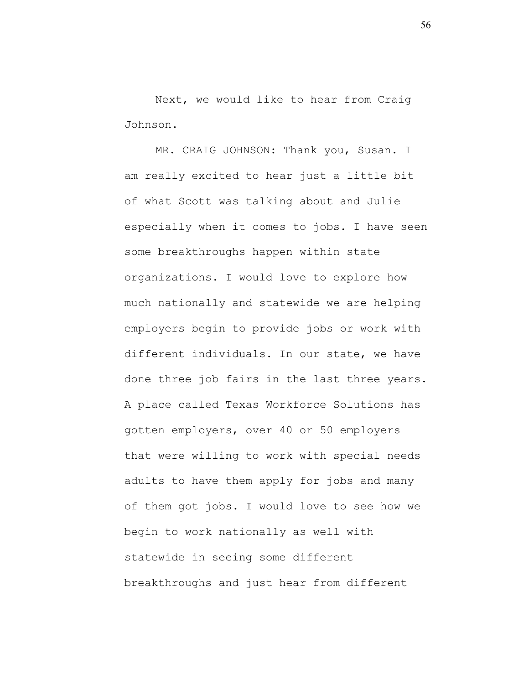Next, we would like to hear from Craig Johnson.

MR. CRAIG JOHNSON: Thank you, Susan. I am really excited to hear just a little bit of what Scott was talking about and Julie especially when it comes to jobs. I have seen some breakthroughs happen within state organizations. I would love to explore how much nationally and statewide we are helping employers begin to provide jobs or work with different individuals. In our state, we have done three job fairs in the last three years. A place called Texas Workforce Solutions has gotten employers, over 40 or 50 employers that were willing to work with special needs adults to have them apply for jobs and many of them got jobs. I would love to see how we begin to work nationally as well with statewide in seeing some different breakthroughs and just hear from different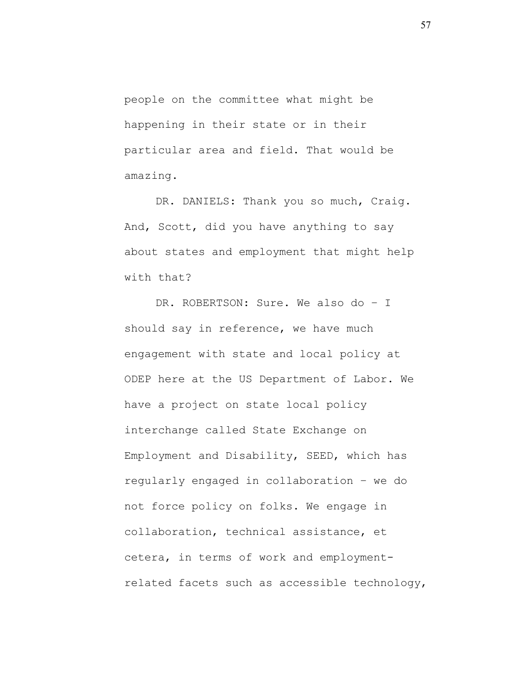people on the committee what might be happening in their state or in their particular area and field. That would be amazing.

DR. DANIELS: Thank you so much, Craig. And, Scott, did you have anything to say about states and employment that might help with that?

DR. ROBERTSON: Sure. We also do - I should say in reference, we have much engagement with state and local policy at ODEP here at the US Department of Labor. We have a project on state local policy interchange called State Exchange on Employment and Disability, SEED, which has regularly engaged in collaboration – we do not force policy on folks. We engage in collaboration, technical assistance, et cetera, in terms of work and employmentrelated facets such as accessible technology,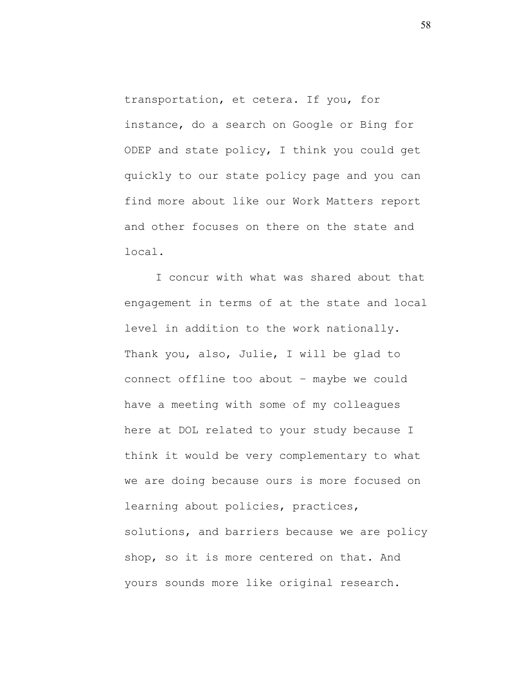transportation, et cetera. If you, for instance, do a search on Google or Bing for ODEP and state policy, I think you could get quickly to our state policy page and you can find more about like our Work Matters report and other focuses on there on the state and local.

I concur with what was shared about that engagement in terms of at the state and local level in addition to the work nationally. Thank you, also, Julie, I will be glad to connect offline too about – maybe we could have a meeting with some of my colleagues here at DOL related to your study because I think it would be very complementary to what we are doing because ours is more focused on learning about policies, practices, solutions, and barriers because we are policy shop, so it is more centered on that. And yours sounds more like original research.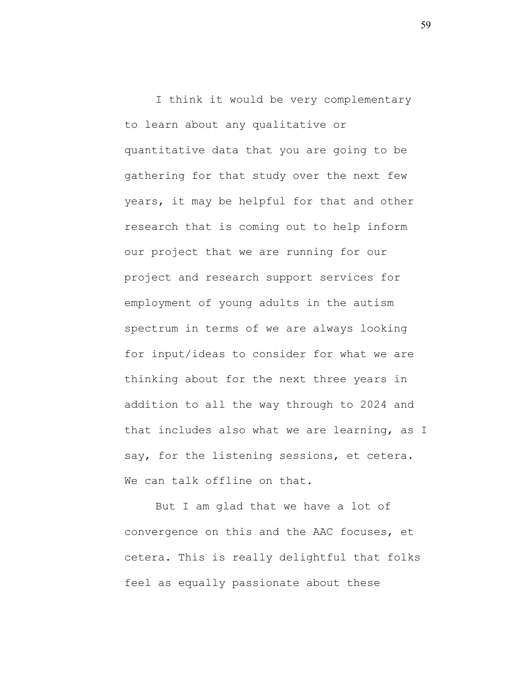I think it would be very complementary to learn about any qualitative or quantitative data that you are going to be gathering for that study over the next few years, it may be helpful for that and other research that is coming out to help inform our project that we are running for our project and research support services for employment of young adults in the autism spectrum in terms of we are always looking for input/ideas to consider for what we are thinking about for the next three years in addition to all the way through to 2024 and that includes also what we are learning, as I say, for the listening sessions, et cetera. We can talk offline on that.

But I am glad that we have a lot of convergence on this and the AAC focuses, et cetera. This is really delightful that folks feel as equally passionate about these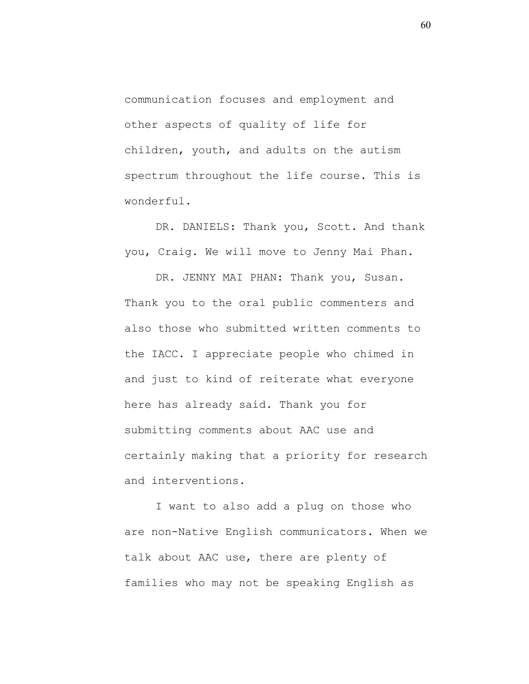communication focuses and employment and other aspects of quality of life for children, youth, and adults on the autism spectrum throughout the life course. This is wonderful.

DR. DANIELS: Thank you, Scott. And thank you, Craig. We will move to Jenny Mai Phan.

DR. JENNY MAI PHAN: Thank you, Susan. Thank you to the oral public commenters and also those who submitted written comments to the IACC. I appreciate people who chimed in and just to kind of reiterate what everyone here has already said. Thank you for submitting comments about AAC use and certainly making that a priority for research and interventions.

I want to also add a plug on those who are non-Native English communicators. When we talk about AAC use, there are plenty of families who may not be speaking English as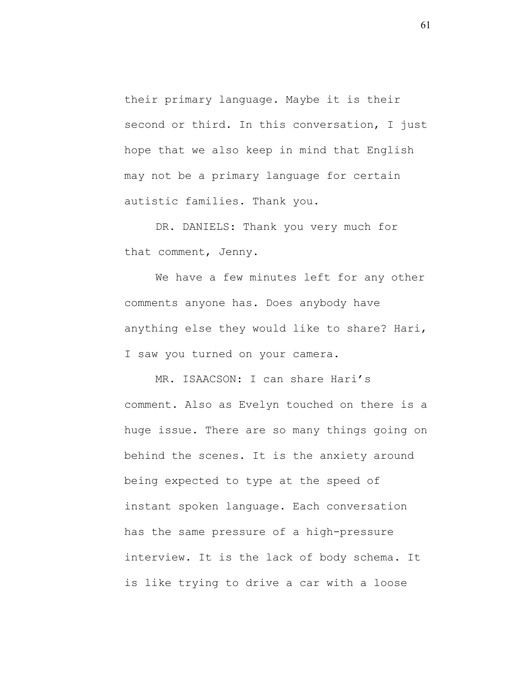their primary language. Maybe it is their second or third. In this conversation, I just hope that we also keep in mind that English may not be a primary language for certain autistic families. Thank you.

DR. DANIELS: Thank you very much for that comment, Jenny.

We have a few minutes left for any other comments anyone has. Does anybody have anything else they would like to share? Hari, I saw you turned on your camera.

MR. ISAACSON: I can share Hari's comment. Also as Evelyn touched on there is a huge issue. There are so many things going on behind the scenes. It is the anxiety around being expected to type at the speed of instant spoken language. Each conversation has the same pressure of a high-pressure interview. It is the lack of body schema. It is like trying to drive a car with a loose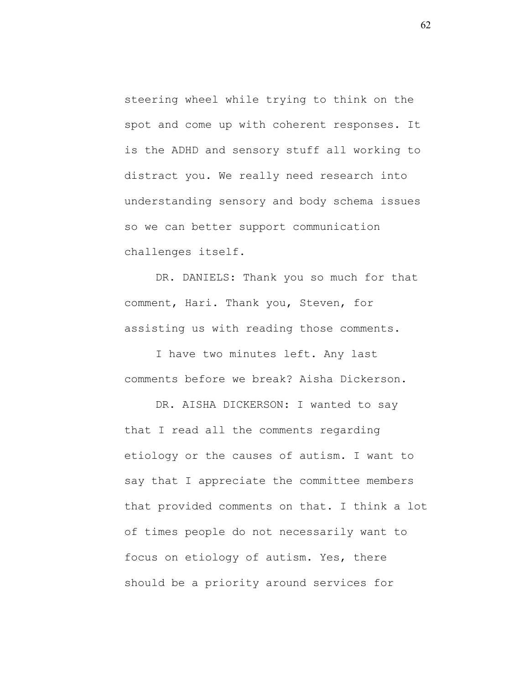steering wheel while trying to think on the spot and come up with coherent responses. It is the ADHD and sensory stuff all working to distract you. We really need research into understanding sensory and body schema issues so we can better support communication challenges itself.

DR. DANIELS: Thank you so much for that comment, Hari. Thank you, Steven, for assisting us with reading those comments.

I have two minutes left. Any last comments before we break? Aisha Dickerson.

DR. AISHA DICKERSON: I wanted to say that I read all the comments regarding etiology or the causes of autism. I want to say that I appreciate the committee members that provided comments on that. I think a lot of times people do not necessarily want to focus on etiology of autism. Yes, there should be a priority around services for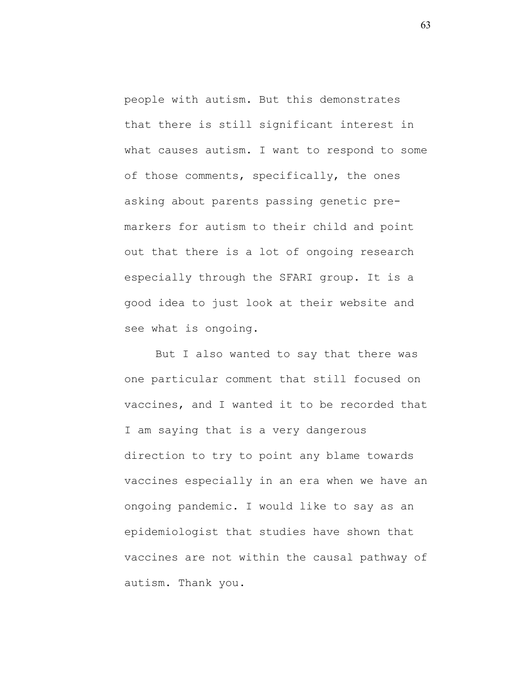people with autism. But this demonstrates that there is still significant interest in what causes autism. I want to respond to some of those comments, specifically, the ones asking about parents passing genetic premarkers for autism to their child and point out that there is a lot of ongoing research especially through the SFARI group. It is a good idea to just look at their website and see what is ongoing.

But I also wanted to say that there was one particular comment that still focused on vaccines, and I wanted it to be recorded that I am saying that is a very dangerous direction to try to point any blame towards vaccines especially in an era when we have an ongoing pandemic. I would like to say as an epidemiologist that studies have shown that vaccines are not within the causal pathway of autism. Thank you.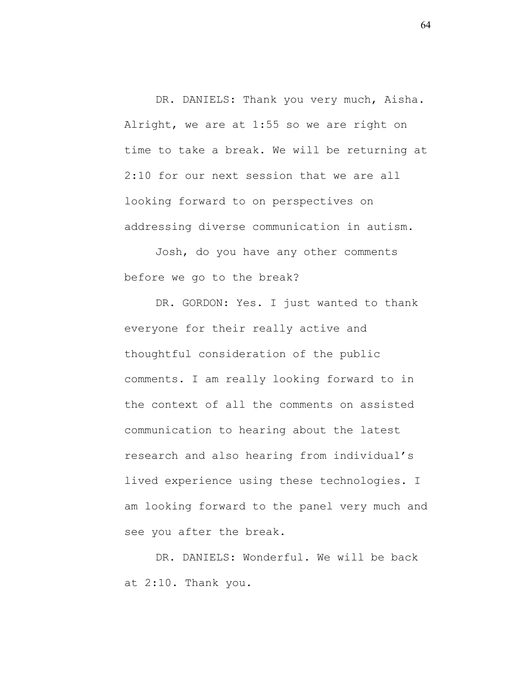DR. DANIELS: Thank you very much, Aisha. Alright, we are at 1:55 so we are right on time to take a break. We will be returning at 2:10 for our next session that we are all looking forward to on perspectives on addressing diverse communication in autism.

Josh, do you have any other comments before we go to the break?

DR. GORDON: Yes. I just wanted to thank everyone for their really active and thoughtful consideration of the public comments. I am really looking forward to in the context of all the comments on assisted communication to hearing about the latest research and also hearing from individual's lived experience using these technologies. I am looking forward to the panel very much and see you after the break.

DR. DANIELS: Wonderful. We will be back at 2:10. Thank you.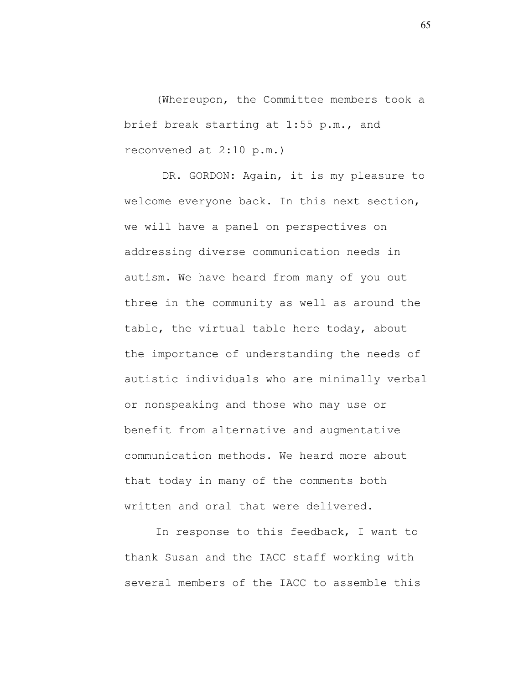(Whereupon, the Committee members took a brief break starting at 1:55 p.m., and reconvened at 2:10 p.m.)

DR. GORDON: Again, it is my pleasure to welcome everyone back. In this next section, we will have a panel on perspectives on addressing diverse communication needs in autism. We have heard from many of you out three in the community as well as around the table, the virtual table here today, about the importance of understanding the needs of autistic individuals who are minimally verbal or nonspeaking and those who may use or benefit from alternative and augmentative communication methods. We heard more about that today in many of the comments both written and oral that were delivered.

In response to this feedback, I want to thank Susan and the IACC staff working with several members of the IACC to assemble this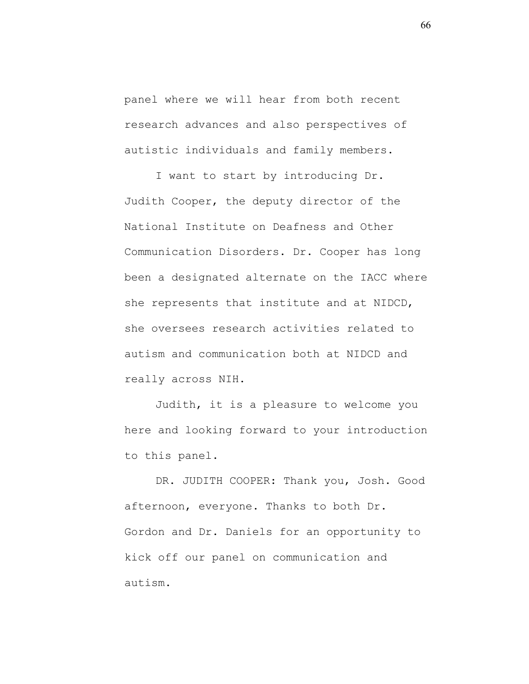panel where we will hear from both recent research advances and also perspectives of autistic individuals and family members.

I want to start by introducing Dr. Judith Cooper, the deputy director of the National Institute on Deafness and Other Communication Disorders. Dr. Cooper has long been a designated alternate on the IACC where she represents that institute and at NIDCD, she oversees research activities related to autism and communication both at NIDCD and really across NIH.

Judith, it is a pleasure to welcome you here and looking forward to your introduction to this panel.

DR. JUDITH COOPER: Thank you, Josh. Good afternoon, everyone. Thanks to both Dr. Gordon and Dr. Daniels for an opportunity to kick off our panel on communication and autism.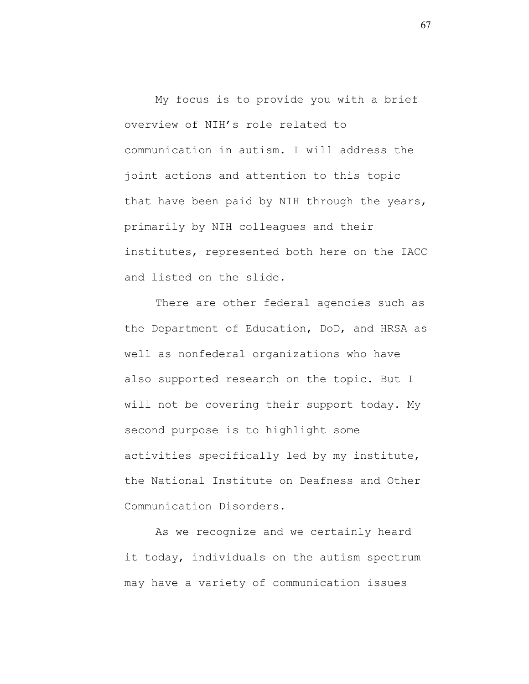My focus is to provide you with a brief overview of NIH's role related to communication in autism. I will address the joint actions and attention to this topic that have been paid by NIH through the years, primarily by NIH colleagues and their institutes, represented both here on the IACC and listed on the slide.

There are other federal agencies such as the Department of Education, DoD, and HRSA as well as nonfederal organizations who have also supported research on the topic. But I will not be covering their support today. My second purpose is to highlight some activities specifically led by my institute, the National Institute on Deafness and Other Communication Disorders.

As we recognize and we certainly heard it today, individuals on the autism spectrum may have a variety of communication issues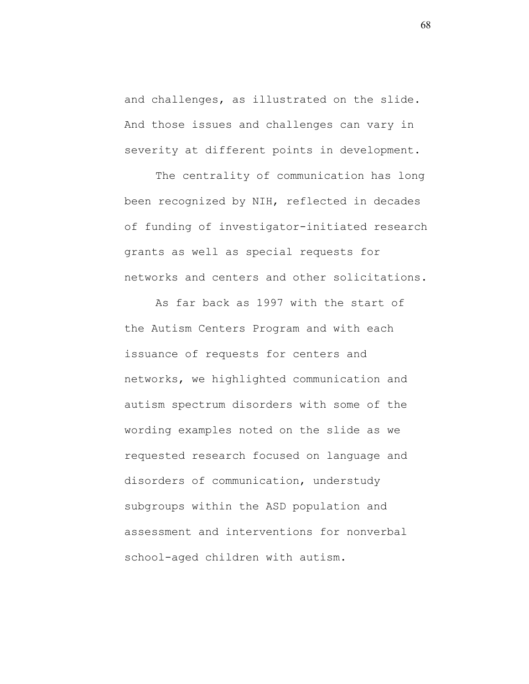and challenges, as illustrated on the slide. And those issues and challenges can vary in severity at different points in development.

The centrality of communication has long been recognized by NIH, reflected in decades of funding of investigator-initiated research grants as well as special requests for networks and centers and other solicitations.

As far back as 1997 with the start of the Autism Centers Program and with each issuance of requests for centers and networks, we highlighted communication and autism spectrum disorders with some of the wording examples noted on the slide as we requested research focused on language and disorders of communication, understudy subgroups within the ASD population and assessment and interventions for nonverbal school-aged children with autism.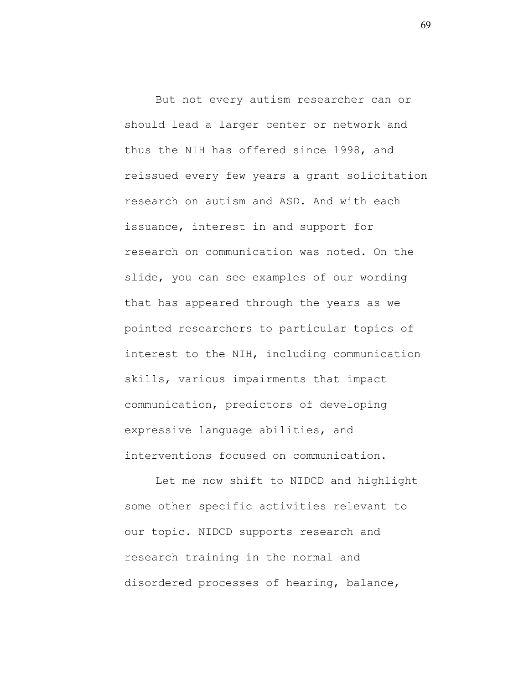But not every autism researcher can or should lead a larger center or network and thus the NIH has offered since 1998, and reissued every few years a grant solicitation research on autism and ASD. And with each issuance, interest in and support for research on communication was noted. On the slide, you can see examples of our wording that has appeared through the years as we pointed researchers to particular topics of interest to the NIH, including communication skills, various impairments that impact communication, predictors of developing expressive language abilities, and interventions focused on communication.

Let me now shift to NIDCD and highlight some other specific activities relevant to our topic. NIDCD supports research and research training in the normal and disordered processes of hearing, balance,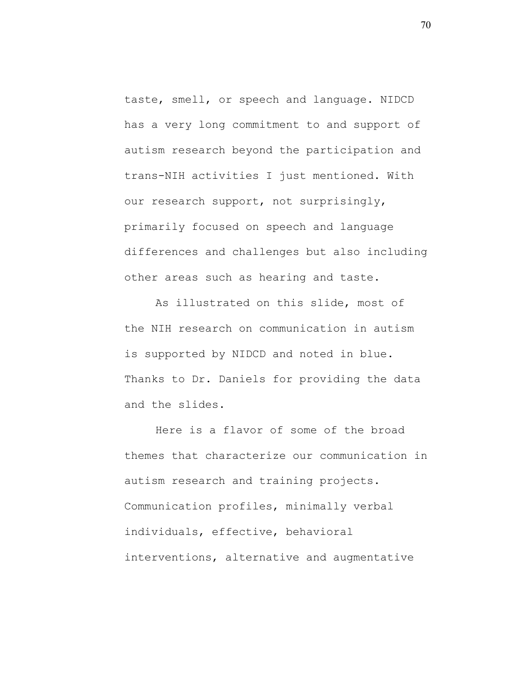taste, smell, or speech and language. NIDCD has a very long commitment to and support of autism research beyond the participation and trans-NIH activities I just mentioned. With our research support, not surprisingly, primarily focused on speech and language differences and challenges but also including other areas such as hearing and taste.

As illustrated on this slide, most of the NIH research on communication in autism is supported by NIDCD and noted in blue. Thanks to Dr. Daniels for providing the data and the slides.

Here is a flavor of some of the broad themes that characterize our communication in autism research and training projects. Communication profiles, minimally verbal individuals, effective, behavioral interventions, alternative and augmentative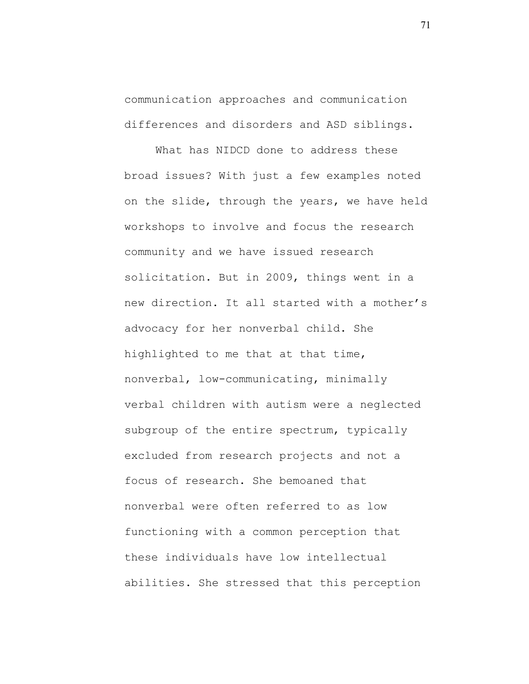communication approaches and communication differences and disorders and ASD siblings.

What has NIDCD done to address these broad issues? With just a few examples noted on the slide, through the years, we have held workshops to involve and focus the research community and we have issued research solicitation. But in 2009, things went in a new direction. It all started with a mother's advocacy for her nonverbal child. She highlighted to me that at that time, nonverbal, low-communicating, minimally verbal children with autism were a neglected subgroup of the entire spectrum, typically excluded from research projects and not a focus of research. She bemoaned that nonverbal were often referred to as low functioning with a common perception that these individuals have low intellectual abilities. She stressed that this perception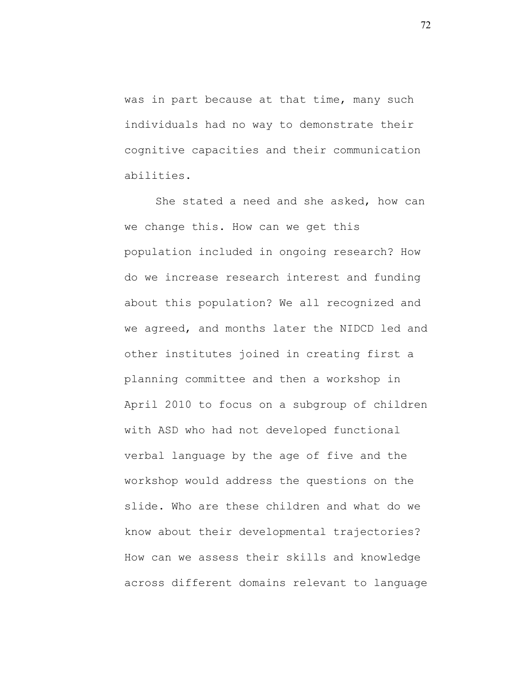was in part because at that time, many such individuals had no way to demonstrate their cognitive capacities and their communication abilities.

She stated a need and she asked, how can we change this. How can we get this population included in ongoing research? How do we increase research interest and funding about this population? We all recognized and we agreed, and months later the NIDCD led and other institutes joined in creating first a planning committee and then a workshop in April 2010 to focus on a subgroup of children with ASD who had not developed functional verbal language by the age of five and the workshop would address the questions on the slide. Who are these children and what do we know about their developmental trajectories? How can we assess their skills and knowledge across different domains relevant to language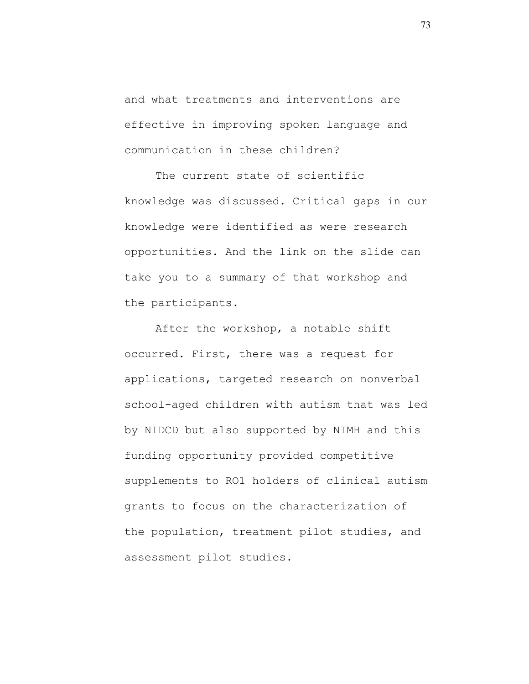and what treatments and interventions are effective in improving spoken language and communication in these children?

The current state of scientific knowledge was discussed. Critical gaps in our knowledge were identified as were research opportunities. And the link on the slide can take you to a summary of that workshop and the participants.

After the workshop, a notable shift occurred. First, there was a request for applications, targeted research on nonverbal school-aged children with autism that was led by NIDCD but also supported by NIMH and this funding opportunity provided competitive supplements to RO1 holders of clinical autism grants to focus on the characterization of the population, treatment pilot studies, and assessment pilot studies.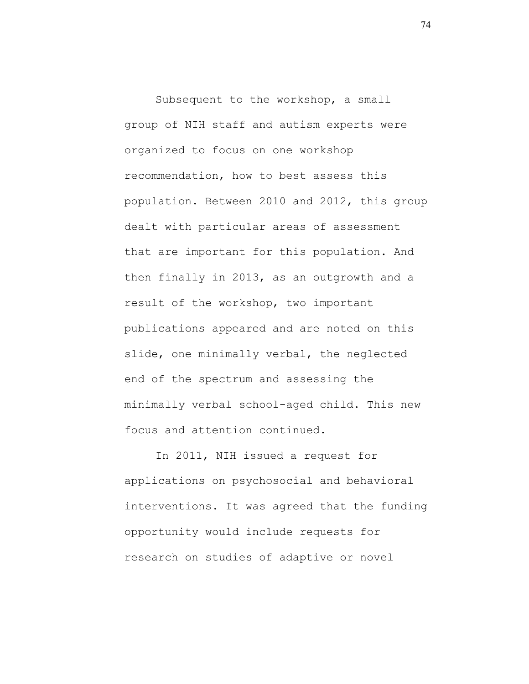Subsequent to the workshop, a small group of NIH staff and autism experts were organized to focus on one workshop recommendation, how to best assess this population. Between 2010 and 2012, this group dealt with particular areas of assessment that are important for this population. And then finally in 2013, as an outgrowth and a result of the workshop, two important publications appeared and are noted on this slide, one minimally verbal, the neglected end of the spectrum and assessing the minimally verbal school-aged child. This new focus and attention continued.

In 2011, NIH issued a request for applications on psychosocial and behavioral interventions. It was agreed that the funding opportunity would include requests for research on studies of adaptive or novel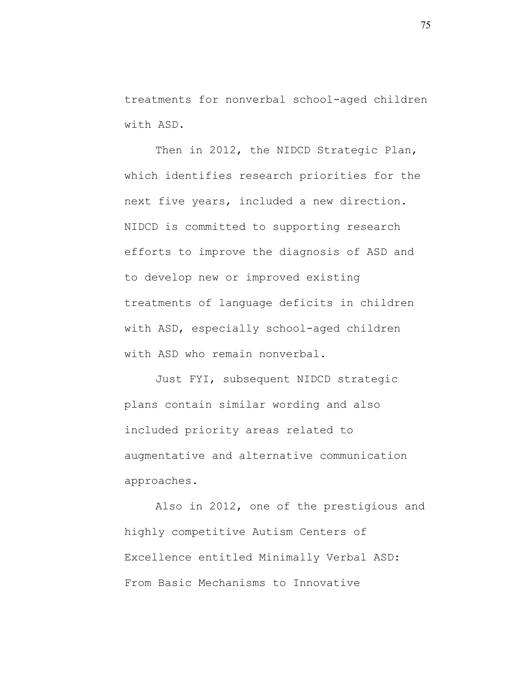treatments for nonverbal school-aged children with ASD.

Then in 2012, the NIDCD Strategic Plan, which identifies research priorities for the next five years, included a new direction. NIDCD is committed to supporting research efforts to improve the diagnosis of ASD and to develop new or improved existing treatments of language deficits in children with ASD, especially school-aged children with ASD who remain nonverbal.

Just FYI, subsequent NIDCD strategic plans contain similar wording and also included priority areas related to augmentative and alternative communication approaches.

Also in 2012, one of the prestigious and highly competitive Autism Centers of Excellence entitled Minimally Verbal ASD: From Basic Mechanisms to Innovative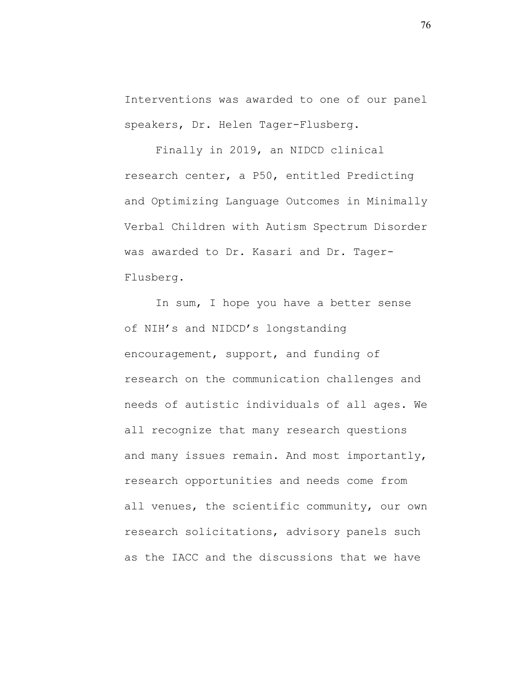Interventions was awarded to one of our panel speakers, Dr. Helen Tager-Flusberg.

Finally in 2019, an NIDCD clinical research center, a P50, entitled Predicting and Optimizing Language Outcomes in Minimally Verbal Children with Autism Spectrum Disorder was awarded to Dr. Kasari and Dr. Tager-Flusberg.

In sum, I hope you have a better sense of NIH's and NIDCD's longstanding encouragement, support, and funding of research on the communication challenges and needs of autistic individuals of all ages. We all recognize that many research questions and many issues remain. And most importantly, research opportunities and needs come from all venues, the scientific community, our own research solicitations, advisory panels such as the IACC and the discussions that we have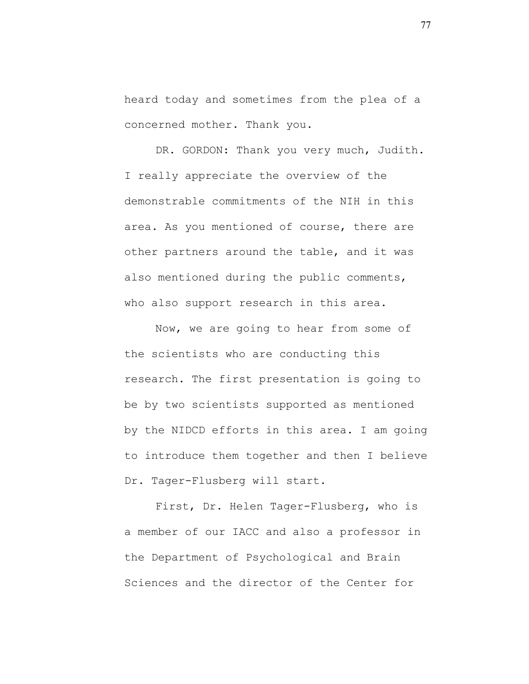heard today and sometimes from the plea of a concerned mother. Thank you.

DR. GORDON: Thank you very much, Judith. I really appreciate the overview of the demonstrable commitments of the NIH in this area. As you mentioned of course, there are other partners around the table, and it was also mentioned during the public comments, who also support research in this area.

Now, we are going to hear from some of the scientists who are conducting this research. The first presentation is going to be by two scientists supported as mentioned by the NIDCD efforts in this area. I am going to introduce them together and then I believe Dr. Tager-Flusberg will start.

First, Dr. Helen Tager-Flusberg, who is a member of our IACC and also a professor in the Department of Psychological and Brain Sciences and the director of the Center for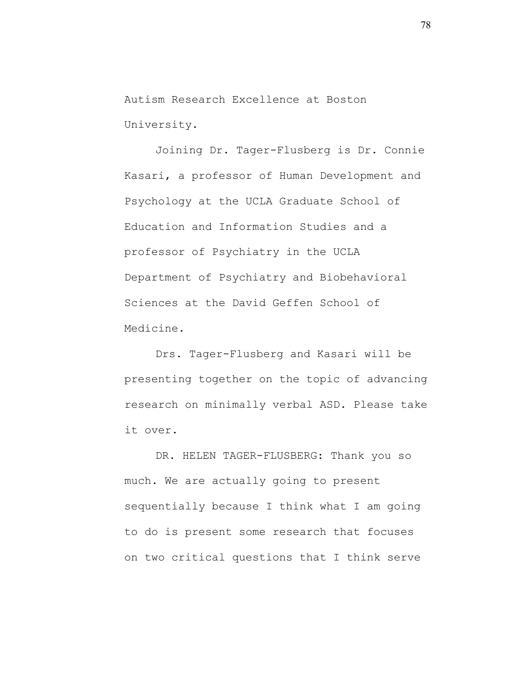Autism Research Excellence at Boston University.

Joining Dr. Tager-Flusberg is Dr. Connie Kasari, a professor of Human Development and Psychology at the UCLA Graduate School of Education and Information Studies and a professor of Psychiatry in the UCLA Department of Psychiatry and Biobehavioral Sciences at the David Geffen School of Medicine.

Drs. Tager-Flusberg and Kasari will be presenting together on the topic of advancing research on minimally verbal ASD. Please take it over.

DR. HELEN TAGER-FLUSBERG: Thank you so much. We are actually going to present sequentially because I think what I am going to do is present some research that focuses on two critical questions that I think serve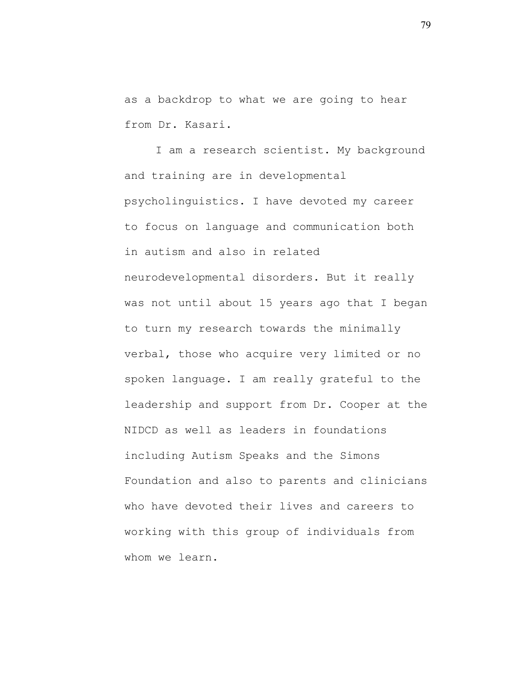as a backdrop to what we are going to hear from Dr. Kasari.

I am a research scientist. My background and training are in developmental psycholinguistics. I have devoted my career to focus on language and communication both in autism and also in related neurodevelopmental disorders. But it really was not until about 15 years ago that I began to turn my research towards the minimally verbal, those who acquire very limited or no spoken language. I am really grateful to the leadership and support from Dr. Cooper at the NIDCD as well as leaders in foundations including Autism Speaks and the Simons Foundation and also to parents and clinicians who have devoted their lives and careers to working with this group of individuals from whom we learn.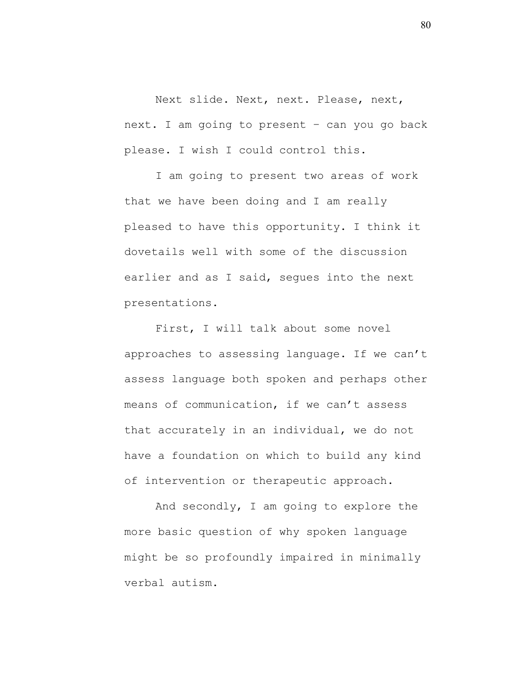Next slide. Next, next. Please, next, next. I am going to present – can you go back please. I wish I could control this.

I am going to present two areas of work that we have been doing and I am really pleased to have this opportunity. I think it dovetails well with some of the discussion earlier and as I said, seques into the next presentations.

First, I will talk about some novel approaches to assessing language. If we can't assess language both spoken and perhaps other means of communication, if we can't assess that accurately in an individual, we do not have a foundation on which to build any kind of intervention or therapeutic approach.

And secondly, I am going to explore the more basic question of why spoken language might be so profoundly impaired in minimally verbal autism.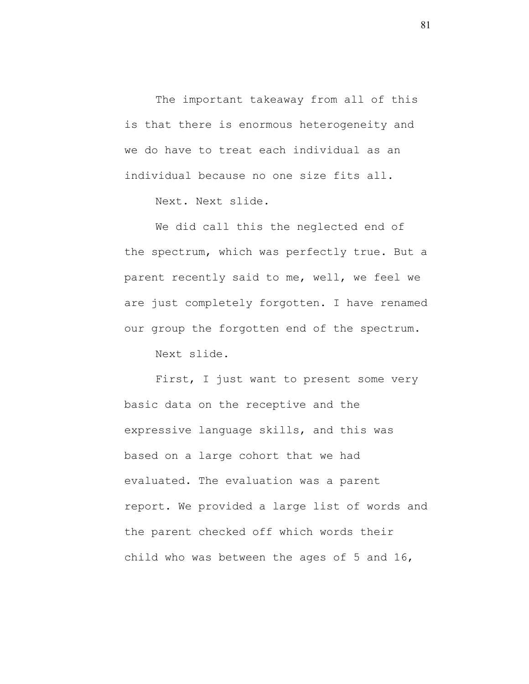The important takeaway from all of this is that there is enormous heterogeneity and we do have to treat each individual as an individual because no one size fits all.

Next. Next slide.

We did call this the neglected end of the spectrum, which was perfectly true. But a parent recently said to me, well, we feel we are just completely forgotten. I have renamed our group the forgotten end of the spectrum.

Next slide.

First, I just want to present some very basic data on the receptive and the expressive language skills, and this was based on a large cohort that we had evaluated. The evaluation was a parent report. We provided a large list of words and the parent checked off which words their child who was between the ages of 5 and 16,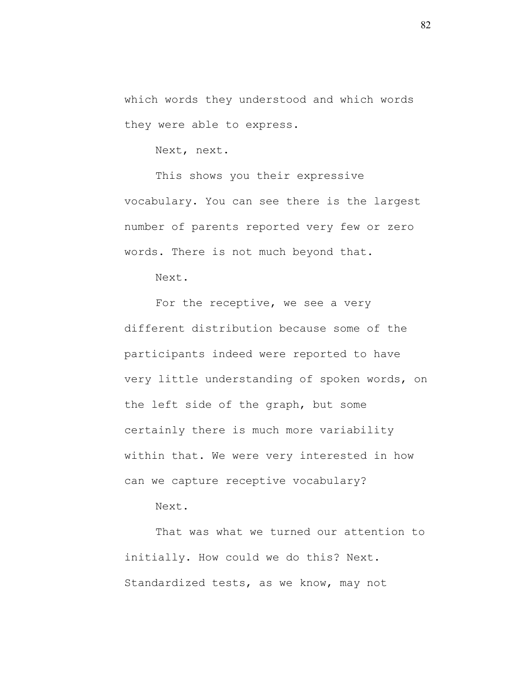which words they understood and which words they were able to express.

Next, next.

This shows you their expressive vocabulary. You can see there is the largest number of parents reported very few or zero words. There is not much beyond that.

Next.

For the receptive, we see a very different distribution because some of the participants indeed were reported to have very little understanding of spoken words, on the left side of the graph, but some certainly there is much more variability within that. We were very interested in how can we capture receptive vocabulary?

Next.

That was what we turned our attention to initially. How could we do this? Next. Standardized tests, as we know, may not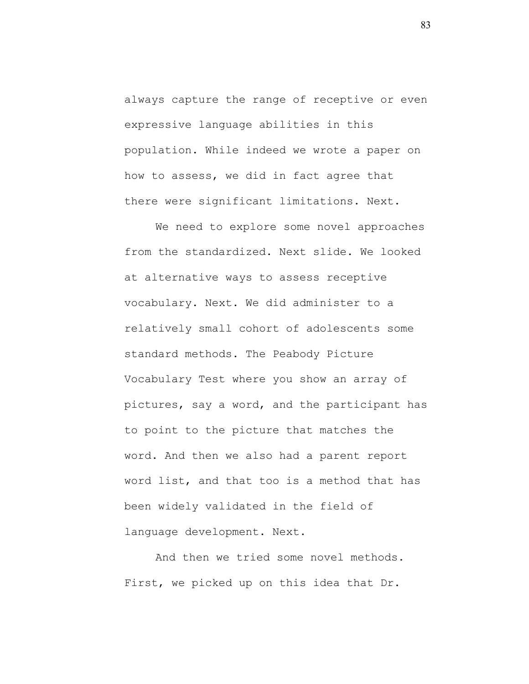always capture the range of receptive or even expressive language abilities in this population. While indeed we wrote a paper on how to assess, we did in fact agree that there were significant limitations. Next.

We need to explore some novel approaches from the standardized. Next slide. We looked at alternative ways to assess receptive vocabulary. Next. We did administer to a relatively small cohort of adolescents some standard methods. The Peabody Picture Vocabulary Test where you show an array of pictures, say a word, and the participant has to point to the picture that matches the word. And then we also had a parent report word list, and that too is a method that has been widely validated in the field of language development. Next.

And then we tried some novel methods. First, we picked up on this idea that Dr.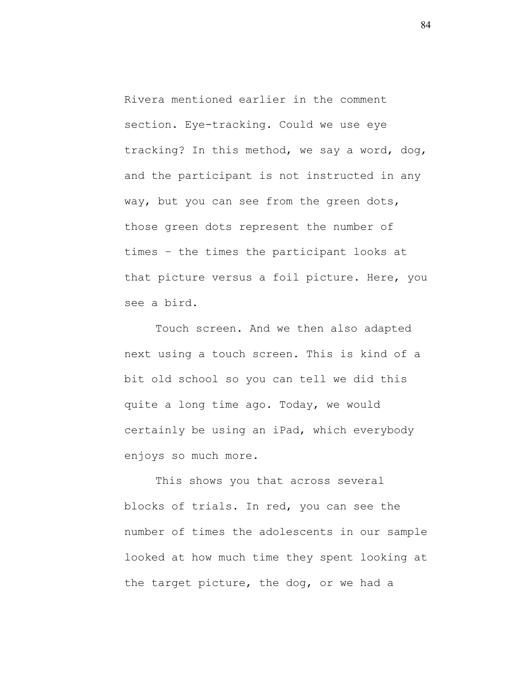Rivera mentioned earlier in the comment section. Eye-tracking. Could we use eye tracking? In this method, we say a word, dog, and the participant is not instructed in any way, but you can see from the green dots, those green dots represent the number of times – the times the participant looks at that picture versus a foil picture. Here, you see a bird.

Touch screen. And we then also adapted next using a touch screen. This is kind of a bit old school so you can tell we did this quite a long time ago. Today, we would certainly be using an iPad, which everybody enjoys so much more.

This shows you that across several blocks of trials. In red, you can see the number of times the adolescents in our sample looked at how much time they spent looking at the target picture, the dog, or we had a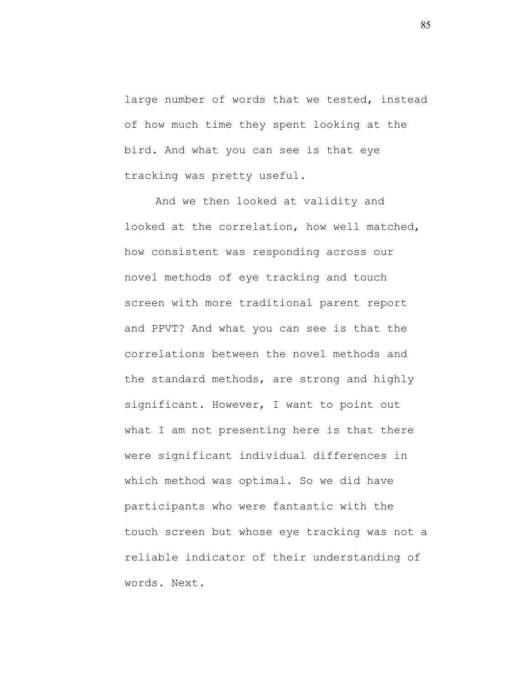large number of words that we tested, instead of how much time they spent looking at the bird. And what you can see is that eye tracking was pretty useful.

And we then looked at validity and looked at the correlation, how well matched, how consistent was responding across our novel methods of eye tracking and touch screen with more traditional parent report and PPVT? And what you can see is that the correlations between the novel methods and the standard methods, are strong and highly significant. However, I want to point out what I am not presenting here is that there were significant individual differences in which method was optimal. So we did have participants who were fantastic with the touch screen but whose eye tracking was not a reliable indicator of their understanding of words. Next.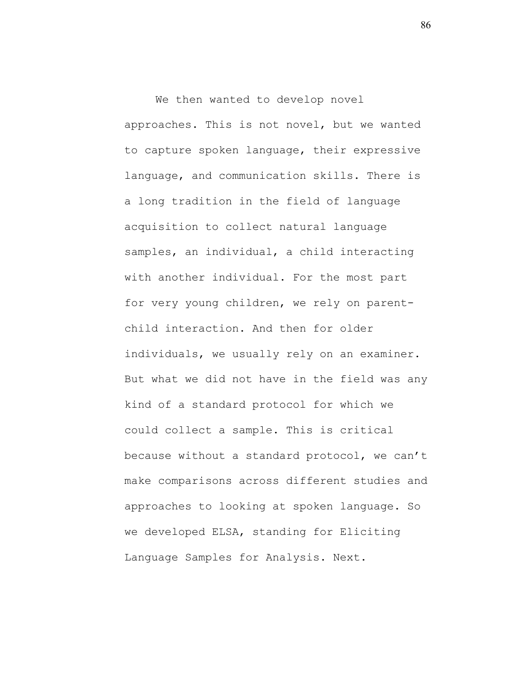We then wanted to develop novel approaches. This is not novel, but we wanted to capture spoken language, their expressive language, and communication skills. There is a long tradition in the field of language acquisition to collect natural language samples, an individual, a child interacting with another individual. For the most part for very young children, we rely on parentchild interaction. And then for older individuals, we usually rely on an examiner. But what we did not have in the field was any kind of a standard protocol for which we could collect a sample. This is critical because without a standard protocol, we can't make comparisons across different studies and approaches to looking at spoken language. So we developed ELSA, standing for Eliciting Language Samples for Analysis. Next.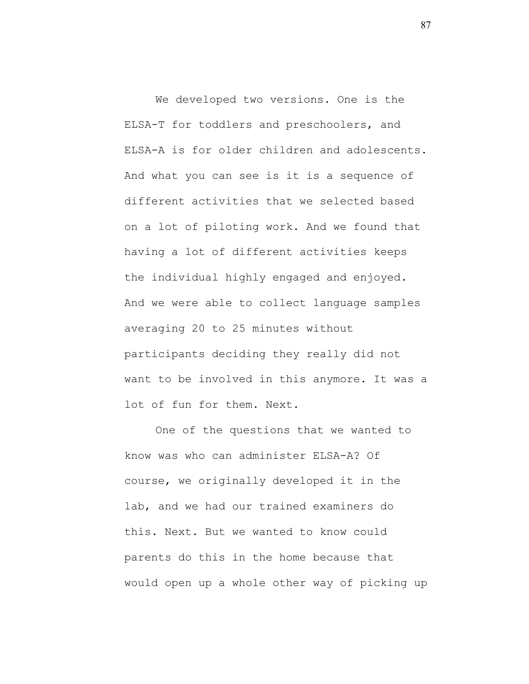We developed two versions. One is the ELSA-T for toddlers and preschoolers, and ELSA-A is for older children and adolescents. And what you can see is it is a sequence of different activities that we selected based on a lot of piloting work. And we found that having a lot of different activities keeps the individual highly engaged and enjoyed. And we were able to collect language samples averaging 20 to 25 minutes without participants deciding they really did not want to be involved in this anymore. It was a lot of fun for them. Next.

One of the questions that we wanted to know was who can administer ELSA-A? Of course, we originally developed it in the lab, and we had our trained examiners do this. Next. But we wanted to know could parents do this in the home because that would open up a whole other way of picking up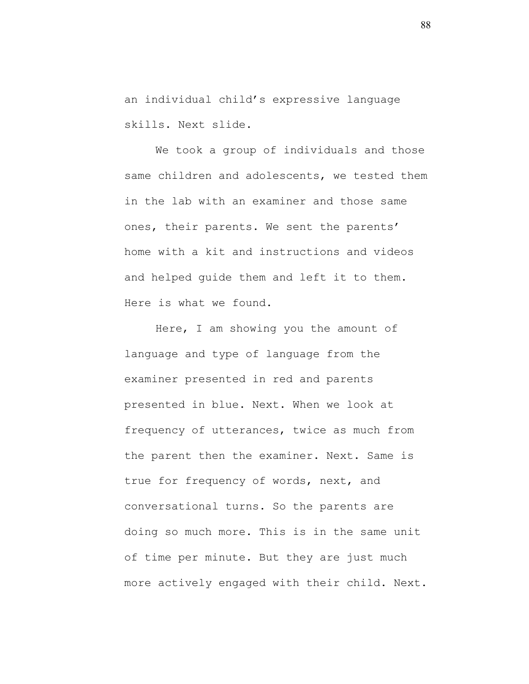an individual child's expressive language skills. Next slide.

We took a group of individuals and those same children and adolescents, we tested them in the lab with an examiner and those same ones, their parents. We sent the parents' home with a kit and instructions and videos and helped guide them and left it to them. Here is what we found.

Here, I am showing you the amount of language and type of language from the examiner presented in red and parents presented in blue. Next. When we look at frequency of utterances, twice as much from the parent then the examiner. Next. Same is true for frequency of words, next, and conversational turns. So the parents are doing so much more. This is in the same unit of time per minute. But they are just much more actively engaged with their child. Next.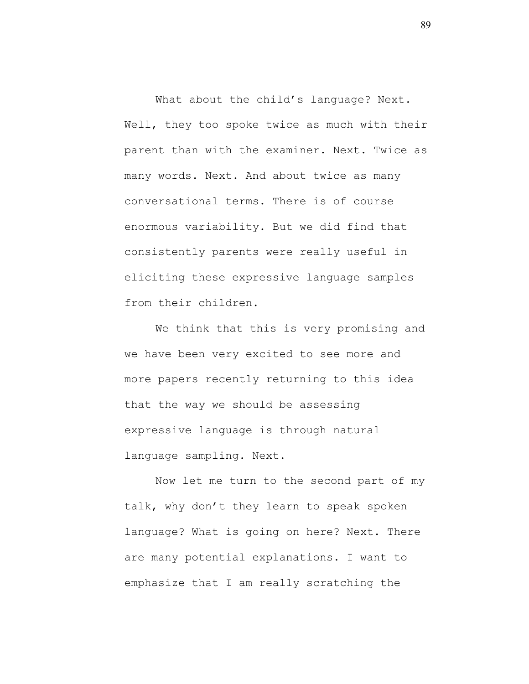What about the child's language? Next. Well, they too spoke twice as much with their parent than with the examiner. Next. Twice as many words. Next. And about twice as many conversational terms. There is of course enormous variability. But we did find that consistently parents were really useful in eliciting these expressive language samples from their children.

We think that this is very promising and we have been very excited to see more and more papers recently returning to this idea that the way we should be assessing expressive language is through natural language sampling. Next.

Now let me turn to the second part of my talk, why don't they learn to speak spoken language? What is going on here? Next. There are many potential explanations. I want to emphasize that I am really scratching the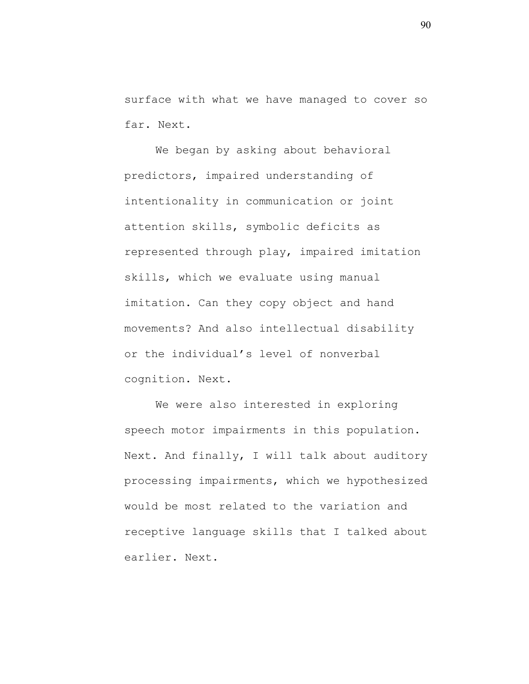surface with what we have managed to cover so far. Next.

We began by asking about behavioral predictors, impaired understanding of intentionality in communication or joint attention skills, symbolic deficits as represented through play, impaired imitation skills, which we evaluate using manual imitation. Can they copy object and hand movements? And also intellectual disability or the individual's level of nonverbal cognition. Next.

We were also interested in exploring speech motor impairments in this population. Next. And finally, I will talk about auditory processing impairments, which we hypothesized would be most related to the variation and receptive language skills that I talked about earlier. Next.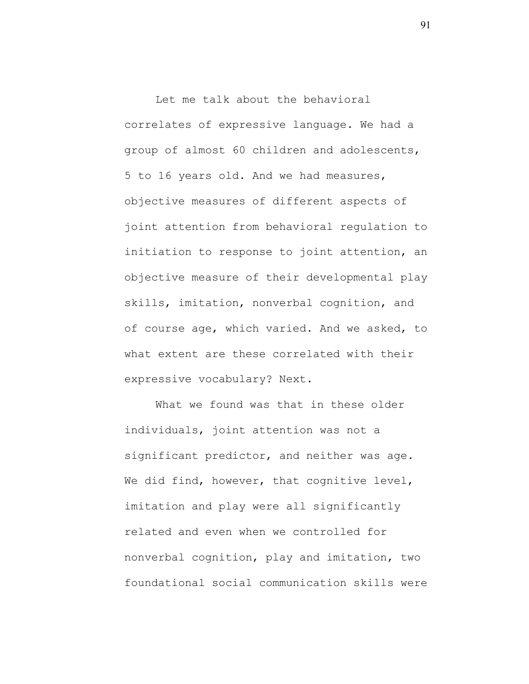Let me talk about the behavioral correlates of expressive language. We had a group of almost 60 children and adolescents, 5 to 16 years old. And we had measures, objective measures of different aspects of joint attention from behavioral regulation to initiation to response to joint attention, an objective measure of their developmental play skills, imitation, nonverbal cognition, and of course age, which varied. And we asked, to what extent are these correlated with their expressive vocabulary? Next.

What we found was that in these older individuals, joint attention was not a significant predictor, and neither was age. We did find, however, that cognitive level, imitation and play were all significantly related and even when we controlled for nonverbal cognition, play and imitation, two foundational social communication skills were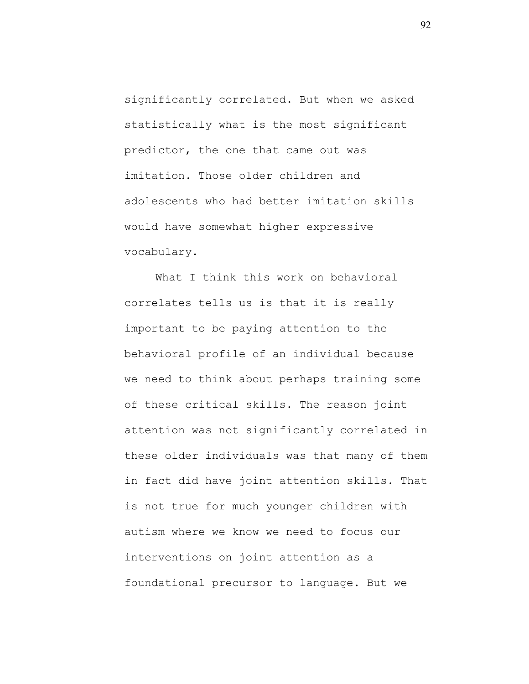significantly correlated. But when we asked statistically what is the most significant predictor, the one that came out was imitation. Those older children and adolescents who had better imitation skills would have somewhat higher expressive vocabulary.

What I think this work on behavioral correlates tells us is that it is really important to be paying attention to the behavioral profile of an individual because we need to think about perhaps training some of these critical skills. The reason joint attention was not significantly correlated in these older individuals was that many of them in fact did have joint attention skills. That is not true for much younger children with autism where we know we need to focus our interventions on joint attention as a foundational precursor to language. But we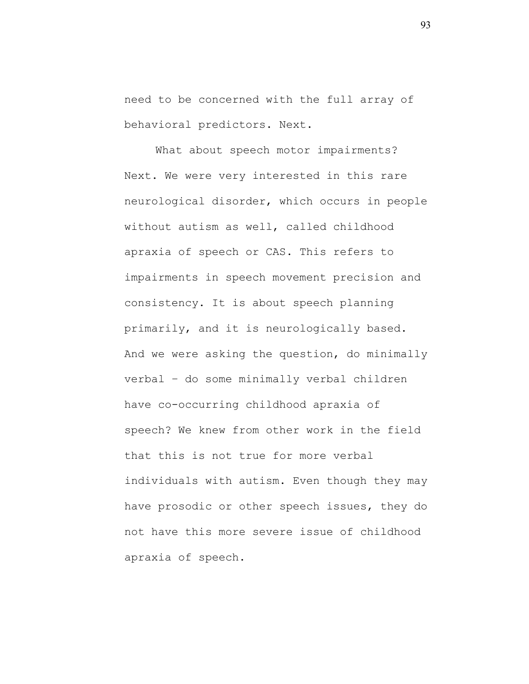need to be concerned with the full array of behavioral predictors. Next.

What about speech motor impairments? Next. We were very interested in this rare neurological disorder, which occurs in people without autism as well, called childhood apraxia of speech or CAS. This refers to impairments in speech movement precision and consistency. It is about speech planning primarily, and it is neurologically based. And we were asking the question, do minimally verbal – do some minimally verbal children have co-occurring childhood apraxia of speech? We knew from other work in the field that this is not true for more verbal individuals with autism. Even though they may have prosodic or other speech issues, they do not have this more severe issue of childhood apraxia of speech.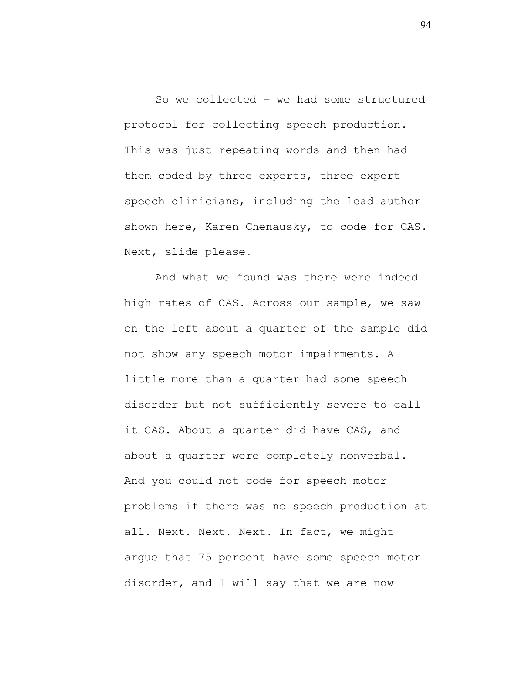So we collected – we had some structured protocol for collecting speech production. This was just repeating words and then had them coded by three experts, three expert speech clinicians, including the lead author shown here, Karen Chenausky, to code for CAS. Next, slide please.

And what we found was there were indeed high rates of CAS. Across our sample, we saw on the left about a quarter of the sample did not show any speech motor impairments. A little more than a quarter had some speech disorder but not sufficiently severe to call it CAS. About a quarter did have CAS, and about a quarter were completely nonverbal. And you could not code for speech motor problems if there was no speech production at all. Next. Next. Next. In fact, we might argue that 75 percent have some speech motor disorder, and I will say that we are now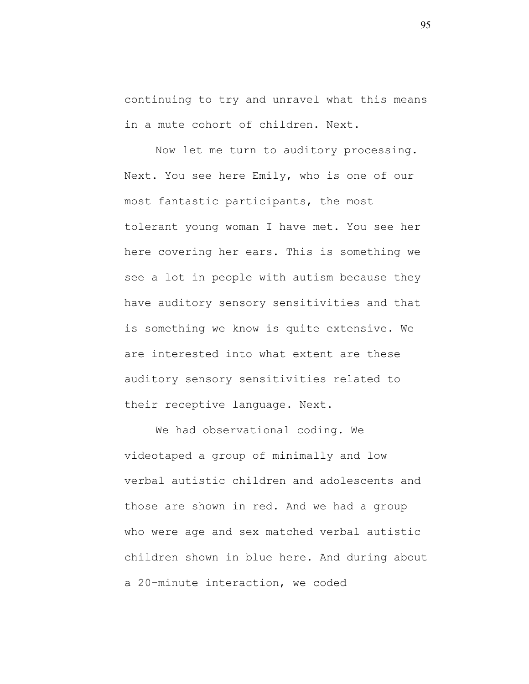continuing to try and unravel what this means in a mute cohort of children. Next.

Now let me turn to auditory processing. Next. You see here Emily, who is one of our most fantastic participants, the most tolerant young woman I have met. You see her here covering her ears. This is something we see a lot in people with autism because they have auditory sensory sensitivities and that is something we know is quite extensive. We are interested into what extent are these auditory sensory sensitivities related to their receptive language. Next.

We had observational coding. We videotaped a group of minimally and low verbal autistic children and adolescents and those are shown in red. And we had a group who were age and sex matched verbal autistic children shown in blue here. And during about a 20-minute interaction, we coded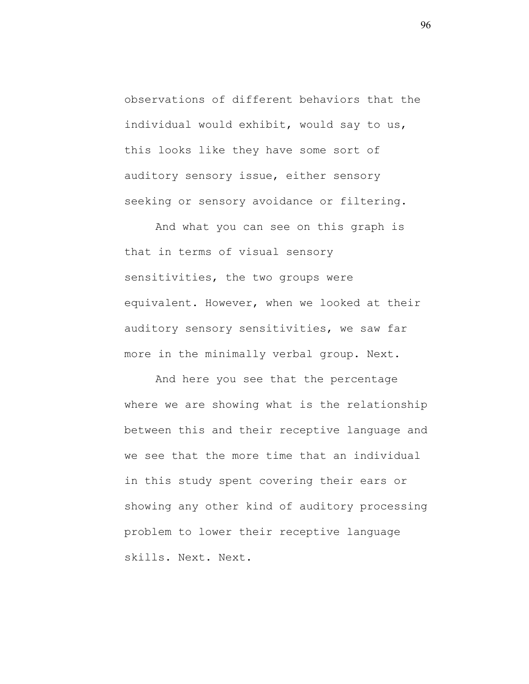observations of different behaviors that the individual would exhibit, would say to us, this looks like they have some sort of auditory sensory issue, either sensory seeking or sensory avoidance or filtering.

And what you can see on this graph is that in terms of visual sensory sensitivities, the two groups were equivalent. However, when we looked at their auditory sensory sensitivities, we saw far more in the minimally verbal group. Next.

And here you see that the percentage where we are showing what is the relationship between this and their receptive language and we see that the more time that an individual in this study spent covering their ears or showing any other kind of auditory processing problem to lower their receptive language skills. Next. Next.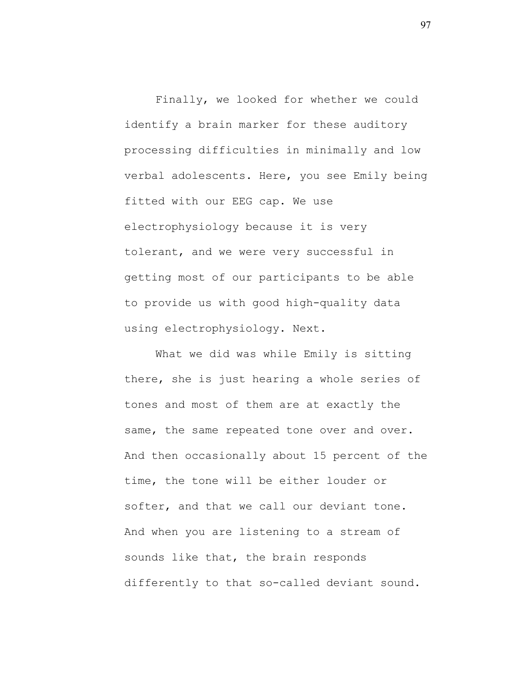Finally, we looked for whether we could identify a brain marker for these auditory processing difficulties in minimally and low verbal adolescents. Here, you see Emily being fitted with our EEG cap. We use electrophysiology because it is very tolerant, and we were very successful in getting most of our participants to be able to provide us with good high-quality data using electrophysiology. Next.

What we did was while Emily is sitting there, she is just hearing a whole series of tones and most of them are at exactly the same, the same repeated tone over and over. And then occasionally about 15 percent of the time, the tone will be either louder or softer, and that we call our deviant tone. And when you are listening to a stream of sounds like that, the brain responds differently to that so-called deviant sound.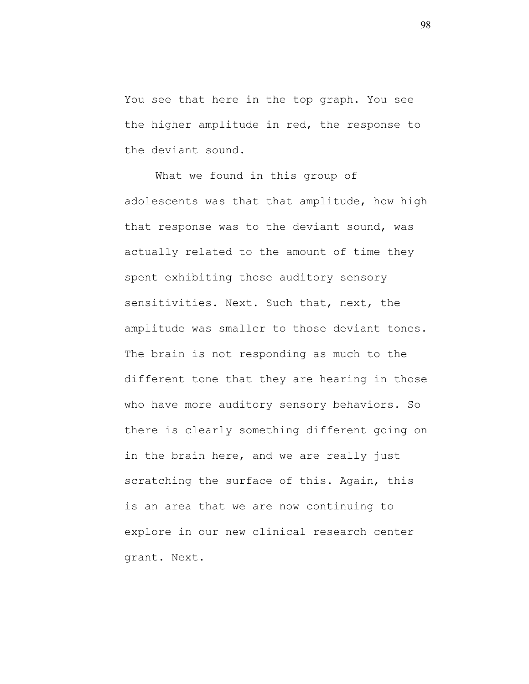You see that here in the top graph. You see the higher amplitude in red, the response to the deviant sound.

What we found in this group of adolescents was that that amplitude, how high that response was to the deviant sound, was actually related to the amount of time they spent exhibiting those auditory sensory sensitivities. Next. Such that, next, the amplitude was smaller to those deviant tones. The brain is not responding as much to the different tone that they are hearing in those who have more auditory sensory behaviors. So there is clearly something different going on in the brain here, and we are really just scratching the surface of this. Again, this is an area that we are now continuing to explore in our new clinical research center grant. Next.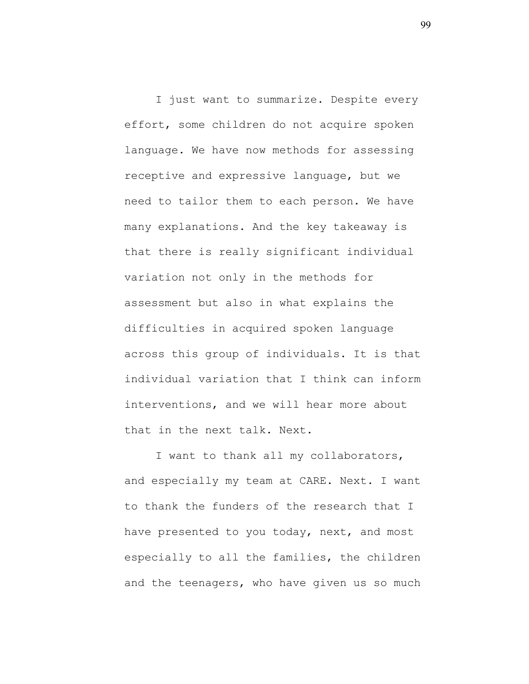I just want to summarize. Despite every effort, some children do not acquire spoken language. We have now methods for assessing receptive and expressive language, but we need to tailor them to each person. We have many explanations. And the key takeaway is that there is really significant individual variation not only in the methods for assessment but also in what explains the difficulties in acquired spoken language across this group of individuals. It is that individual variation that I think can inform interventions, and we will hear more about that in the next talk. Next.

I want to thank all my collaborators, and especially my team at CARE. Next. I want to thank the funders of the research that I have presented to you today, next, and most especially to all the families, the children and the teenagers, who have given us so much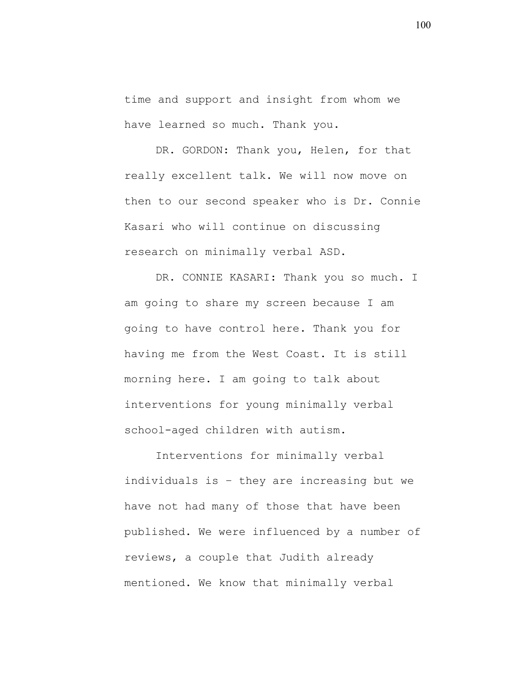time and support and insight from whom we have learned so much. Thank you.

DR. GORDON: Thank you, Helen, for that really excellent talk. We will now move on then to our second speaker who is Dr. Connie Kasari who will continue on discussing research on minimally verbal ASD.

DR. CONNIE KASARI: Thank you so much. I am going to share my screen because I am going to have control here. Thank you for having me from the West Coast. It is still morning here. I am going to talk about interventions for young minimally verbal school-aged children with autism.

Interventions for minimally verbal individuals is – they are increasing but we have not had many of those that have been published. We were influenced by a number of reviews, a couple that Judith already mentioned. We know that minimally verbal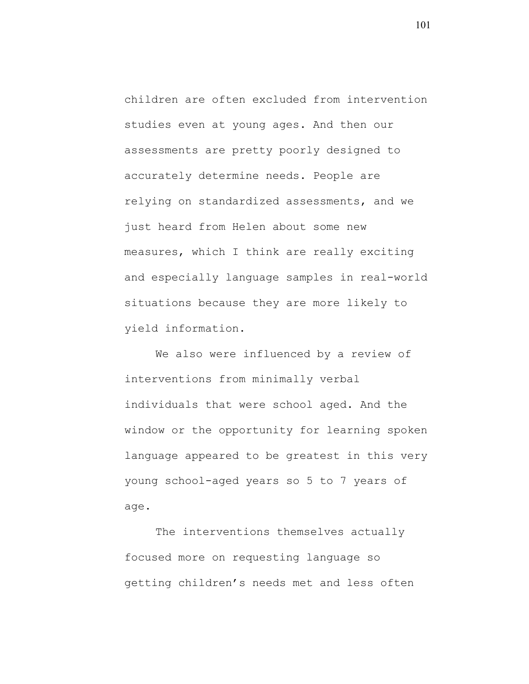children are often excluded from intervention studies even at young ages. And then our assessments are pretty poorly designed to accurately determine needs. People are relying on standardized assessments, and we just heard from Helen about some new measures, which I think are really exciting and especially language samples in real-world situations because they are more likely to yield information.

We also were influenced by a review of interventions from minimally verbal individuals that were school aged. And the window or the opportunity for learning spoken language appeared to be greatest in this very young school-aged years so 5 to 7 years of age.

The interventions themselves actually focused more on requesting language so getting children's needs met and less often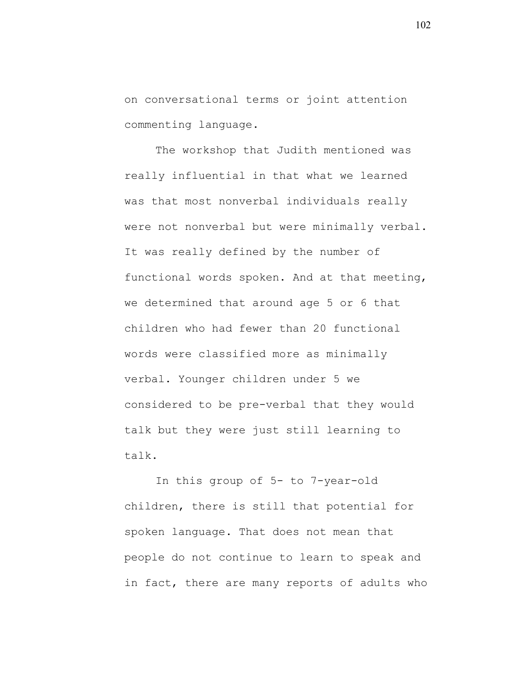on conversational terms or joint attention commenting language.

The workshop that Judith mentioned was really influential in that what we learned was that most nonverbal individuals really were not nonverbal but were minimally verbal. It was really defined by the number of functional words spoken. And at that meeting, we determined that around age 5 or 6 that children who had fewer than 20 functional words were classified more as minimally verbal. Younger children under 5 we considered to be pre-verbal that they would talk but they were just still learning to talk.

In this group of 5- to 7-year-old children, there is still that potential for spoken language. That does not mean that people do not continue to learn to speak and in fact, there are many reports of adults who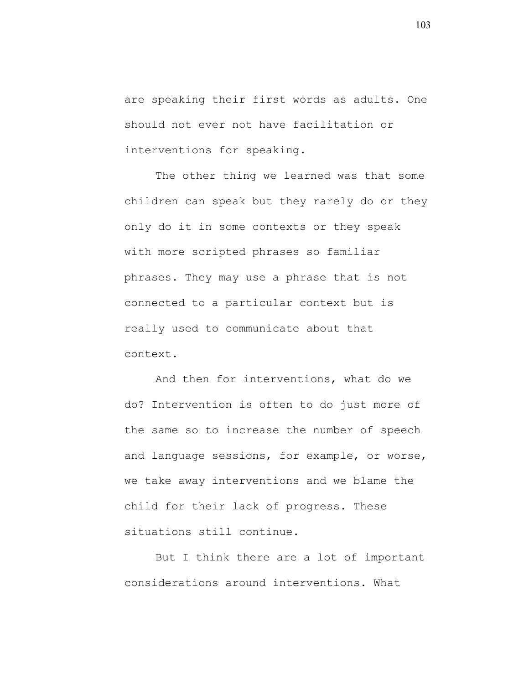are speaking their first words as adults. One should not ever not have facilitation or interventions for speaking.

The other thing we learned was that some children can speak but they rarely do or they only do it in some contexts or they speak with more scripted phrases so familiar phrases. They may use a phrase that is not connected to a particular context but is really used to communicate about that context.

And then for interventions, what do we do? Intervention is often to do just more of the same so to increase the number of speech and language sessions, for example, or worse, we take away interventions and we blame the child for their lack of progress. These situations still continue.

But I think there are a lot of important considerations around interventions. What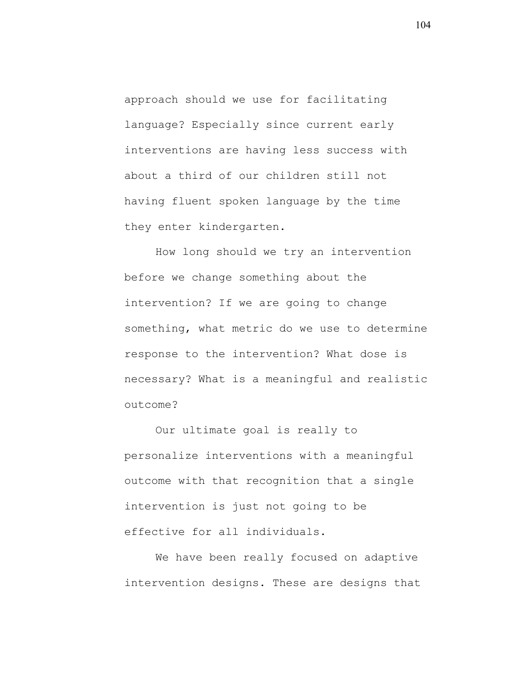approach should we use for facilitating language? Especially since current early interventions are having less success with about a third of our children still not having fluent spoken language by the time they enter kindergarten.

How long should we try an intervention before we change something about the intervention? If we are going to change something, what metric do we use to determine response to the intervention? What dose is necessary? What is a meaningful and realistic outcome?

Our ultimate goal is really to personalize interventions with a meaningful outcome with that recognition that a single intervention is just not going to be effective for all individuals.

We have been really focused on adaptive intervention designs. These are designs that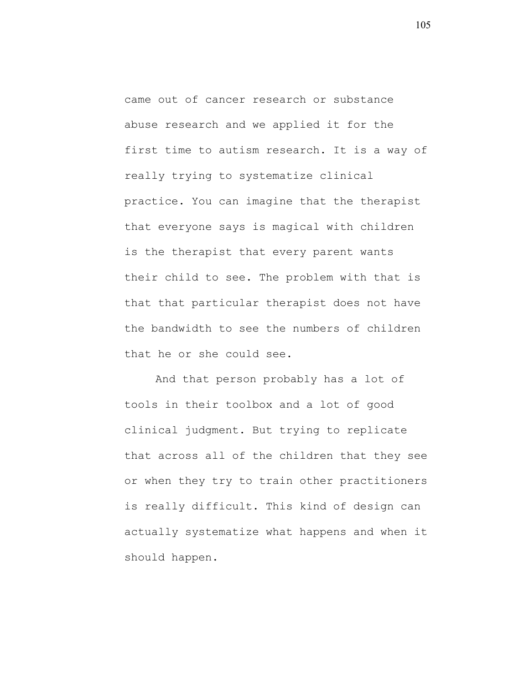came out of cancer research or substance abuse research and we applied it for the first time to autism research. It is a way of really trying to systematize clinical practice. You can imagine that the therapist that everyone says is magical with children is the therapist that every parent wants their child to see. The problem with that is that that particular therapist does not have the bandwidth to see the numbers of children that he or she could see.

And that person probably has a lot of tools in their toolbox and a lot of good clinical judgment. But trying to replicate that across all of the children that they see or when they try to train other practitioners is really difficult. This kind of design can actually systematize what happens and when it should happen.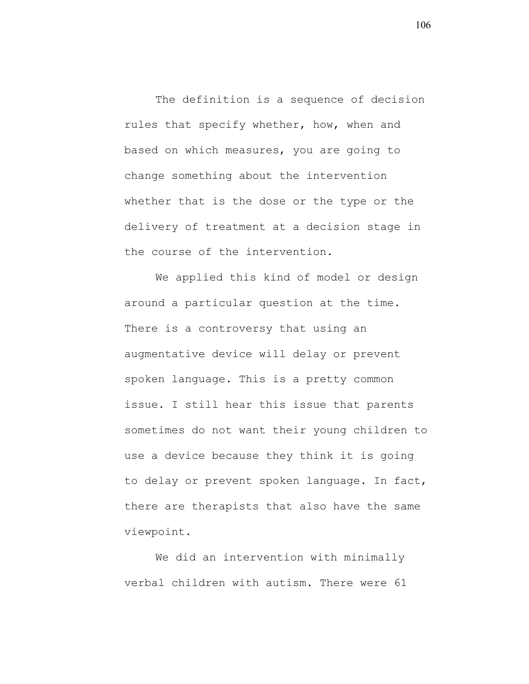The definition is a sequence of decision rules that specify whether, how, when and based on which measures, you are going to change something about the intervention whether that is the dose or the type or the delivery of treatment at a decision stage in the course of the intervention.

We applied this kind of model or design around a particular question at the time. There is a controversy that using an augmentative device will delay or prevent spoken language. This is a pretty common issue. I still hear this issue that parents sometimes do not want their young children to use a device because they think it is going to delay or prevent spoken language. In fact, there are therapists that also have the same viewpoint.

We did an intervention with minimally verbal children with autism. There were 61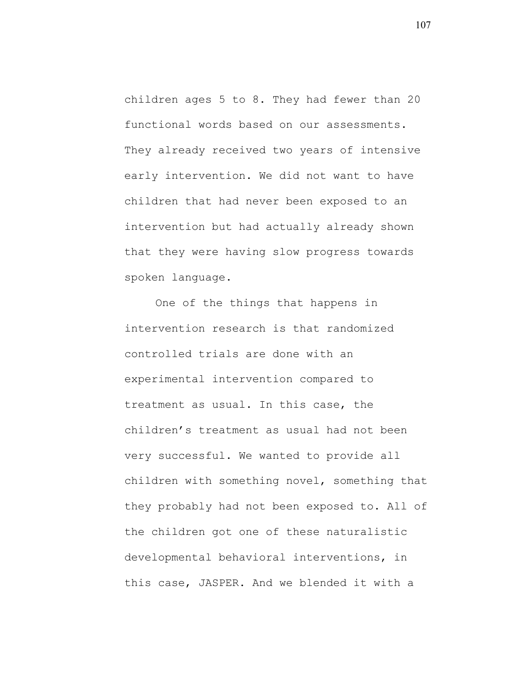children ages 5 to 8. They had fewer than 20 functional words based on our assessments. They already received two years of intensive early intervention. We did not want to have children that had never been exposed to an intervention but had actually already shown that they were having slow progress towards spoken language.

One of the things that happens in intervention research is that randomized controlled trials are done with an experimental intervention compared to treatment as usual. In this case, the children's treatment as usual had not been very successful. We wanted to provide all children with something novel, something that they probably had not been exposed to. All of the children got one of these naturalistic developmental behavioral interventions, in this case, JASPER. And we blended it with a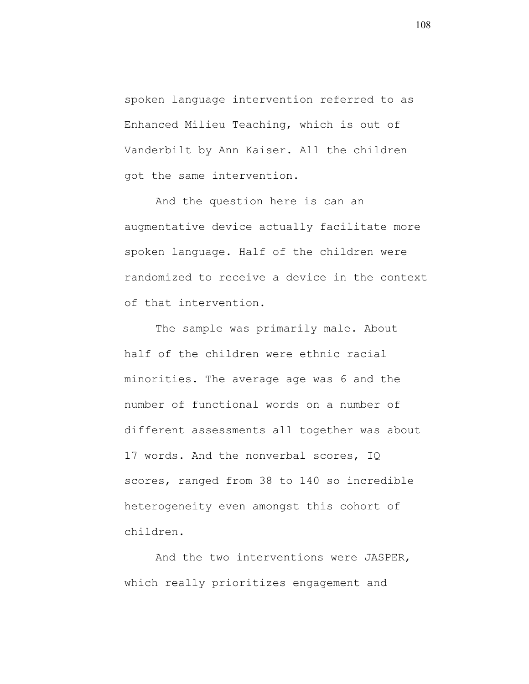spoken language intervention referred to as Enhanced Milieu Teaching, which is out of Vanderbilt by Ann Kaiser. All the children got the same intervention.

And the question here is can an augmentative device actually facilitate more spoken language. Half of the children were randomized to receive a device in the context of that intervention.

The sample was primarily male. About half of the children were ethnic racial minorities. The average age was 6 and the number of functional words on a number of different assessments all together was about 17 words. And the nonverbal scores, IQ scores, ranged from 38 to 140 so incredible heterogeneity even amongst this cohort of children.

And the two interventions were JASPER, which really prioritizes engagement and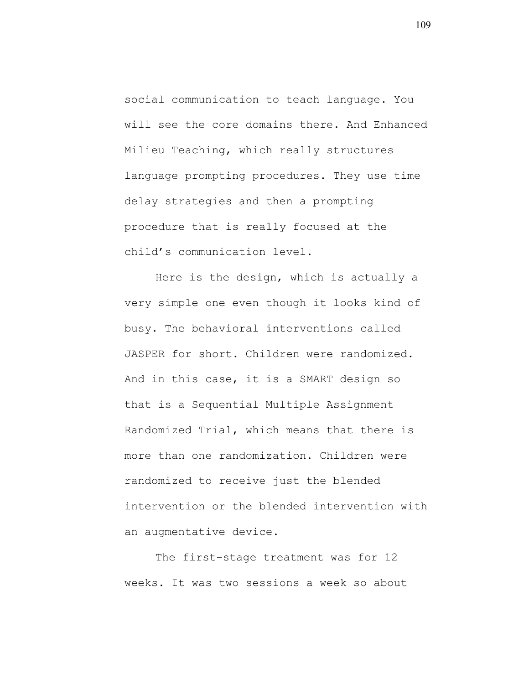social communication to teach language. You will see the core domains there. And Enhanced Milieu Teaching, which really structures language prompting procedures. They use time delay strategies and then a prompting procedure that is really focused at the child's communication level.

Here is the design, which is actually a very simple one even though it looks kind of busy. The behavioral interventions called JASPER for short. Children were randomized. And in this case, it is a SMART design so that is a Sequential Multiple Assignment Randomized Trial, which means that there is more than one randomization. Children were randomized to receive just the blended intervention or the blended intervention with an augmentative device.

The first-stage treatment was for 12 weeks. It was two sessions a week so about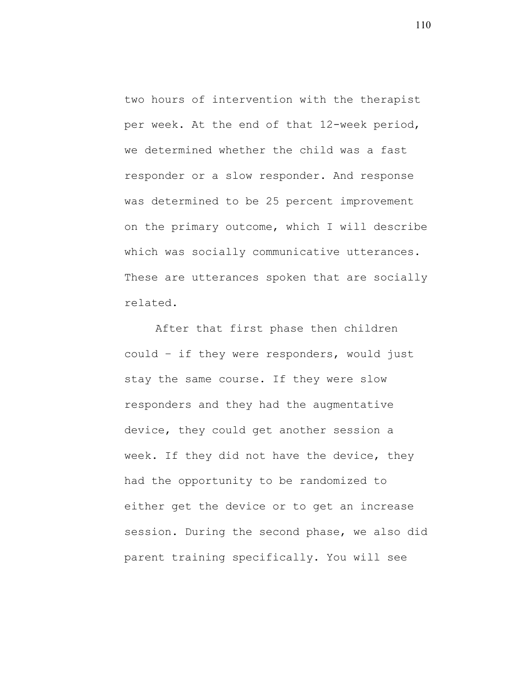two hours of intervention with the therapist per week. At the end of that 12-week period, we determined whether the child was a fast responder or a slow responder. And response was determined to be 25 percent improvement on the primary outcome, which I will describe which was socially communicative utterances. These are utterances spoken that are socially related.

After that first phase then children could – if they were responders, would just stay the same course. If they were slow responders and they had the augmentative device, they could get another session a week. If they did not have the device, they had the opportunity to be randomized to either get the device or to get an increase session. During the second phase, we also did parent training specifically. You will see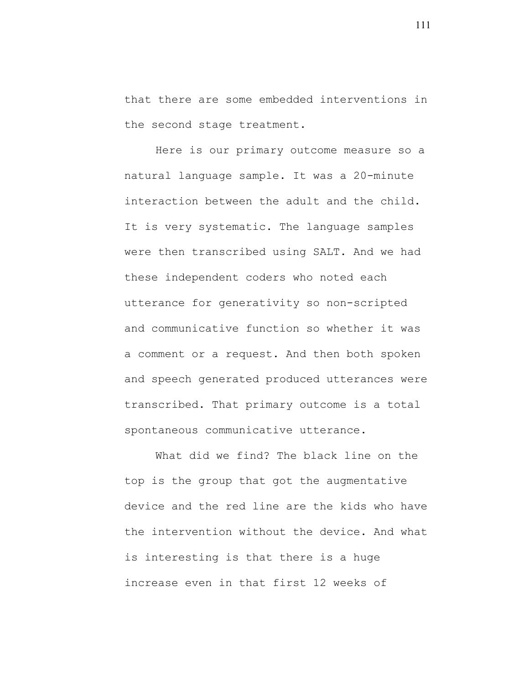that there are some embedded interventions in the second stage treatment.

Here is our primary outcome measure so a natural language sample. It was a 20-minute interaction between the adult and the child. It is very systematic. The language samples were then transcribed using SALT. And we had these independent coders who noted each utterance for generativity so non-scripted and communicative function so whether it was a comment or a request. And then both spoken and speech generated produced utterances were transcribed. That primary outcome is a total spontaneous communicative utterance.

What did we find? The black line on the top is the group that got the augmentative device and the red line are the kids who have the intervention without the device. And what is interesting is that there is a huge increase even in that first 12 weeks of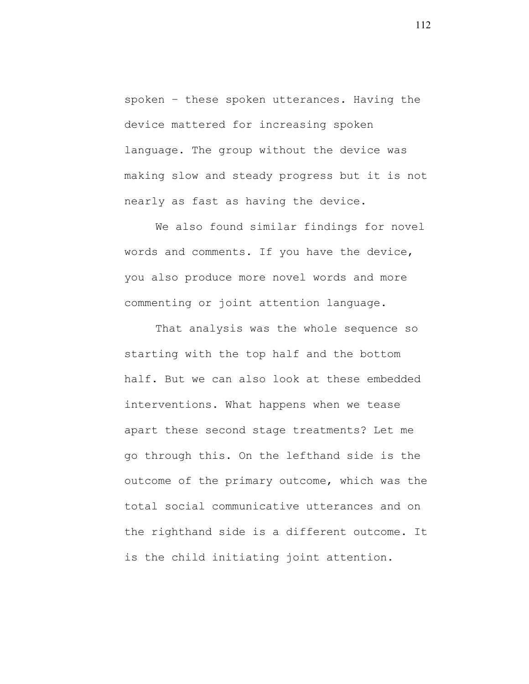spoken – these spoken utterances. Having the device mattered for increasing spoken language. The group without the device was making slow and steady progress but it is not nearly as fast as having the device.

We also found similar findings for novel words and comments. If you have the device, you also produce more novel words and more commenting or joint attention language.

That analysis was the whole sequence so starting with the top half and the bottom half. But we can also look at these embedded interventions. What happens when we tease apart these second stage treatments? Let me go through this. On the lefthand side is the outcome of the primary outcome, which was the total social communicative utterances and on the righthand side is a different outcome. It is the child initiating joint attention.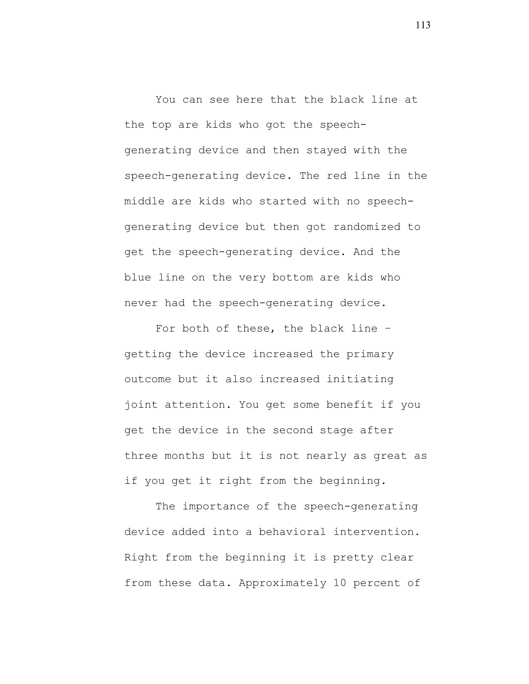You can see here that the black line at the top are kids who got the speechgenerating device and then stayed with the speech-generating device. The red line in the middle are kids who started with no speechgenerating device but then got randomized to get the speech-generating device. And the blue line on the very bottom are kids who never had the speech-generating device.

For both of these, the black line – getting the device increased the primary outcome but it also increased initiating joint attention. You get some benefit if you get the device in the second stage after three months but it is not nearly as great as if you get it right from the beginning.

The importance of the speech-generating device added into a behavioral intervention. Right from the beginning it is pretty clear from these data. Approximately 10 percent of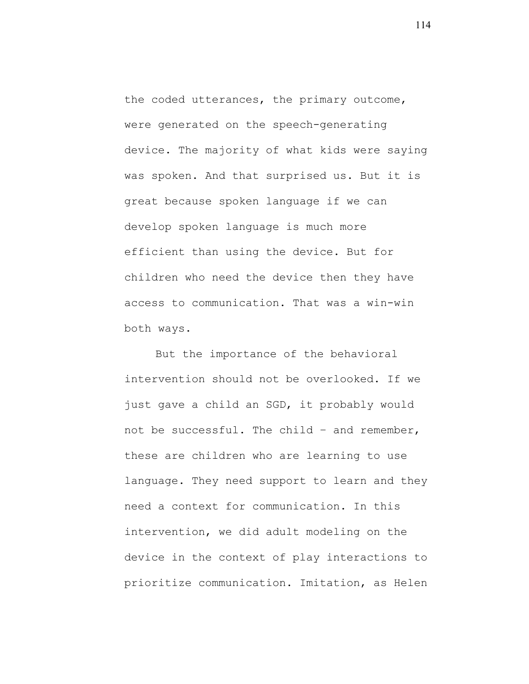the coded utterances, the primary outcome, were generated on the speech-generating device. The majority of what kids were saying was spoken. And that surprised us. But it is great because spoken language if we can develop spoken language is much more efficient than using the device. But for children who need the device then they have access to communication. That was a win-win both ways.

But the importance of the behavioral intervention should not be overlooked. If we just gave a child an SGD, it probably would not be successful. The child – and remember, these are children who are learning to use language. They need support to learn and they need a context for communication. In this intervention, we did adult modeling on the device in the context of play interactions to prioritize communication. Imitation, as Helen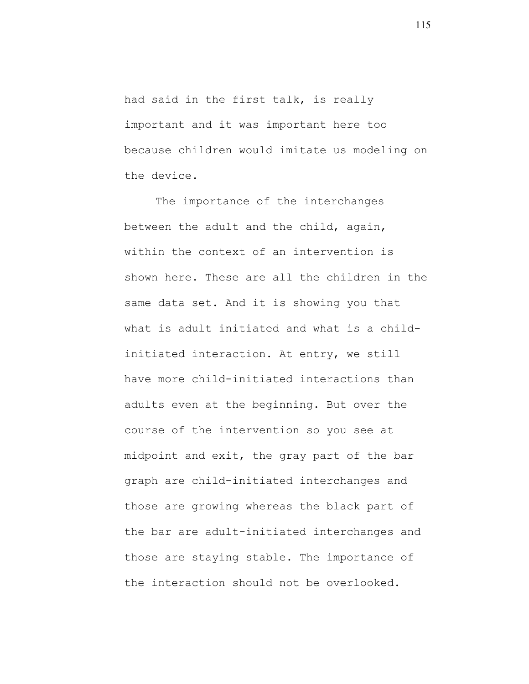had said in the first talk, is really important and it was important here too because children would imitate us modeling on the device.

The importance of the interchanges between the adult and the child, again, within the context of an intervention is shown here. These are all the children in the same data set. And it is showing you that what is adult initiated and what is a childinitiated interaction. At entry, we still have more child-initiated interactions than adults even at the beginning. But over the course of the intervention so you see at midpoint and exit, the gray part of the bar graph are child-initiated interchanges and those are growing whereas the black part of the bar are adult-initiated interchanges and those are staying stable. The importance of the interaction should not be overlooked.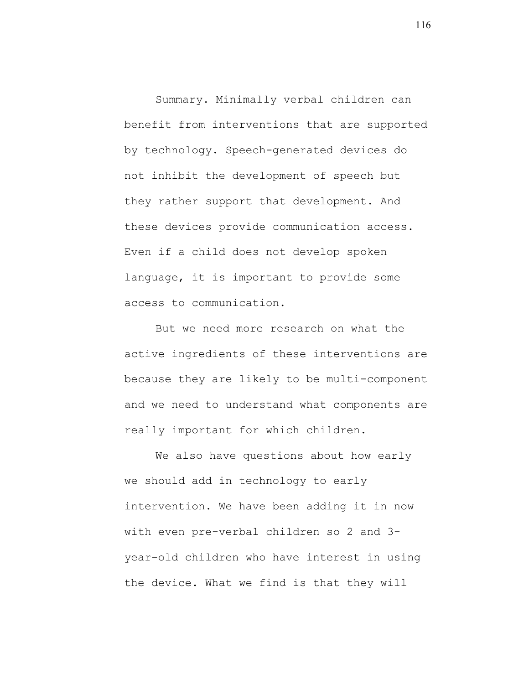Summary. Minimally verbal children can benefit from interventions that are supported by technology. Speech-generated devices do not inhibit the development of speech but they rather support that development. And these devices provide communication access. Even if a child does not develop spoken language, it is important to provide some access to communication.

But we need more research on what the active ingredients of these interventions are because they are likely to be multi-component and we need to understand what components are really important for which children.

We also have questions about how early we should add in technology to early intervention. We have been adding it in now with even pre-verbal children so 2 and 3 year-old children who have interest in using the device. What we find is that they will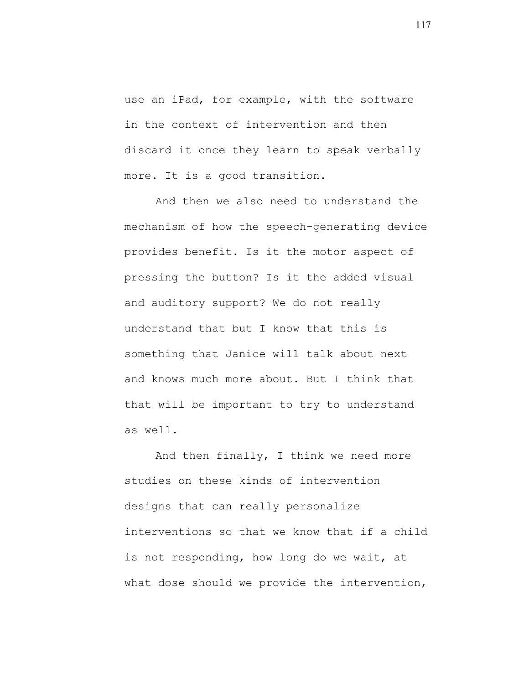use an iPad, for example, with the software in the context of intervention and then discard it once they learn to speak verbally more. It is a good transition.

And then we also need to understand the mechanism of how the speech-generating device provides benefit. Is it the motor aspect of pressing the button? Is it the added visual and auditory support? We do not really understand that but I know that this is something that Janice will talk about next and knows much more about. But I think that that will be important to try to understand as well.

And then finally, I think we need more studies on these kinds of intervention designs that can really personalize interventions so that we know that if a child is not responding, how long do we wait, at what dose should we provide the intervention,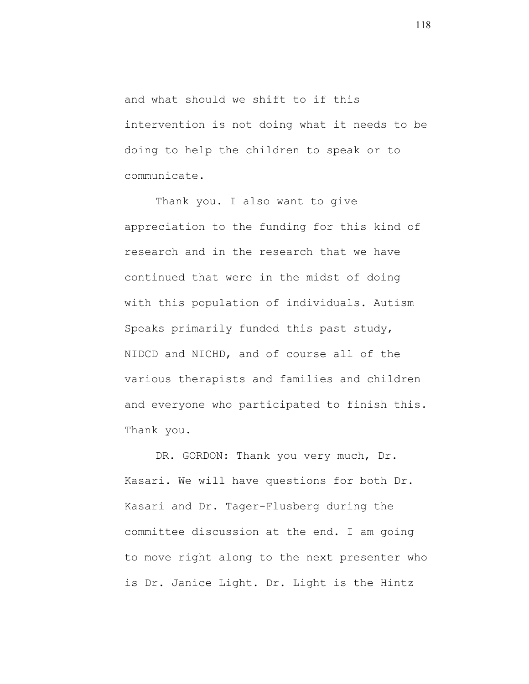and what should we shift to if this intervention is not doing what it needs to be doing to help the children to speak or to communicate.

Thank you. I also want to give appreciation to the funding for this kind of research and in the research that we have continued that were in the midst of doing with this population of individuals. Autism Speaks primarily funded this past study, NIDCD and NICHD, and of course all of the various therapists and families and children and everyone who participated to finish this. Thank you.

DR. GORDON: Thank you very much, Dr. Kasari. We will have questions for both Dr. Kasari and Dr. Tager-Flusberg during the committee discussion at the end. I am going to move right along to the next presenter who is Dr. Janice Light. Dr. Light is the Hintz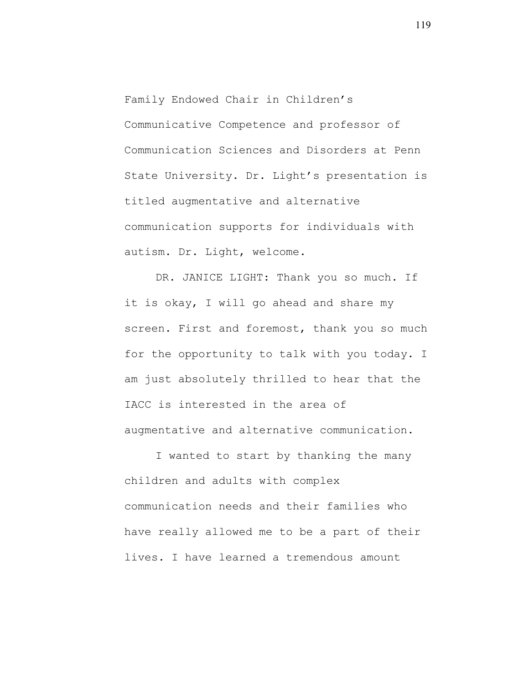Family Endowed Chair in Children's Communicative Competence and professor of Communication Sciences and Disorders at Penn State University. Dr. Light's presentation is titled augmentative and alternative communication supports for individuals with autism. Dr. Light, welcome.

DR. JANICE LIGHT: Thank you so much. If it is okay, I will go ahead and share my screen. First and foremost, thank you so much for the opportunity to talk with you today. I am just absolutely thrilled to hear that the IACC is interested in the area of augmentative and alternative communication.

I wanted to start by thanking the many children and adults with complex communication needs and their families who have really allowed me to be a part of their lives. I have learned a tremendous amount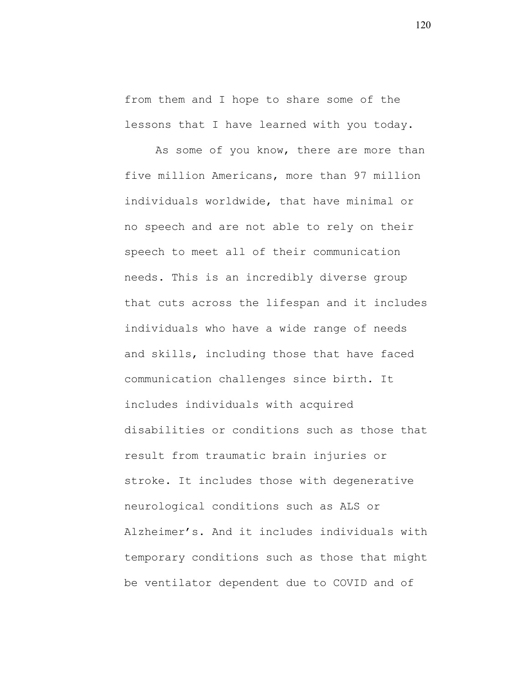from them and I hope to share some of the lessons that I have learned with you today.

As some of you know, there are more than five million Americans, more than 97 million individuals worldwide, that have minimal or no speech and are not able to rely on their speech to meet all of their communication needs. This is an incredibly diverse group that cuts across the lifespan and it includes individuals who have a wide range of needs and skills, including those that have faced communication challenges since birth. It includes individuals with acquired disabilities or conditions such as those that result from traumatic brain injuries or stroke. It includes those with degenerative neurological conditions such as ALS or Alzheimer's. And it includes individuals with temporary conditions such as those that might be ventilator dependent due to COVID and of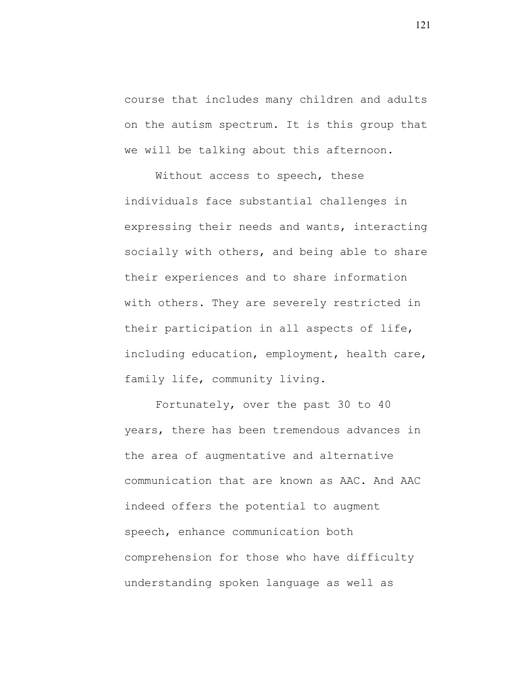course that includes many children and adults on the autism spectrum. It is this group that we will be talking about this afternoon.

Without access to speech, these individuals face substantial challenges in expressing their needs and wants, interacting socially with others, and being able to share their experiences and to share information with others. They are severely restricted in their participation in all aspects of life, including education, employment, health care, family life, community living.

Fortunately, over the past 30 to 40 years, there has been tremendous advances in the area of augmentative and alternative communication that are known as AAC. And AAC indeed offers the potential to augment speech, enhance communication both comprehension for those who have difficulty understanding spoken language as well as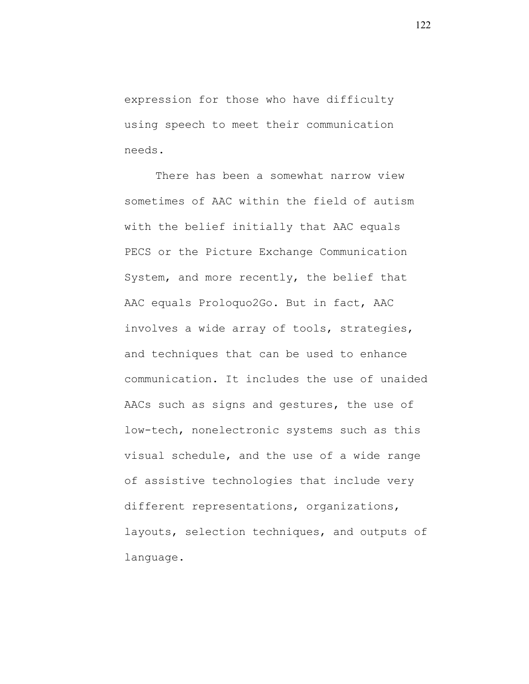expression for those who have difficulty using speech to meet their communication needs.

There has been a somewhat narrow view sometimes of AAC within the field of autism with the belief initially that AAC equals PECS or the Picture Exchange Communication System, and more recently, the belief that AAC equals Proloquo2Go. But in fact, AAC involves a wide array of tools, strategies, and techniques that can be used to enhance communication. It includes the use of unaided AACs such as signs and gestures, the use of low-tech, nonelectronic systems such as this visual schedule, and the use of a wide range of assistive technologies that include very different representations, organizations, layouts, selection techniques, and outputs of language.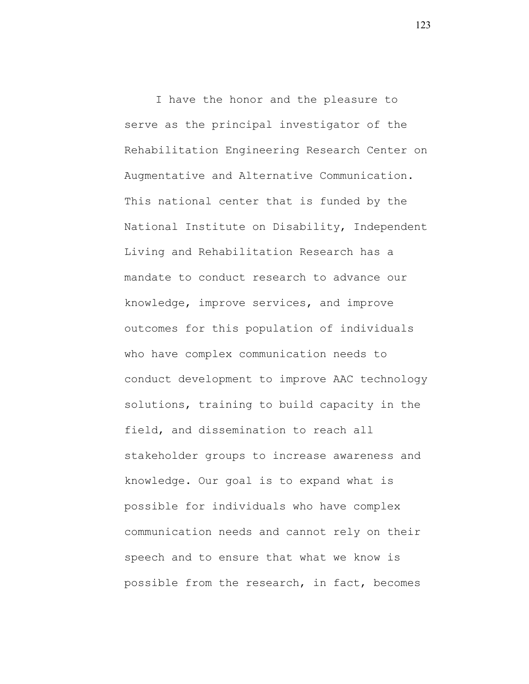I have the honor and the pleasure to serve as the principal investigator of the Rehabilitation Engineering Research Center on Augmentative and Alternative Communication. This national center that is funded by the National Institute on Disability, Independent Living and Rehabilitation Research has a mandate to conduct research to advance our knowledge, improve services, and improve outcomes for this population of individuals who have complex communication needs to conduct development to improve AAC technology solutions, training to build capacity in the field, and dissemination to reach all stakeholder groups to increase awareness and knowledge. Our goal is to expand what is possible for individuals who have complex communication needs and cannot rely on their speech and to ensure that what we know is possible from the research, in fact, becomes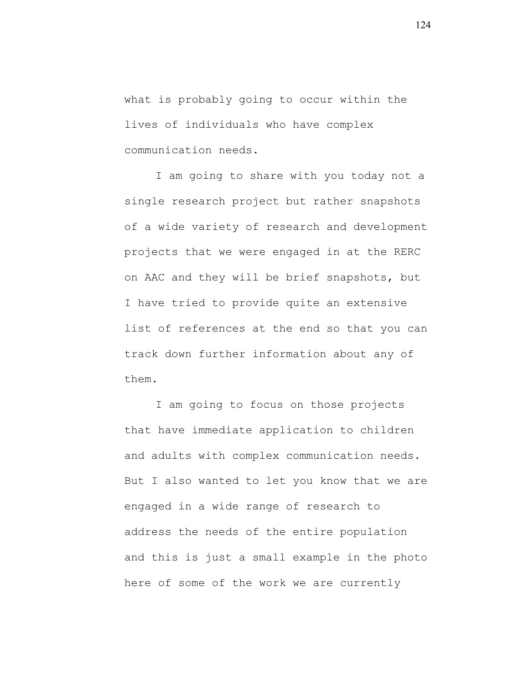what is probably going to occur within the lives of individuals who have complex communication needs.

I am going to share with you today not a single research project but rather snapshots of a wide variety of research and development projects that we were engaged in at the RERC on AAC and they will be brief snapshots, but I have tried to provide quite an extensive list of references at the end so that you can track down further information about any of them.

I am going to focus on those projects that have immediate application to children and adults with complex communication needs. But I also wanted to let you know that we are engaged in a wide range of research to address the needs of the entire population and this is just a small example in the photo here of some of the work we are currently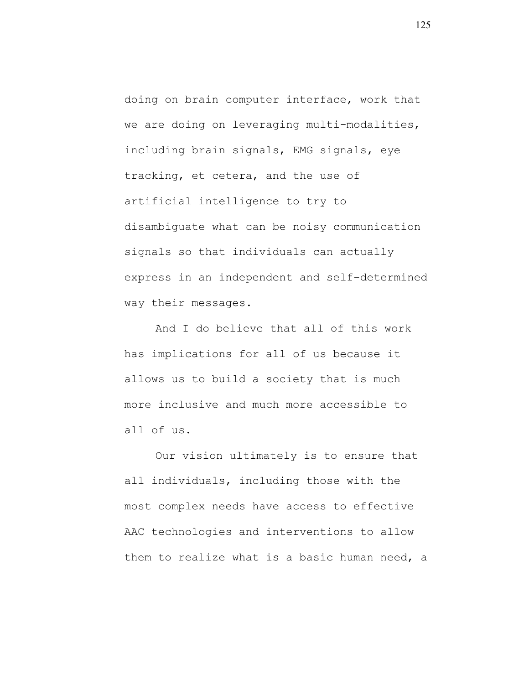doing on brain computer interface, work that we are doing on leveraging multi-modalities, including brain signals, EMG signals, eye tracking, et cetera, and the use of artificial intelligence to try to disambiguate what can be noisy communication signals so that individuals can actually express in an independent and self-determined way their messages.

And I do believe that all of this work has implications for all of us because it allows us to build a society that is much more inclusive and much more accessible to all of us.

Our vision ultimately is to ensure that all individuals, including those with the most complex needs have access to effective AAC technologies and interventions to allow them to realize what is a basic human need, a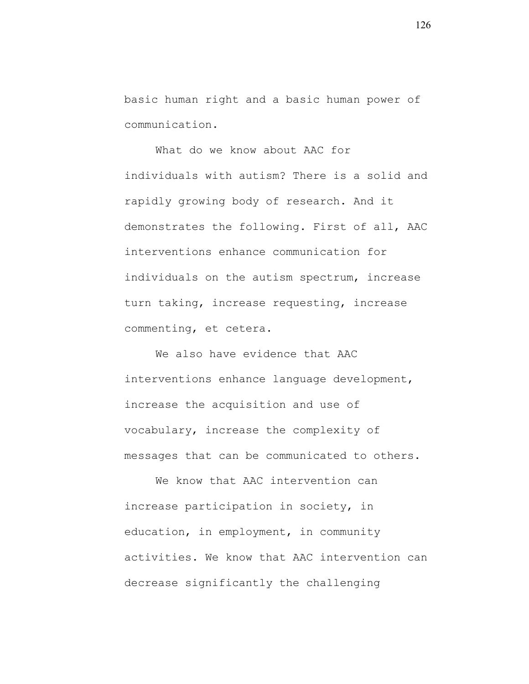basic human right and a basic human power of communication.

What do we know about AAC for individuals with autism? There is a solid and rapidly growing body of research. And it demonstrates the following. First of all, AAC interventions enhance communication for individuals on the autism spectrum, increase turn taking, increase requesting, increase commenting, et cetera.

We also have evidence that AAC interventions enhance language development, increase the acquisition and use of vocabulary, increase the complexity of messages that can be communicated to others.

We know that AAC intervention can increase participation in society, in education, in employment, in community activities. We know that AAC intervention can decrease significantly the challenging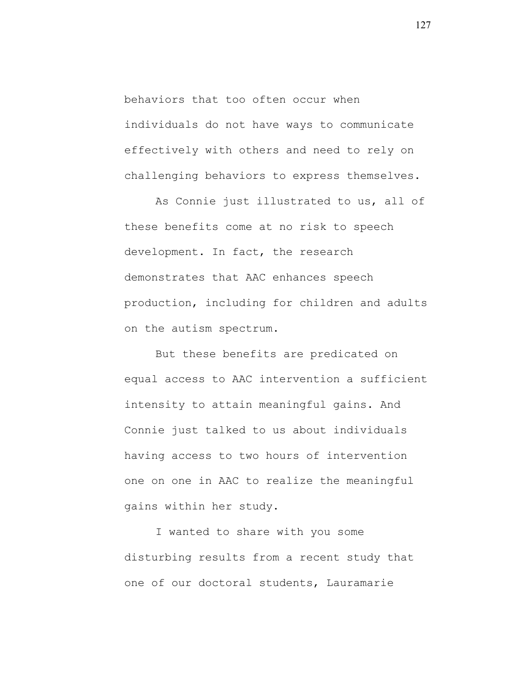behaviors that too often occur when individuals do not have ways to communicate effectively with others and need to rely on challenging behaviors to express themselves.

As Connie just illustrated to us, all of these benefits come at no risk to speech development. In fact, the research demonstrates that AAC enhances speech production, including for children and adults on the autism spectrum.

But these benefits are predicated on equal access to AAC intervention a sufficient intensity to attain meaningful gains. And Connie just talked to us about individuals having access to two hours of intervention one on one in AAC to realize the meaningful gains within her study.

I wanted to share with you some disturbing results from a recent study that one of our doctoral students, Lauramarie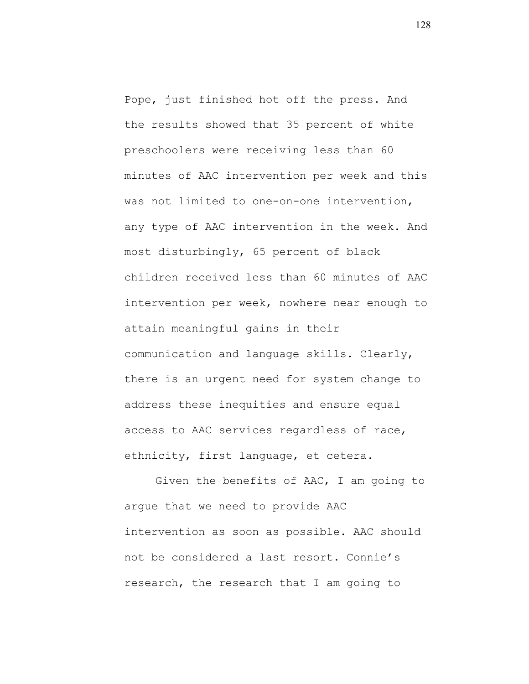Pope, just finished hot off the press. And the results showed that 35 percent of white preschoolers were receiving less than 60 minutes of AAC intervention per week and this was not limited to one-on-one intervention, any type of AAC intervention in the week. And most disturbingly, 65 percent of black children received less than 60 minutes of AAC intervention per week, nowhere near enough to attain meaningful gains in their communication and language skills. Clearly, there is an urgent need for system change to address these inequities and ensure equal access to AAC services regardless of race, ethnicity, first language, et cetera.

Given the benefits of AAC, I am going to argue that we need to provide AAC intervention as soon as possible. AAC should not be considered a last resort. Connie's research, the research that I am going to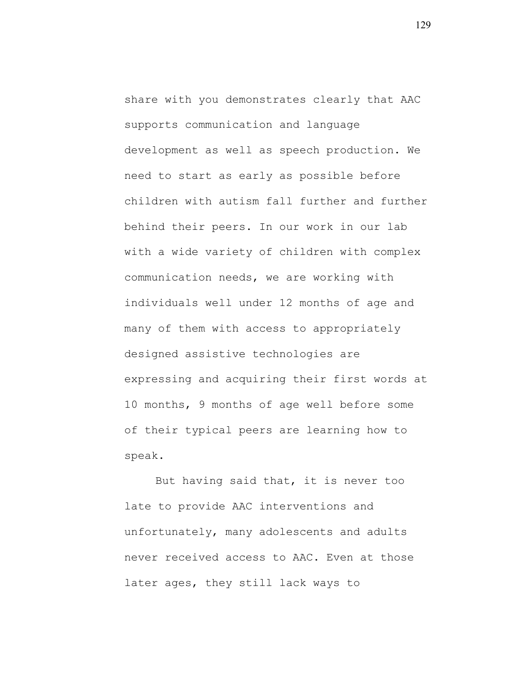share with you demonstrates clearly that AAC supports communication and language development as well as speech production. We need to start as early as possible before children with autism fall further and further behind their peers. In our work in our lab with a wide variety of children with complex communication needs, we are working with individuals well under 12 months of age and many of them with access to appropriately designed assistive technologies are expressing and acquiring their first words at 10 months, 9 months of age well before some of their typical peers are learning how to speak.

But having said that, it is never too late to provide AAC interventions and unfortunately, many adolescents and adults never received access to AAC. Even at those later ages, they still lack ways to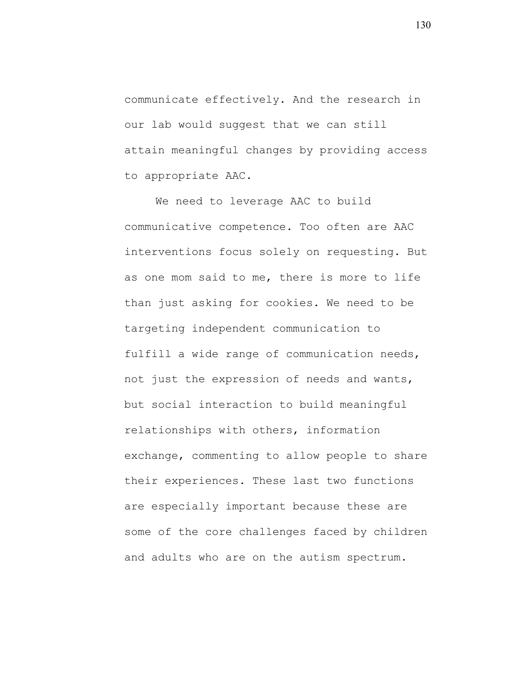communicate effectively. And the research in our lab would suggest that we can still attain meaningful changes by providing access to appropriate AAC.

We need to leverage AAC to build communicative competence. Too often are AAC interventions focus solely on requesting. But as one mom said to me, there is more to life than just asking for cookies. We need to be targeting independent communication to fulfill a wide range of communication needs, not just the expression of needs and wants, but social interaction to build meaningful relationships with others, information exchange, commenting to allow people to share their experiences. These last two functions are especially important because these are some of the core challenges faced by children and adults who are on the autism spectrum.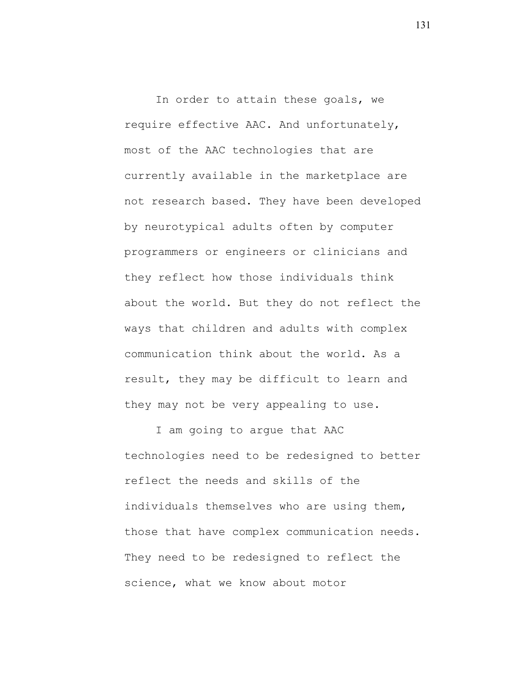In order to attain these goals, we require effective AAC. And unfortunately, most of the AAC technologies that are currently available in the marketplace are not research based. They have been developed by neurotypical adults often by computer programmers or engineers or clinicians and they reflect how those individuals think about the world. But they do not reflect the ways that children and adults with complex communication think about the world. As a result, they may be difficult to learn and they may not be very appealing to use.

I am going to argue that AAC technologies need to be redesigned to better reflect the needs and skills of the individuals themselves who are using them, those that have complex communication needs. They need to be redesigned to reflect the science, what we know about motor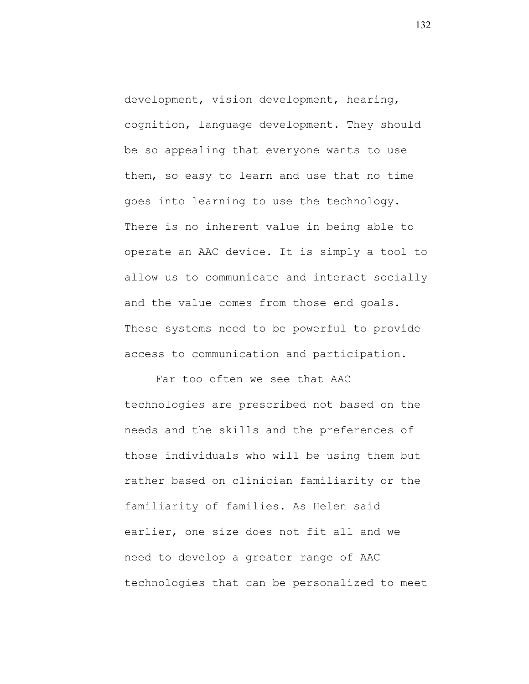development, vision development, hearing, cognition, language development. They should be so appealing that everyone wants to use them, so easy to learn and use that no time goes into learning to use the technology. There is no inherent value in being able to operate an AAC device. It is simply a tool to allow us to communicate and interact socially and the value comes from those end goals. These systems need to be powerful to provide access to communication and participation.

Far too often we see that AAC technologies are prescribed not based on the needs and the skills and the preferences of those individuals who will be using them but rather based on clinician familiarity or the familiarity of families. As Helen said earlier, one size does not fit all and we need to develop a greater range of AAC technologies that can be personalized to meet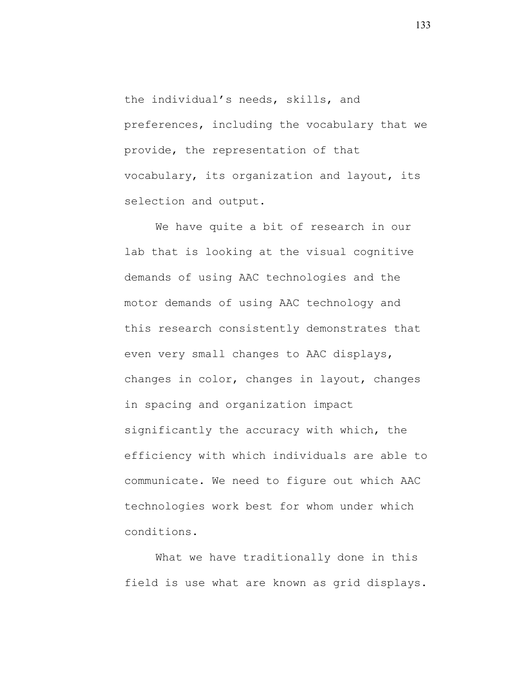the individual's needs, skills, and preferences, including the vocabulary that we provide, the representation of that vocabulary, its organization and layout, its selection and output.

We have quite a bit of research in our lab that is looking at the visual cognitive demands of using AAC technologies and the motor demands of using AAC technology and this research consistently demonstrates that even very small changes to AAC displays, changes in color, changes in layout, changes in spacing and organization impact significantly the accuracy with which, the efficiency with which individuals are able to communicate. We need to figure out which AAC technologies work best for whom under which conditions.

What we have traditionally done in this field is use what are known as grid displays.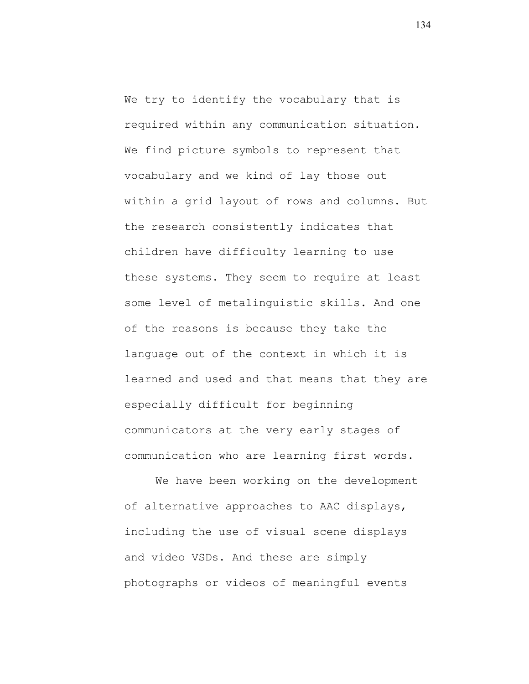We try to identify the vocabulary that is required within any communication situation. We find picture symbols to represent that vocabulary and we kind of lay those out within a grid layout of rows and columns. But the research consistently indicates that children have difficulty learning to use these systems. They seem to require at least some level of metalinguistic skills. And one of the reasons is because they take the language out of the context in which it is learned and used and that means that they are especially difficult for beginning communicators at the very early stages of communication who are learning first words.

We have been working on the development of alternative approaches to AAC displays, including the use of visual scene displays and video VSDs. And these are simply photographs or videos of meaningful events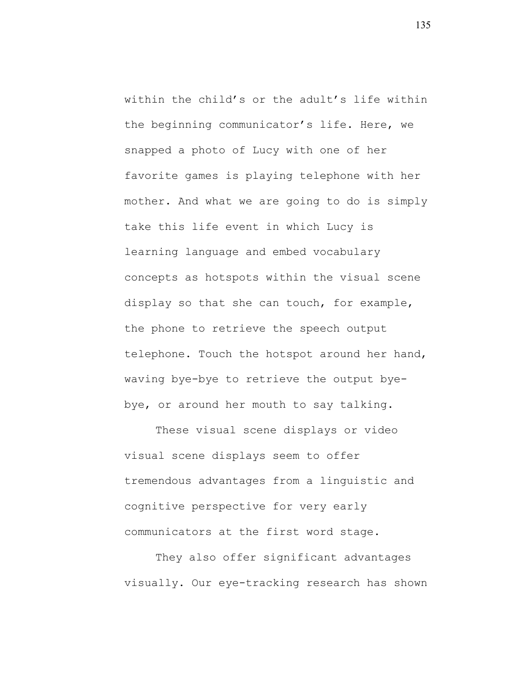within the child's or the adult's life within the beginning communicator's life. Here, we snapped a photo of Lucy with one of her favorite games is playing telephone with her mother. And what we are going to do is simply take this life event in which Lucy is learning language and embed vocabulary concepts as hotspots within the visual scene display so that she can touch, for example, the phone to retrieve the speech output telephone. Touch the hotspot around her hand, waving bye-bye to retrieve the output byebye, or around her mouth to say talking.

These visual scene displays or video visual scene displays seem to offer tremendous advantages from a linguistic and cognitive perspective for very early communicators at the first word stage.

They also offer significant advantages visually. Our eye-tracking research has shown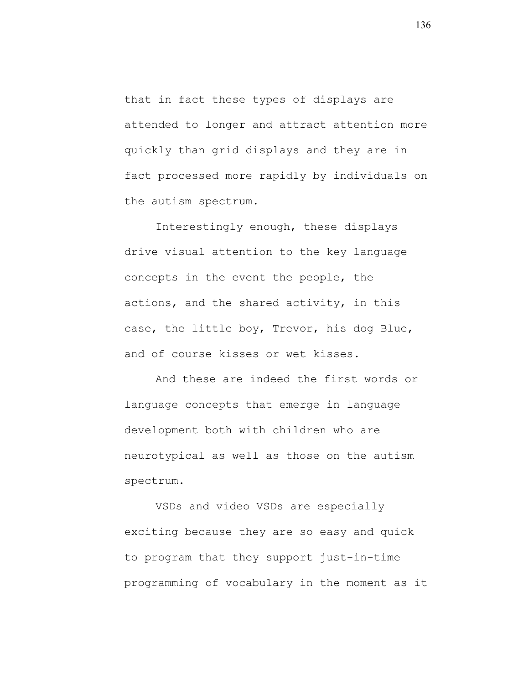that in fact these types of displays are attended to longer and attract attention more quickly than grid displays and they are in fact processed more rapidly by individuals on the autism spectrum.

Interestingly enough, these displays drive visual attention to the key language concepts in the event the people, the actions, and the shared activity, in this case, the little boy, Trevor, his dog Blue, and of course kisses or wet kisses.

And these are indeed the first words or language concepts that emerge in language development both with children who are neurotypical as well as those on the autism spectrum.

VSDs and video VSDs are especially exciting because they are so easy and quick to program that they support just-in-time programming of vocabulary in the moment as it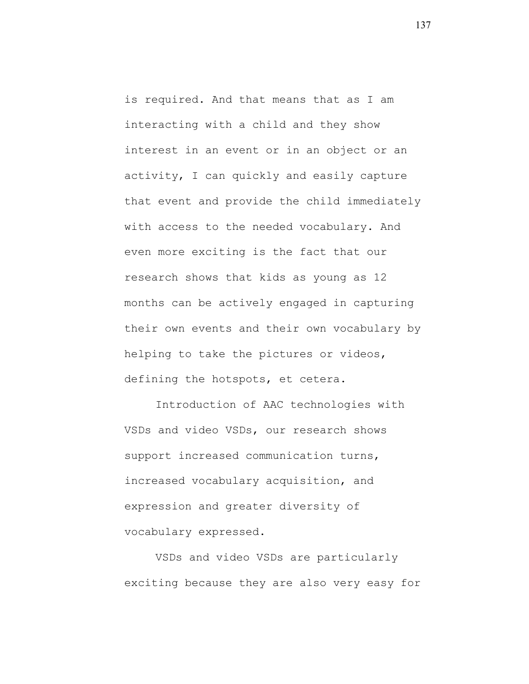is required. And that means that as I am interacting with a child and they show interest in an event or in an object or an activity, I can quickly and easily capture that event and provide the child immediately with access to the needed vocabulary. And even more exciting is the fact that our research shows that kids as young as 12 months can be actively engaged in capturing their own events and their own vocabulary by helping to take the pictures or videos, defining the hotspots, et cetera.

Introduction of AAC technologies with VSDs and video VSDs, our research shows support increased communication turns, increased vocabulary acquisition, and expression and greater diversity of vocabulary expressed.

VSDs and video VSDs are particularly exciting because they are also very easy for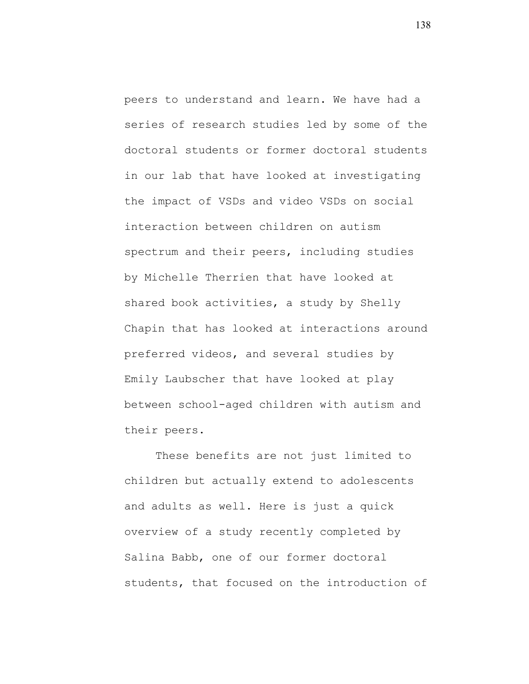peers to understand and learn. We have had a series of research studies led by some of the doctoral students or former doctoral students in our lab that have looked at investigating the impact of VSDs and video VSDs on social interaction between children on autism spectrum and their peers, including studies by Michelle Therrien that have looked at shared book activities, a study by Shelly Chapin that has looked at interactions around preferred videos, and several studies by Emily Laubscher that have looked at play between school-aged children with autism and their peers.

These benefits are not just limited to children but actually extend to adolescents and adults as well. Here is just a quick overview of a study recently completed by Salina Babb, one of our former doctoral students, that focused on the introduction of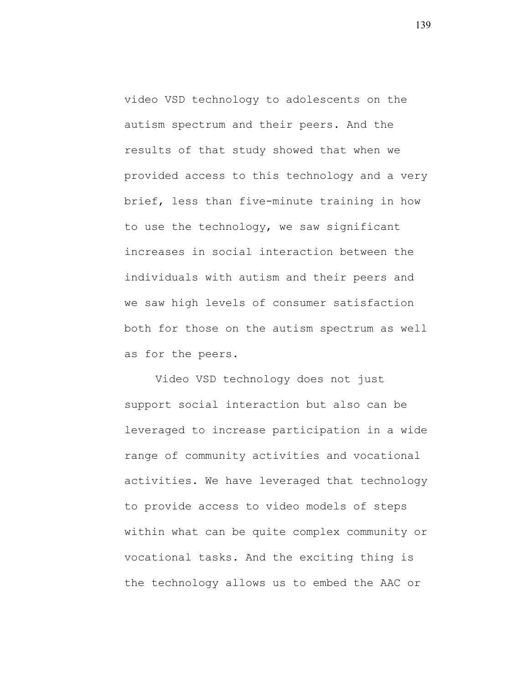video VSD technology to adolescents on the autism spectrum and their peers. And the results of that study showed that when we provided access to this technology and a very brief, less than five-minute training in how to use the technology, we saw significant increases in social interaction between the individuals with autism and their peers and we saw high levels of consumer satisfaction both for those on the autism spectrum as well as for the peers.

Video VSD technology does not just support social interaction but also can be leveraged to increase participation in a wide range of community activities and vocational activities. We have leveraged that technology to provide access to video models of steps within what can be quite complex community or vocational tasks. And the exciting thing is the technology allows us to embed the AAC or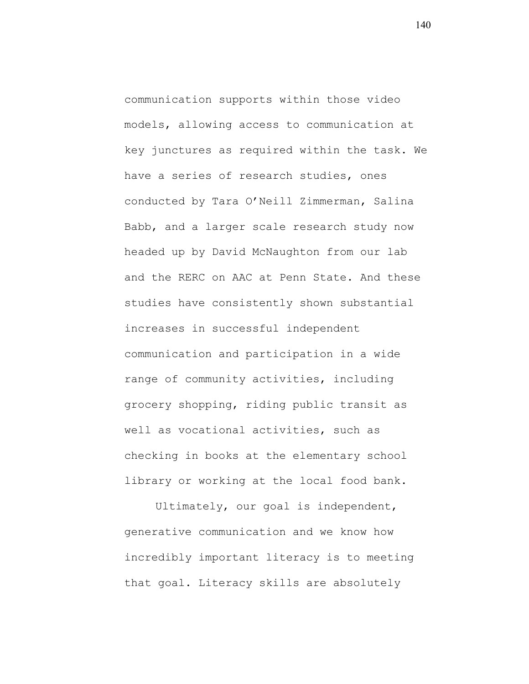communication supports within those video models, allowing access to communication at key junctures as required within the task. We have a series of research studies, ones conducted by Tara O'Neill Zimmerman, Salina Babb, and a larger scale research study now headed up by David McNaughton from our lab and the RERC on AAC at Penn State. And these studies have consistently shown substantial increases in successful independent communication and participation in a wide range of community activities, including grocery shopping, riding public transit as well as vocational activities, such as checking in books at the elementary school library or working at the local food bank.

Ultimately, our goal is independent, generative communication and we know how incredibly important literacy is to meeting that goal. Literacy skills are absolutely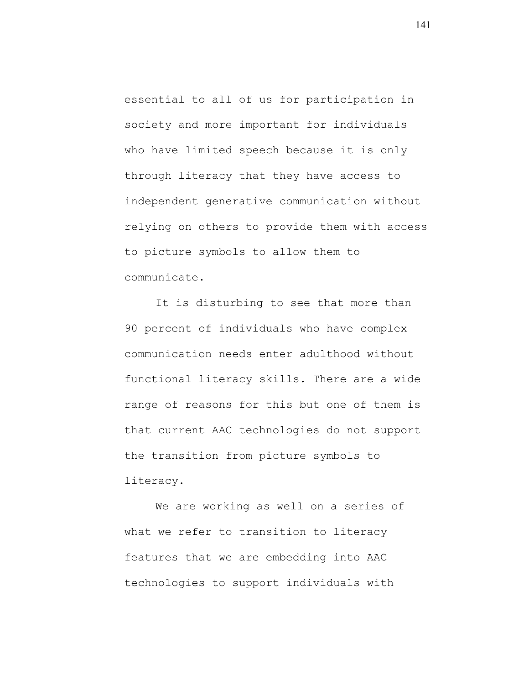essential to all of us for participation in society and more important for individuals who have limited speech because it is only through literacy that they have access to independent generative communication without relying on others to provide them with access to picture symbols to allow them to communicate.

It is disturbing to see that more than 90 percent of individuals who have complex communication needs enter adulthood without functional literacy skills. There are a wide range of reasons for this but one of them is that current AAC technologies do not support the transition from picture symbols to literacy.

We are working as well on a series of what we refer to transition to literacy features that we are embedding into AAC technologies to support individuals with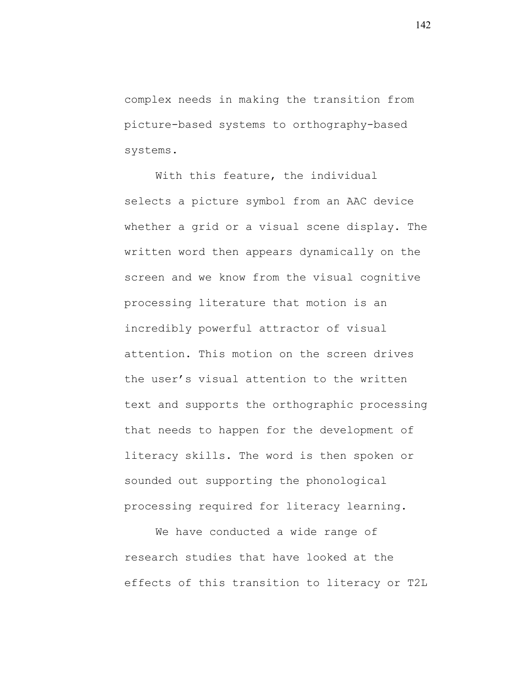complex needs in making the transition from picture-based systems to orthography-based systems.

With this feature, the individual selects a picture symbol from an AAC device whether a grid or a visual scene display. The written word then appears dynamically on the screen and we know from the visual cognitive processing literature that motion is an incredibly powerful attractor of visual attention. This motion on the screen drives the user's visual attention to the written text and supports the orthographic processing that needs to happen for the development of literacy skills. The word is then spoken or sounded out supporting the phonological processing required for literacy learning.

We have conducted a wide range of research studies that have looked at the effects of this transition to literacy or T2L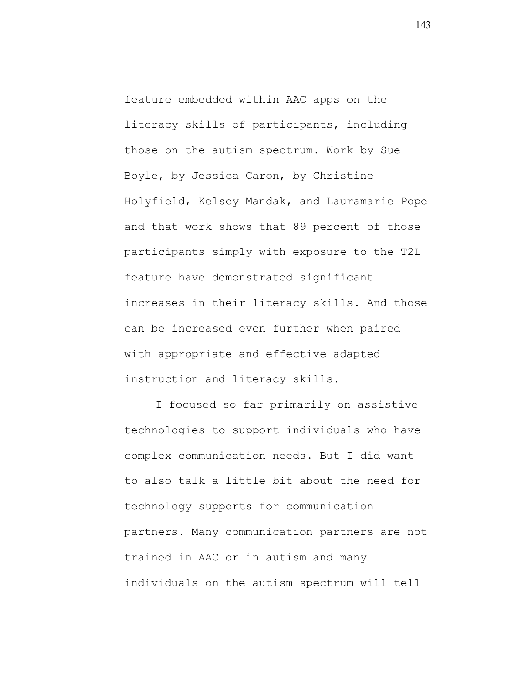feature embedded within AAC apps on the literacy skills of participants, including those on the autism spectrum. Work by Sue Boyle, by Jessica Caron, by Christine Holyfield, Kelsey Mandak, and Lauramarie Pope and that work shows that 89 percent of those participants simply with exposure to the T2L feature have demonstrated significant increases in their literacy skills. And those can be increased even further when paired with appropriate and effective adapted instruction and literacy skills.

I focused so far primarily on assistive technologies to support individuals who have complex communication needs. But I did want to also talk a little bit about the need for technology supports for communication partners. Many communication partners are not trained in AAC or in autism and many individuals on the autism spectrum will tell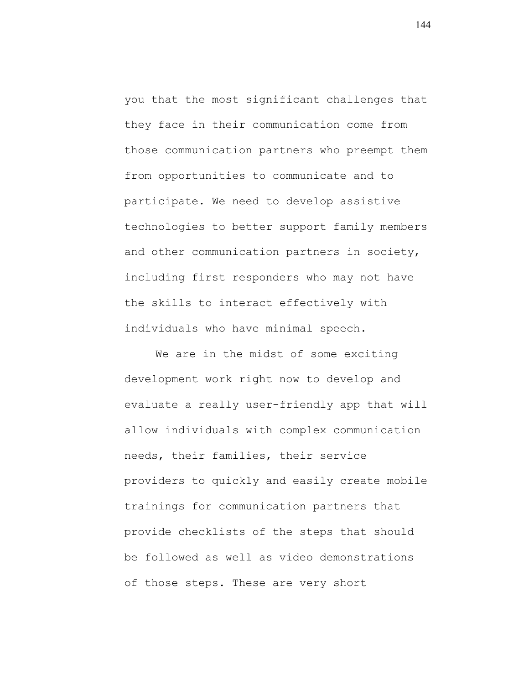you that the most significant challenges that they face in their communication come from those communication partners who preempt them from opportunities to communicate and to participate. We need to develop assistive technologies to better support family members and other communication partners in society, including first responders who may not have the skills to interact effectively with individuals who have minimal speech.

We are in the midst of some exciting development work right now to develop and evaluate a really user-friendly app that will allow individuals with complex communication needs, their families, their service providers to quickly and easily create mobile trainings for communication partners that provide checklists of the steps that should be followed as well as video demonstrations of those steps. These are very short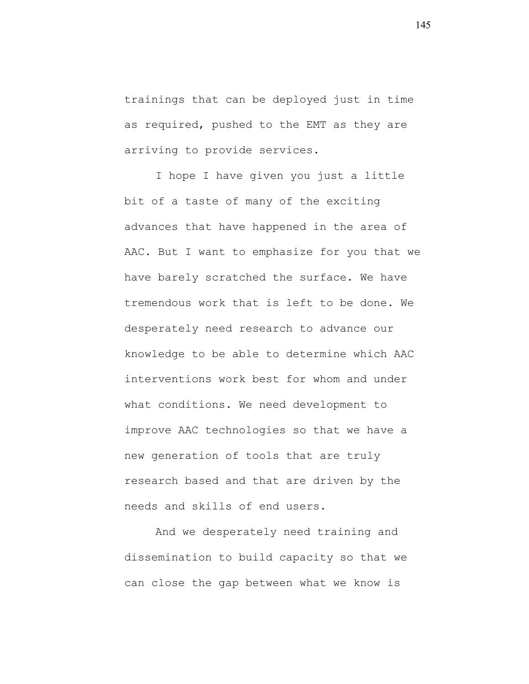trainings that can be deployed just in time as required, pushed to the EMT as they are arriving to provide services.

I hope I have given you just a little bit of a taste of many of the exciting advances that have happened in the area of AAC. But I want to emphasize for you that we have barely scratched the surface. We have tremendous work that is left to be done. We desperately need research to advance our knowledge to be able to determine which AAC interventions work best for whom and under what conditions. We need development to improve AAC technologies so that we have a new generation of tools that are truly research based and that are driven by the needs and skills of end users.

And we desperately need training and dissemination to build capacity so that we can close the gap between what we know is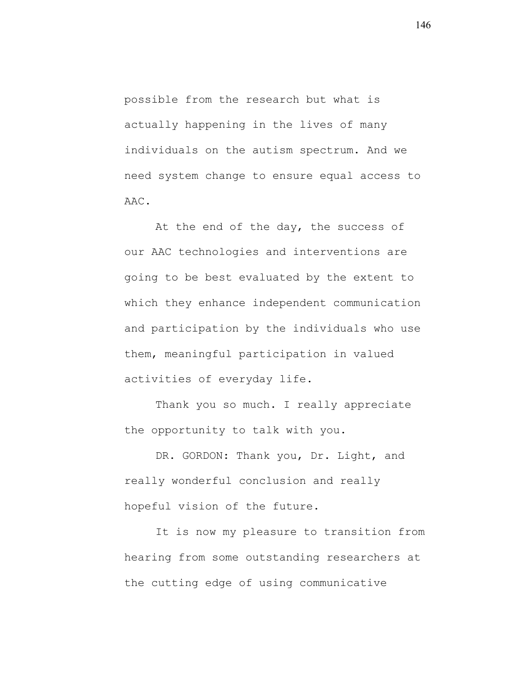possible from the research but what is actually happening in the lives of many individuals on the autism spectrum. And we need system change to ensure equal access to AAC.

At the end of the day, the success of our AAC technologies and interventions are going to be best evaluated by the extent to which they enhance independent communication and participation by the individuals who use them, meaningful participation in valued activities of everyday life.

Thank you so much. I really appreciate the opportunity to talk with you.

DR. GORDON: Thank you, Dr. Light, and really wonderful conclusion and really hopeful vision of the future.

It is now my pleasure to transition from hearing from some outstanding researchers at the cutting edge of using communicative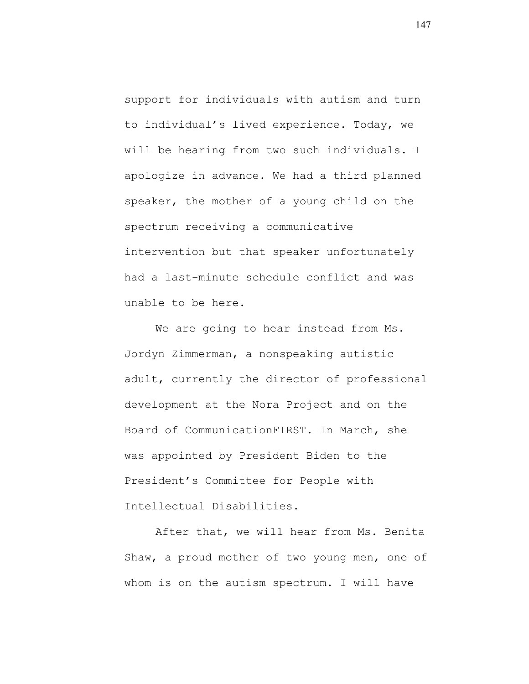support for individuals with autism and turn to individual's lived experience. Today, we will be hearing from two such individuals. I apologize in advance. We had a third planned speaker, the mother of a young child on the spectrum receiving a communicative intervention but that speaker unfortunately had a last-minute schedule conflict and was unable to be here.

We are going to hear instead from Ms. Jordyn Zimmerman, a nonspeaking autistic adult, currently the director of professional development at the Nora Project and on the Board of CommunicationFIRST. In March, she was appointed by President Biden to the President's Committee for People with Intellectual Disabilities.

After that, we will hear from Ms. Benita Shaw, a proud mother of two young men, one of whom is on the autism spectrum. I will have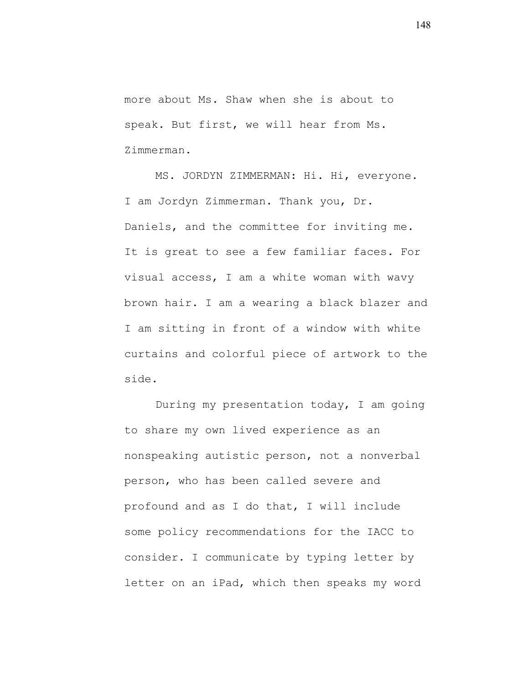more about Ms. Shaw when she is about to speak. But first, we will hear from Ms. Zimmerman.

MS. JORDYN ZIMMERMAN: Hi. Hi, everyone. I am Jordyn Zimmerman. Thank you, Dr. Daniels, and the committee for inviting me. It is great to see a few familiar faces. For visual access, I am a white woman with wavy brown hair. I am a wearing a black blazer and I am sitting in front of a window with white curtains and colorful piece of artwork to the side.

During my presentation today, I am going to share my own lived experience as an nonspeaking autistic person, not a nonverbal person, who has been called severe and profound and as I do that, I will include some policy recommendations for the IACC to consider. I communicate by typing letter by letter on an iPad, which then speaks my word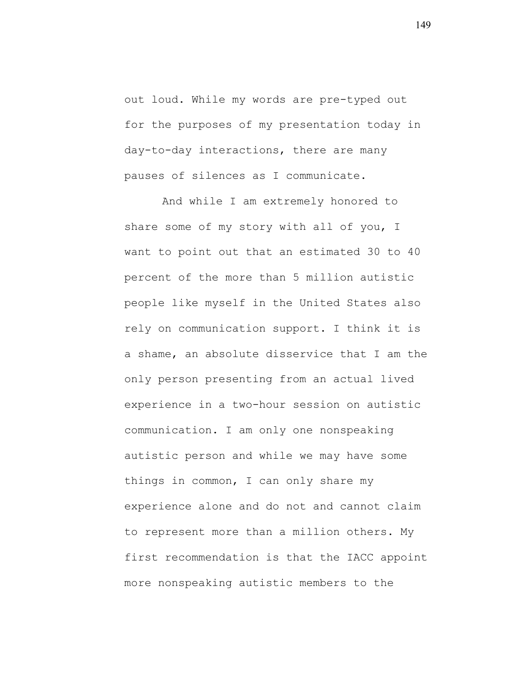out loud. While my words are pre-typed out for the purposes of my presentation today in day-to-day interactions, there are many pauses of silences as I communicate.

And while I am extremely honored to share some of my story with all of you, I want to point out that an estimated 30 to 40 percent of the more than 5 million autistic people like myself in the United States also rely on communication support. I think it is a shame, an absolute disservice that I am the only person presenting from an actual lived experience in a two-hour session on autistic communication. I am only one nonspeaking autistic person and while we may have some things in common, I can only share my experience alone and do not and cannot claim to represent more than a million others. My first recommendation is that the IACC appoint more nonspeaking autistic members to the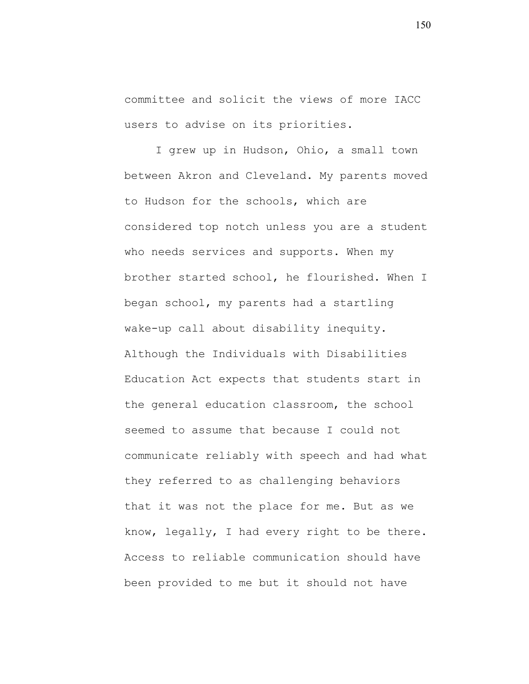committee and solicit the views of more IACC users to advise on its priorities.

I grew up in Hudson, Ohio, a small town between Akron and Cleveland. My parents moved to Hudson for the schools, which are considered top notch unless you are a student who needs services and supports. When my brother started school, he flourished. When I began school, my parents had a startling wake-up call about disability inequity. Although the Individuals with Disabilities Education Act expects that students start in the general education classroom, the school seemed to assume that because I could not communicate reliably with speech and had what they referred to as challenging behaviors that it was not the place for me. But as we know, legally, I had every right to be there. Access to reliable communication should have been provided to me but it should not have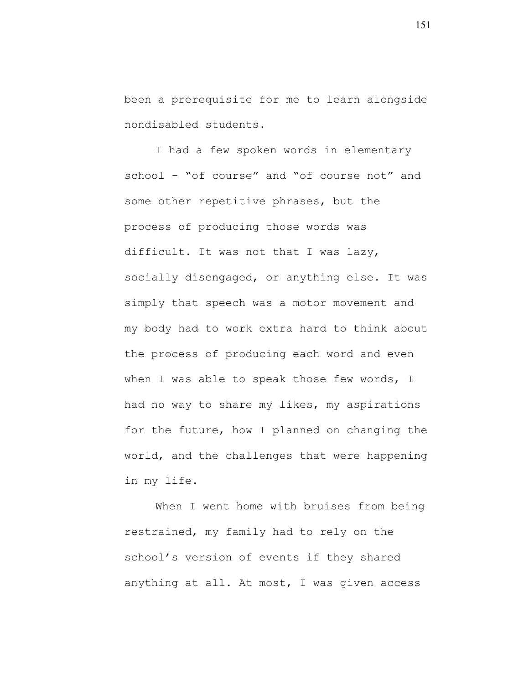been a prerequisite for me to learn alongside nondisabled students.

I had a few spoken words in elementary school - "of course" and "of course not" and some other repetitive phrases, but the process of producing those words was difficult. It was not that I was lazy, socially disengaged, or anything else. It was simply that speech was a motor movement and my body had to work extra hard to think about the process of producing each word and even when I was able to speak those few words, I had no way to share my likes, my aspirations for the future, how I planned on changing the world, and the challenges that were happening in my life.

When I went home with bruises from being restrained, my family had to rely on the school's version of events if they shared anything at all. At most, I was given access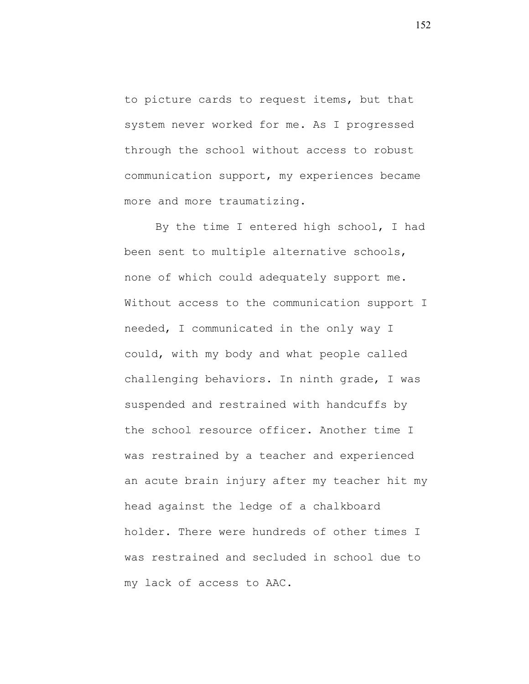to picture cards to request items, but that system never worked for me. As I progressed through the school without access to robust communication support, my experiences became more and more traumatizing.

By the time I entered high school, I had been sent to multiple alternative schools, none of which could adequately support me. Without access to the communication support I needed, I communicated in the only way I could, with my body and what people called challenging behaviors. In ninth grade, I was suspended and restrained with handcuffs by the school resource officer. Another time I was restrained by a teacher and experienced an acute brain injury after my teacher hit my head against the ledge of a chalkboard holder. There were hundreds of other times I was restrained and secluded in school due to my lack of access to AAC.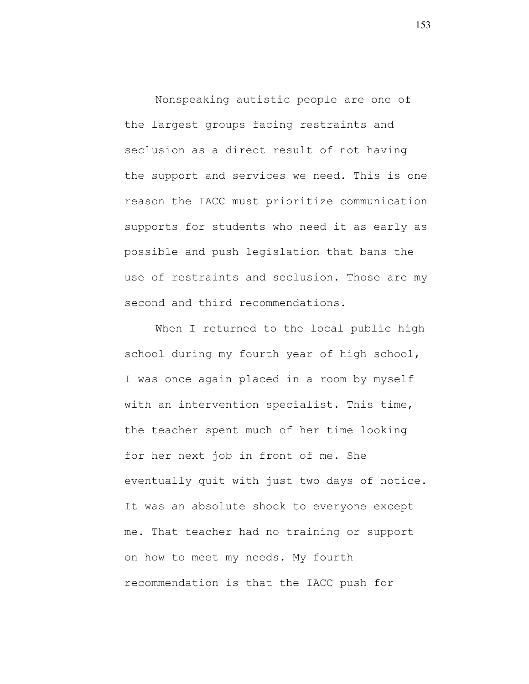Nonspeaking autistic people are one of the largest groups facing restraints and seclusion as a direct result of not having the support and services we need. This is one reason the IACC must prioritize communication supports for students who need it as early as possible and push legislation that bans the use of restraints and seclusion. Those are my second and third recommendations.

When I returned to the local public high school during my fourth year of high school, I was once again placed in a room by myself with an intervention specialist. This time, the teacher spent much of her time looking for her next job in front of me. She eventually quit with just two days of notice. It was an absolute shock to everyone except me. That teacher had no training or support on how to meet my needs. My fourth recommendation is that the IACC push for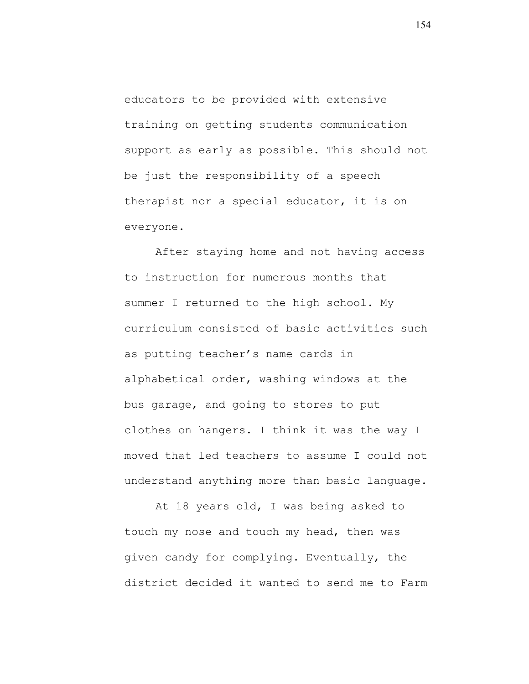educators to be provided with extensive training on getting students communication support as early as possible. This should not be just the responsibility of a speech therapist nor a special educator, it is on everyone.

After staying home and not having access to instruction for numerous months that summer I returned to the high school. My curriculum consisted of basic activities such as putting teacher's name cards in alphabetical order, washing windows at the bus garage, and going to stores to put clothes on hangers. I think it was the way I moved that led teachers to assume I could not understand anything more than basic language.

At 18 years old, I was being asked to touch my nose and touch my head, then was given candy for complying. Eventually, the district decided it wanted to send me to Farm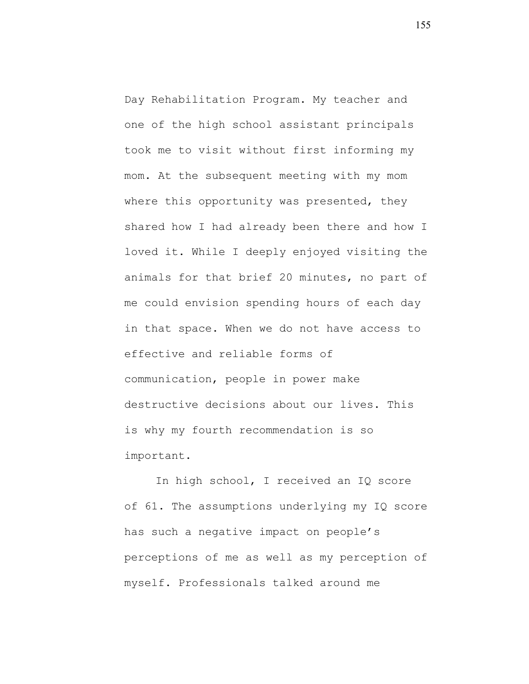Day Rehabilitation Program. My teacher and one of the high school assistant principals took me to visit without first informing my mom. At the subsequent meeting with my mom where this opportunity was presented, they shared how I had already been there and how I loved it. While I deeply enjoyed visiting the animals for that brief 20 minutes, no part of me could envision spending hours of each day in that space. When we do not have access to effective and reliable forms of communication, people in power make destructive decisions about our lives. This is why my fourth recommendation is so important.

In high school, I received an IQ score of 61. The assumptions underlying my IQ score has such a negative impact on people's perceptions of me as well as my perception of myself. Professionals talked around me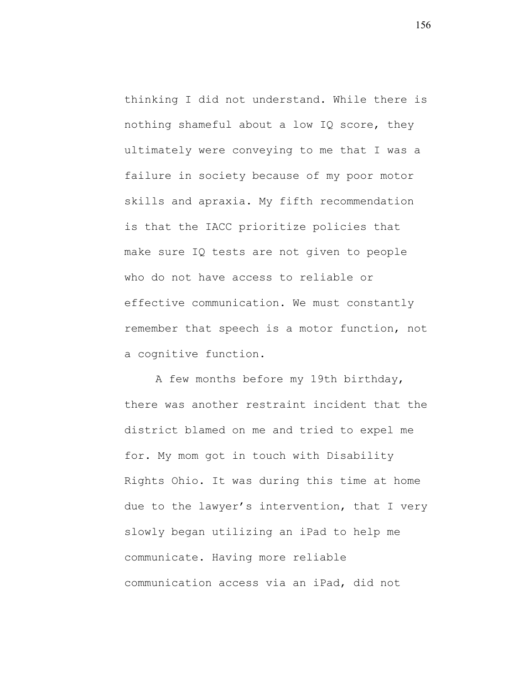thinking I did not understand. While there is nothing shameful about a low IQ score, they ultimately were conveying to me that I was a failure in society because of my poor motor skills and apraxia. My fifth recommendation is that the IACC prioritize policies that make sure IQ tests are not given to people who do not have access to reliable or effective communication. We must constantly remember that speech is a motor function, not a cognitive function.

A few months before my 19th birthday, there was another restraint incident that the district blamed on me and tried to expel me for. My mom got in touch with Disability Rights Ohio. It was during this time at home due to the lawyer's intervention, that I very slowly began utilizing an iPad to help me communicate. Having more reliable communication access via an iPad, did not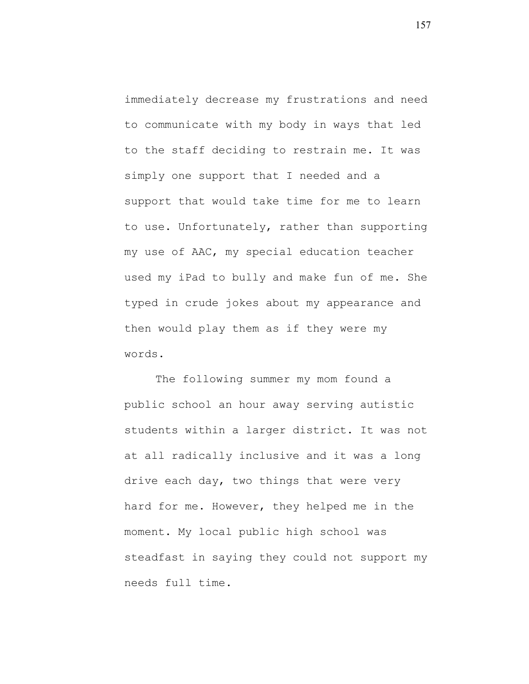immediately decrease my frustrations and need to communicate with my body in ways that led to the staff deciding to restrain me. It was simply one support that I needed and a support that would take time for me to learn to use. Unfortunately, rather than supporting my use of AAC, my special education teacher used my iPad to bully and make fun of me. She typed in crude jokes about my appearance and then would play them as if they were my words.

The following summer my mom found a public school an hour away serving autistic students within a larger district. It was not at all radically inclusive and it was a long drive each day, two things that were very hard for me. However, they helped me in the moment. My local public high school was steadfast in saying they could not support my needs full time.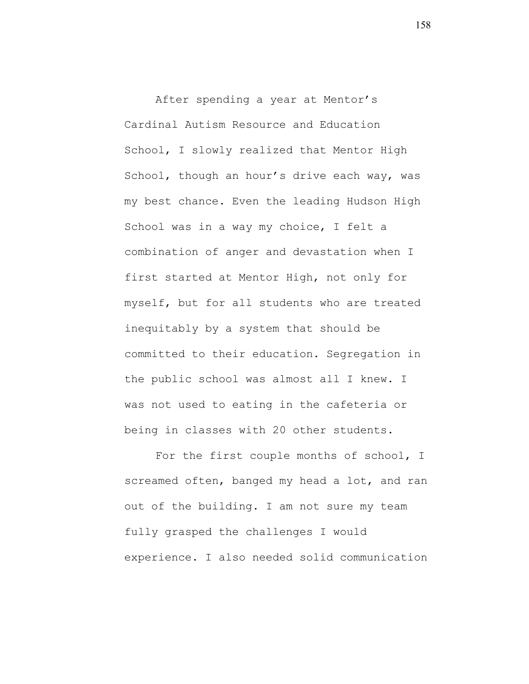After spending a year at Mentor's Cardinal Autism Resource and Education School, I slowly realized that Mentor High School, though an hour's drive each way, was my best chance. Even the leading Hudson High School was in a way my choice, I felt a combination of anger and devastation when I first started at Mentor High, not only for myself, but for all students who are treated inequitably by a system that should be committed to their education. Segregation in the public school was almost all I knew. I was not used to eating in the cafeteria or being in classes with 20 other students.

For the first couple months of school, I screamed often, banged my head a lot, and ran out of the building. I am not sure my team fully grasped the challenges I would experience. I also needed solid communication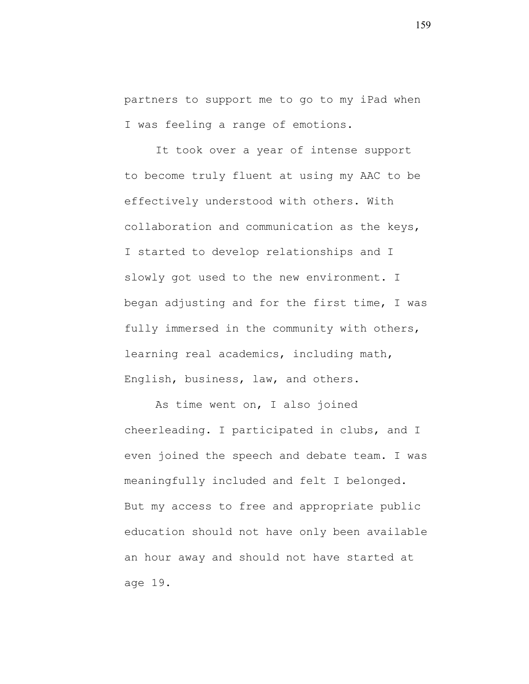partners to support me to go to my iPad when I was feeling a range of emotions.

It took over a year of intense support to become truly fluent at using my AAC to be effectively understood with others. With collaboration and communication as the keys, I started to develop relationships and I slowly got used to the new environment. I began adjusting and for the first time, I was fully immersed in the community with others, learning real academics, including math, English, business, law, and others.

As time went on, I also joined cheerleading. I participated in clubs, and I even joined the speech and debate team. I was meaningfully included and felt I belonged. But my access to free and appropriate public education should not have only been available an hour away and should not have started at age 19.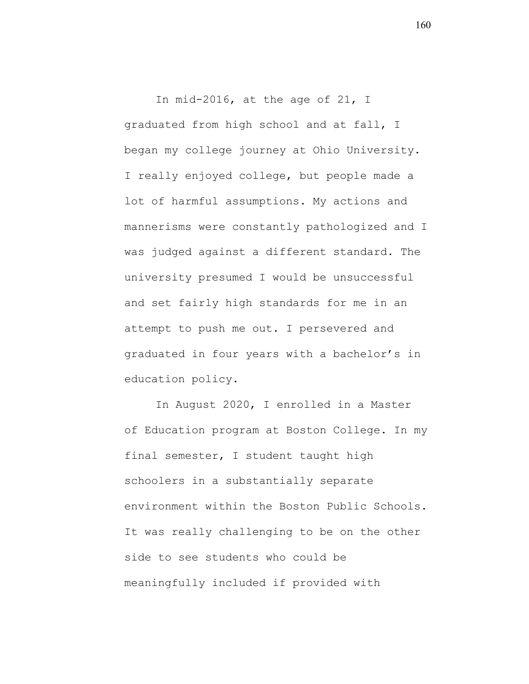In mid-2016, at the age of 21, I graduated from high school and at fall, I began my college journey at Ohio University. I really enjoyed college, but people made a lot of harmful assumptions. My actions and mannerisms were constantly pathologized and I was judged against a different standard. The university presumed I would be unsuccessful and set fairly high standards for me in an attempt to push me out. I persevered and graduated in four years with a bachelor's in education policy.

In August 2020, I enrolled in a Master of Education program at Boston College. In my final semester, I student taught high schoolers in a substantially separate environment within the Boston Public Schools. It was really challenging to be on the other side to see students who could be meaningfully included if provided with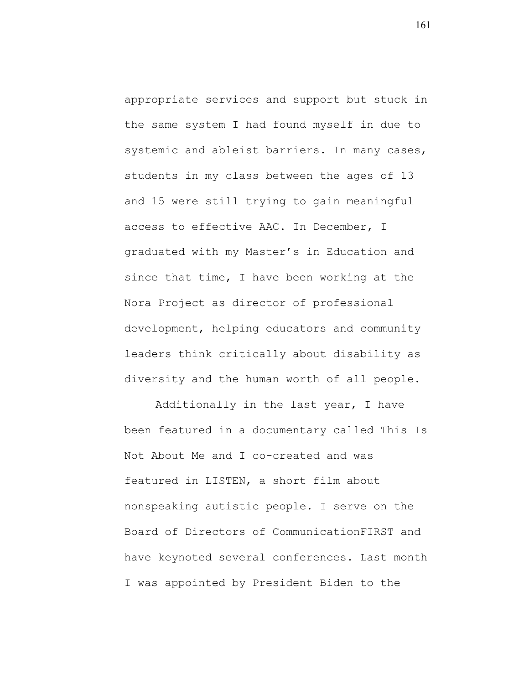appropriate services and support but stuck in the same system I had found myself in due to systemic and ableist barriers. In many cases, students in my class between the ages of 13 and 15 were still trying to gain meaningful access to effective AAC. In December, I graduated with my Master's in Education and since that time, I have been working at the Nora Project as director of professional development, helping educators and community leaders think critically about disability as diversity and the human worth of all people.

Additionally in the last year, I have been featured in a documentary called This Is Not About Me and I co-created and was featured in LISTEN, a short film about nonspeaking autistic people. I serve on the Board of Directors of CommunicationFIRST and have keynoted several conferences. Last month I was appointed by President Biden to the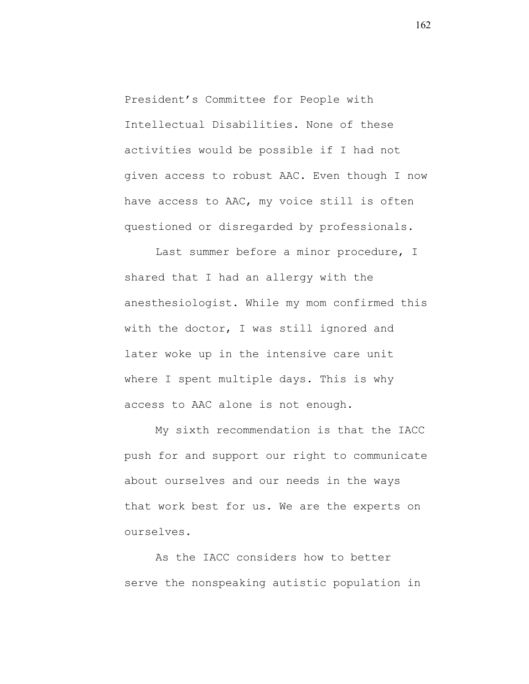President's Committee for People with Intellectual Disabilities. None of these activities would be possible if I had not given access to robust AAC. Even though I now have access to AAC, my voice still is often questioned or disregarded by professionals.

Last summer before a minor procedure, I shared that I had an allergy with the anesthesiologist. While my mom confirmed this with the doctor, I was still ignored and later woke up in the intensive care unit where I spent multiple days. This is why access to AAC alone is not enough.

My sixth recommendation is that the IACC push for and support our right to communicate about ourselves and our needs in the ways that work best for us. We are the experts on ourselves.

As the IACC considers how to better serve the nonspeaking autistic population in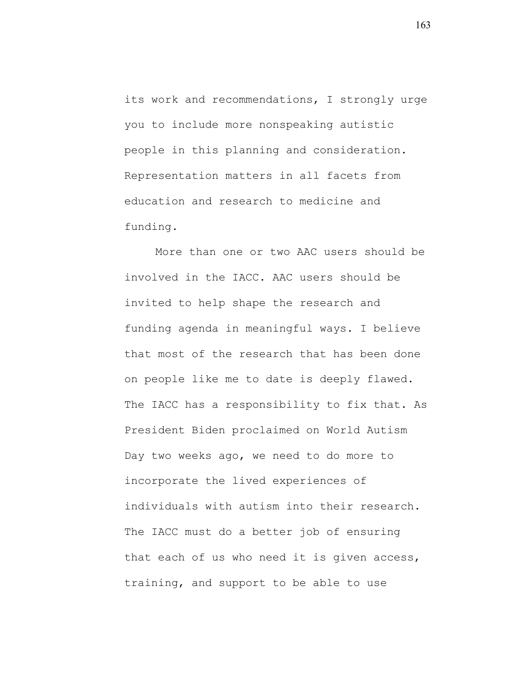its work and recommendations, I strongly urge you to include more nonspeaking autistic people in this planning and consideration. Representation matters in all facets from education and research to medicine and funding.

More than one or two AAC users should be involved in the IACC. AAC users should be invited to help shape the research and funding agenda in meaningful ways. I believe that most of the research that has been done on people like me to date is deeply flawed. The IACC has a responsibility to fix that. As President Biden proclaimed on World Autism Day two weeks ago, we need to do more to incorporate the lived experiences of individuals with autism into their research. The IACC must do a better job of ensuring that each of us who need it is given access, training, and support to be able to use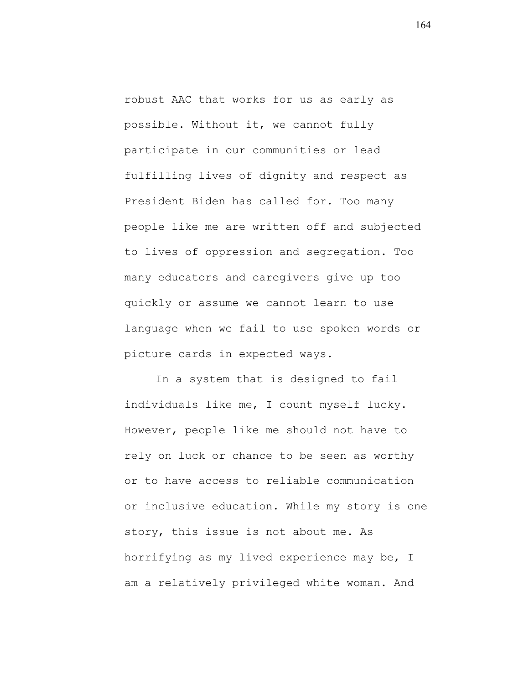robust AAC that works for us as early as possible. Without it, we cannot fully participate in our communities or lead fulfilling lives of dignity and respect as President Biden has called for. Too many people like me are written off and subjected to lives of oppression and segregation. Too many educators and caregivers give up too quickly or assume we cannot learn to use language when we fail to use spoken words or picture cards in expected ways.

In a system that is designed to fail individuals like me, I count myself lucky. However, people like me should not have to rely on luck or chance to be seen as worthy or to have access to reliable communication or inclusive education. While my story is one story, this issue is not about me. As horrifying as my lived experience may be, I am a relatively privileged white woman. And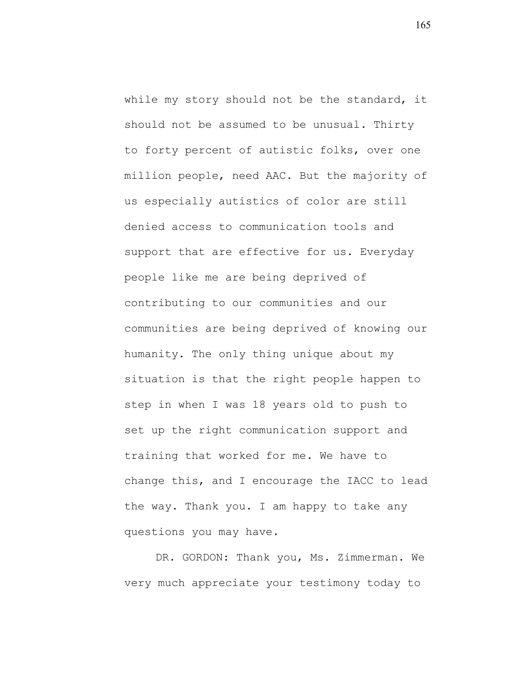while my story should not be the standard, it should not be assumed to be unusual. Thirty to forty percent of autistic folks, over one million people, need AAC. But the majority of us especially autistics of color are still denied access to communication tools and support that are effective for us. Everyday people like me are being deprived of contributing to our communities and our communities are being deprived of knowing our humanity. The only thing unique about my situation is that the right people happen to step in when I was 18 years old to push to set up the right communication support and training that worked for me. We have to change this, and I encourage the IACC to lead the way. Thank you. I am happy to take any questions you may have.

DR. GORDON: Thank you, Ms. Zimmerman. We very much appreciate your testimony today to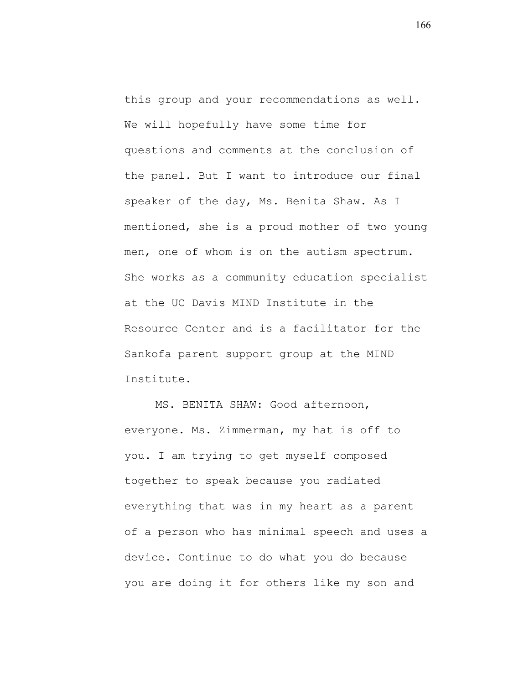this group and your recommendations as well. We will hopefully have some time for questions and comments at the conclusion of the panel. But I want to introduce our final speaker of the day, Ms. Benita Shaw. As I mentioned, she is a proud mother of two young men, one of whom is on the autism spectrum. She works as a community education specialist at the UC Davis MIND Institute in the Resource Center and is a facilitator for the Sankofa parent support group at the MIND Institute.

MS. BENITA SHAW: Good afternoon, everyone. Ms. Zimmerman, my hat is off to you. I am trying to get myself composed together to speak because you radiated everything that was in my heart as a parent of a person who has minimal speech and uses a device. Continue to do what you do because you are doing it for others like my son and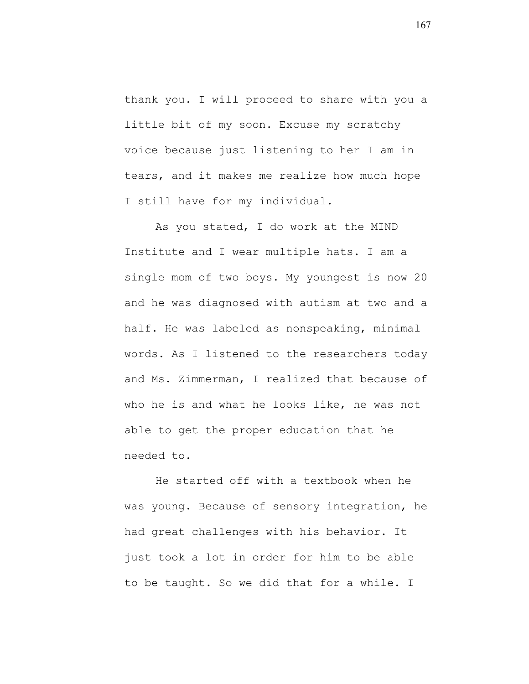thank you. I will proceed to share with you a little bit of my soon. Excuse my scratchy voice because just listening to her I am in tears, and it makes me realize how much hope I still have for my individual.

As you stated, I do work at the MIND Institute and I wear multiple hats. I am a single mom of two boys. My youngest is now 20 and he was diagnosed with autism at two and a half. He was labeled as nonspeaking, minimal words. As I listened to the researchers today and Ms. Zimmerman, I realized that because of who he is and what he looks like, he was not able to get the proper education that he needed to.

He started off with a textbook when he was young. Because of sensory integration, he had great challenges with his behavior. It just took a lot in order for him to be able to be taught. So we did that for a while. I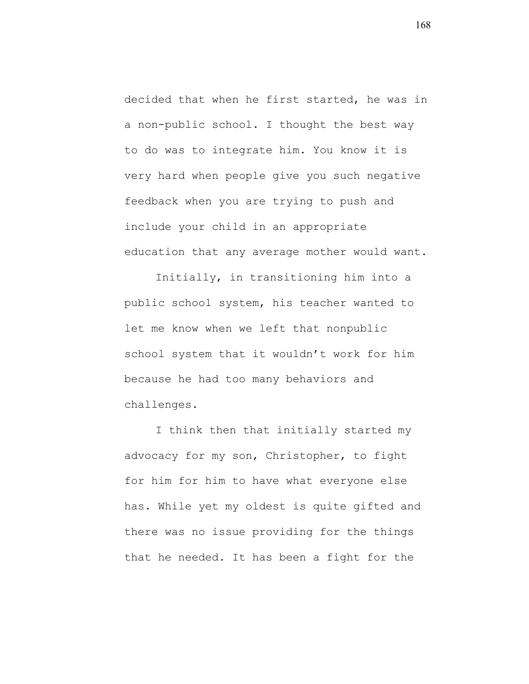decided that when he first started, he was in a non-public school. I thought the best way to do was to integrate him. You know it is very hard when people give you such negative feedback when you are trying to push and include your child in an appropriate education that any average mother would want.

Initially, in transitioning him into a public school system, his teacher wanted to let me know when we left that nonpublic school system that it wouldn't work for him because he had too many behaviors and challenges.

I think then that initially started my advocacy for my son, Christopher, to fight for him for him to have what everyone else has. While yet my oldest is quite gifted and there was no issue providing for the things that he needed. It has been a fight for the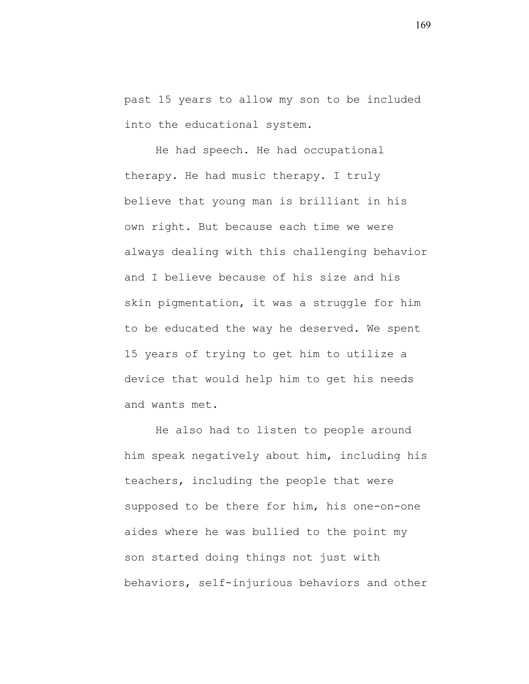past 15 years to allow my son to be included into the educational system.

He had speech. He had occupational therapy. He had music therapy. I truly believe that young man is brilliant in his own right. But because each time we were always dealing with this challenging behavior and I believe because of his size and his skin pigmentation, it was a struggle for him to be educated the way he deserved. We spent 15 years of trying to get him to utilize a device that would help him to get his needs and wants met.

He also had to listen to people around him speak negatively about him, including his teachers, including the people that were supposed to be there for him, his one-on-one aides where he was bullied to the point my son started doing things not just with behaviors, self-injurious behaviors and other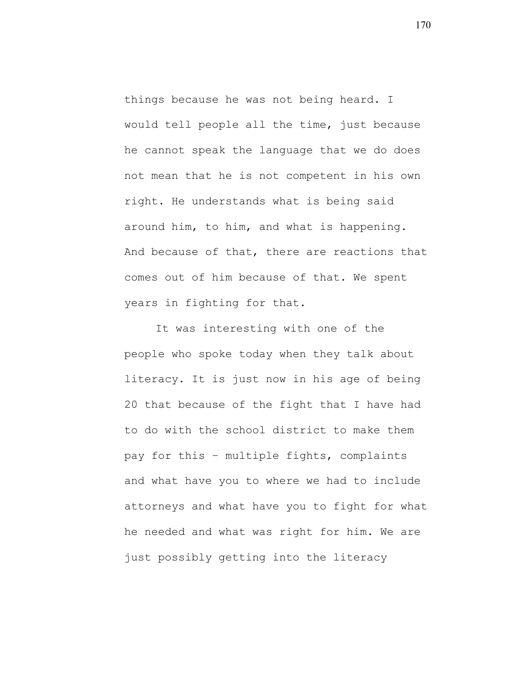things because he was not being heard. I would tell people all the time, just because he cannot speak the language that we do does not mean that he is not competent in his own right. He understands what is being said around him, to him, and what is happening. And because of that, there are reactions that comes out of him because of that. We spent years in fighting for that.

It was interesting with one of the people who spoke today when they talk about literacy. It is just now in his age of being 20 that because of the fight that I have had to do with the school district to make them pay for this – multiple fights, complaints and what have you to where we had to include attorneys and what have you to fight for what he needed and what was right for him. We are just possibly getting into the literacy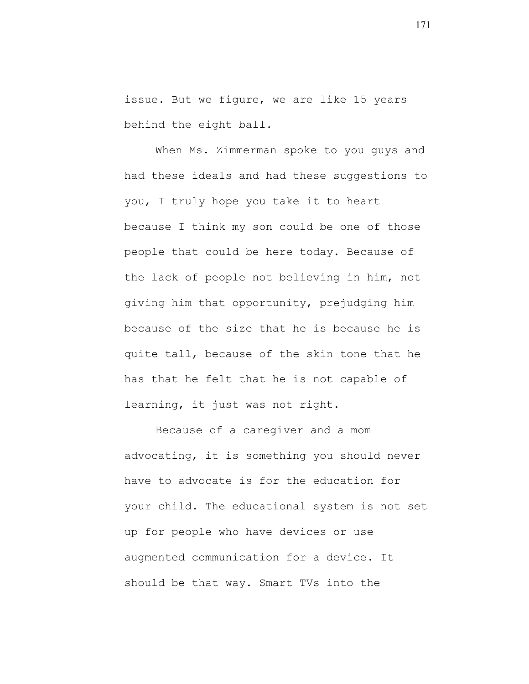issue. But we figure, we are like 15 years behind the eight ball.

When Ms. Zimmerman spoke to you guys and had these ideals and had these suggestions to you, I truly hope you take it to heart because I think my son could be one of those people that could be here today. Because of the lack of people not believing in him, not giving him that opportunity, prejudging him because of the size that he is because he is quite tall, because of the skin tone that he has that he felt that he is not capable of learning, it just was not right.

Because of a caregiver and a mom advocating, it is something you should never have to advocate is for the education for your child. The educational system is not set up for people who have devices or use augmented communication for a device. It should be that way. Smart TVs into the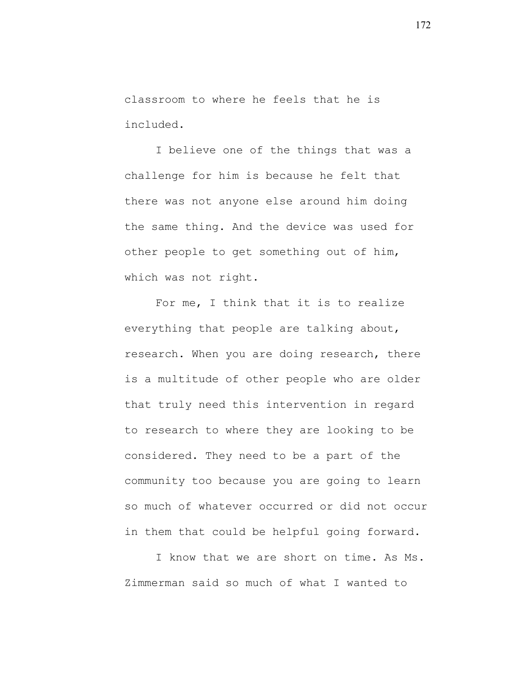classroom to where he feels that he is included.

I believe one of the things that was a challenge for him is because he felt that there was not anyone else around him doing the same thing. And the device was used for other people to get something out of him, which was not right.

For me, I think that it is to realize everything that people are talking about, research. When you are doing research, there is a multitude of other people who are older that truly need this intervention in regard to research to where they are looking to be considered. They need to be a part of the community too because you are going to learn so much of whatever occurred or did not occur in them that could be helpful going forward.

I know that we are short on time. As Ms. Zimmerman said so much of what I wanted to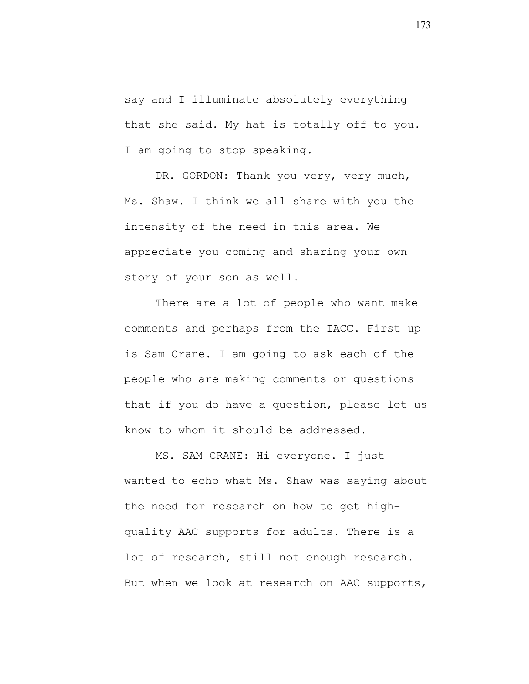say and I illuminate absolutely everything that she said. My hat is totally off to you. I am going to stop speaking.

DR. GORDON: Thank you very, very much, Ms. Shaw. I think we all share with you the intensity of the need in this area. We appreciate you coming and sharing your own story of your son as well.

There are a lot of people who want make comments and perhaps from the IACC. First up is Sam Crane. I am going to ask each of the people who are making comments or questions that if you do have a question, please let us know to whom it should be addressed.

MS. SAM CRANE: Hi everyone. I just wanted to echo what Ms. Shaw was saying about the need for research on how to get highquality AAC supports for adults. There is a lot of research, still not enough research. But when we look at research on AAC supports,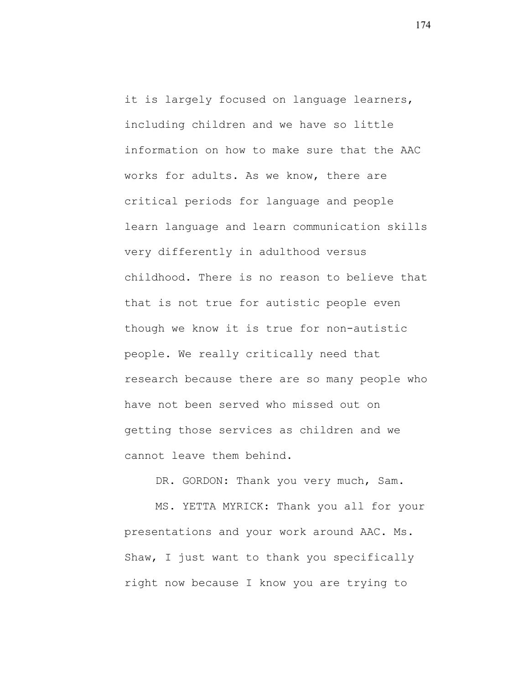it is largely focused on language learners, including children and we have so little information on how to make sure that the AAC works for adults. As we know, there are critical periods for language and people learn language and learn communication skills very differently in adulthood versus childhood. There is no reason to believe that that is not true for autistic people even though we know it is true for non-autistic people. We really critically need that research because there are so many people who have not been served who missed out on getting those services as children and we cannot leave them behind.

DR. GORDON: Thank you very much, Sam.

MS. YETTA MYRICK: Thank you all for your presentations and your work around AAC. Ms. Shaw, I just want to thank you specifically right now because I know you are trying to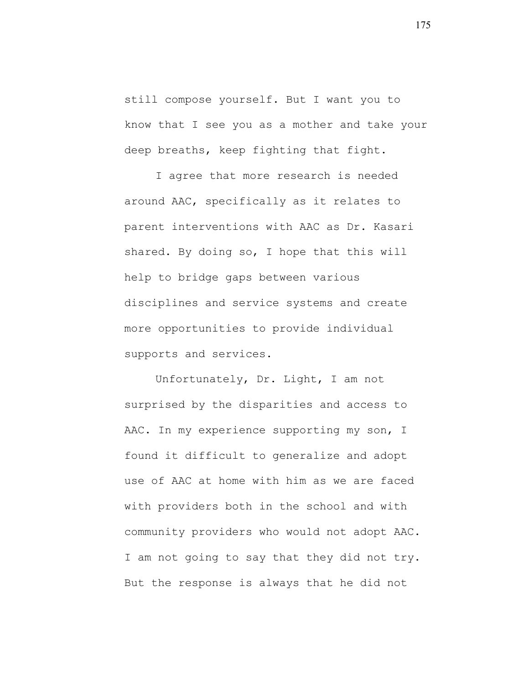still compose yourself. But I want you to know that I see you as a mother and take your deep breaths, keep fighting that fight.

I agree that more research is needed around AAC, specifically as it relates to parent interventions with AAC as Dr. Kasari shared. By doing so, I hope that this will help to bridge gaps between various disciplines and service systems and create more opportunities to provide individual supports and services.

Unfortunately, Dr. Light, I am not surprised by the disparities and access to AAC. In my experience supporting my son, I found it difficult to generalize and adopt use of AAC at home with him as we are faced with providers both in the school and with community providers who would not adopt AAC. I am not going to say that they did not try. But the response is always that he did not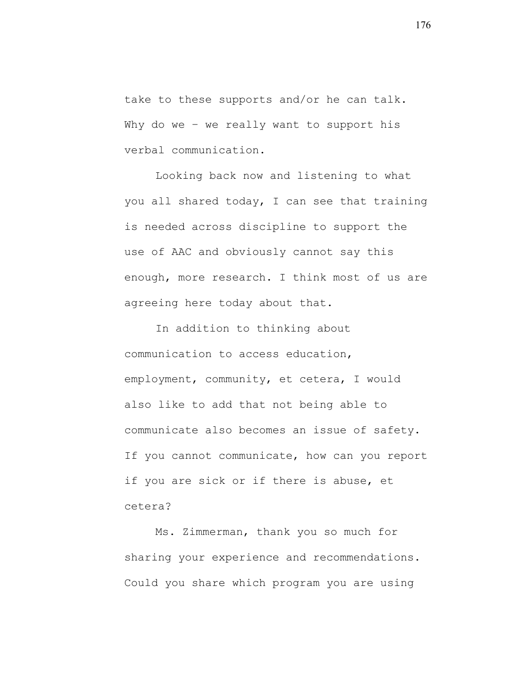take to these supports and/or he can talk. Why do we - we really want to support his verbal communication.

Looking back now and listening to what you all shared today, I can see that training is needed across discipline to support the use of AAC and obviously cannot say this enough, more research. I think most of us are agreeing here today about that.

In addition to thinking about communication to access education, employment, community, et cetera, I would also like to add that not being able to communicate also becomes an issue of safety. If you cannot communicate, how can you report if you are sick or if there is abuse, et cetera?

Ms. Zimmerman, thank you so much for sharing your experience and recommendations. Could you share which program you are using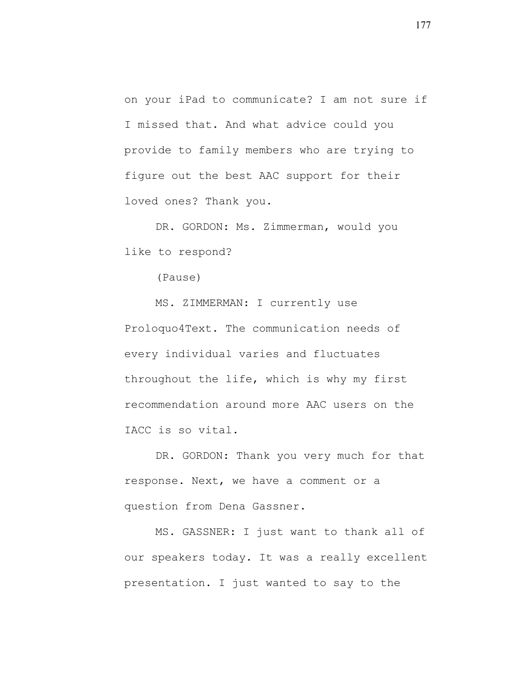on your iPad to communicate? I am not sure if I missed that. And what advice could you provide to family members who are trying to figure out the best AAC support for their loved ones? Thank you.

DR. GORDON: Ms. Zimmerman, would you like to respond?

(Pause)

MS. ZIMMERMAN: I currently use Proloquo4Text. The communication needs of every individual varies and fluctuates throughout the life, which is why my first recommendation around more AAC users on the IACC is so vital.

DR. GORDON: Thank you very much for that response. Next, we have a comment or a question from Dena Gassner.

MS. GASSNER: I just want to thank all of our speakers today. It was a really excellent presentation. I just wanted to say to the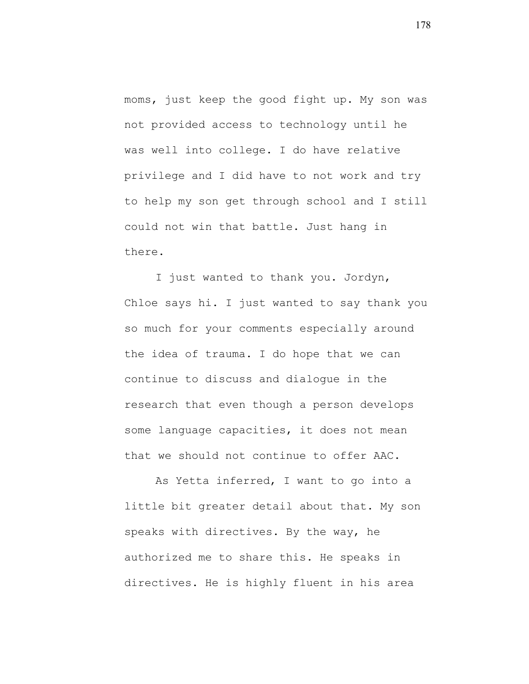moms, just keep the good fight up. My son was not provided access to technology until he was well into college. I do have relative privilege and I did have to not work and try to help my son get through school and I still could not win that battle. Just hang in there.

I just wanted to thank you. Jordyn, Chloe says hi. I just wanted to say thank you so much for your comments especially around the idea of trauma. I do hope that we can continue to discuss and dialogue in the research that even though a person develops some language capacities, it does not mean that we should not continue to offer AAC.

As Yetta inferred, I want to go into a little bit greater detail about that. My son speaks with directives. By the way, he authorized me to share this. He speaks in directives. He is highly fluent in his area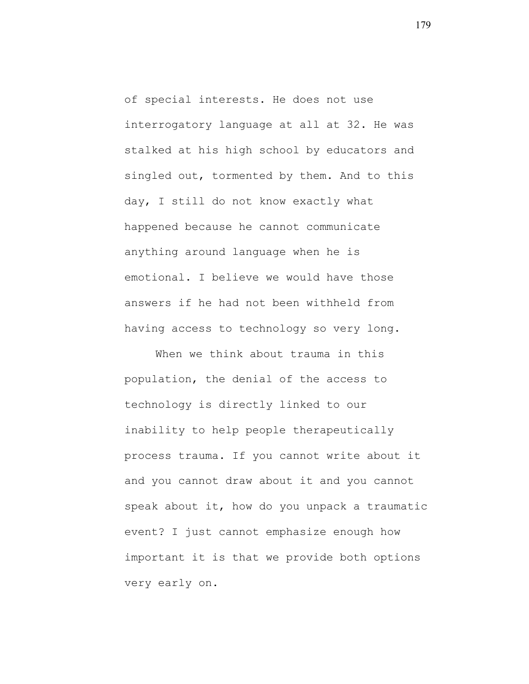of special interests. He does not use interrogatory language at all at 32. He was stalked at his high school by educators and singled out, tormented by them. And to this day, I still do not know exactly what happened because he cannot communicate anything around language when he is emotional. I believe we would have those answers if he had not been withheld from having access to technology so very long.

When we think about trauma in this population, the denial of the access to technology is directly linked to our inability to help people therapeutically process trauma. If you cannot write about it and you cannot draw about it and you cannot speak about it, how do you unpack a traumatic event? I just cannot emphasize enough how important it is that we provide both options very early on.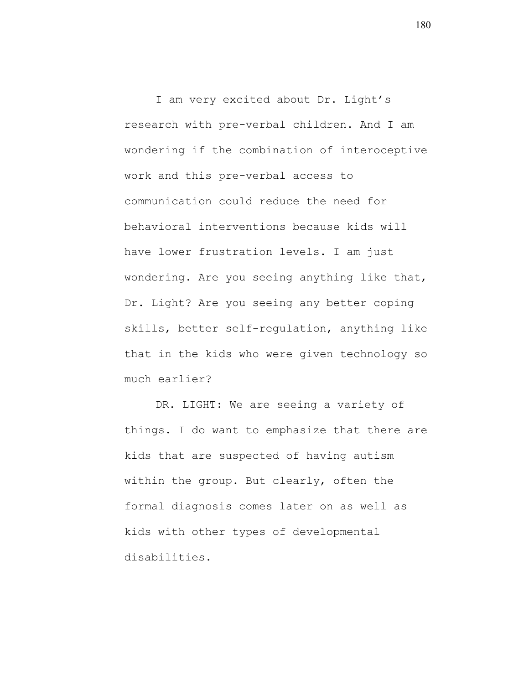I am very excited about Dr. Light's research with pre-verbal children. And I am wondering if the combination of interoceptive work and this pre-verbal access to communication could reduce the need for behavioral interventions because kids will have lower frustration levels. I am just wondering. Are you seeing anything like that, Dr. Light? Are you seeing any better coping skills, better self-regulation, anything like that in the kids who were given technology so much earlier?

DR. LIGHT: We are seeing a variety of things. I do want to emphasize that there are kids that are suspected of having autism within the group. But clearly, often the formal diagnosis comes later on as well as kids with other types of developmental disabilities.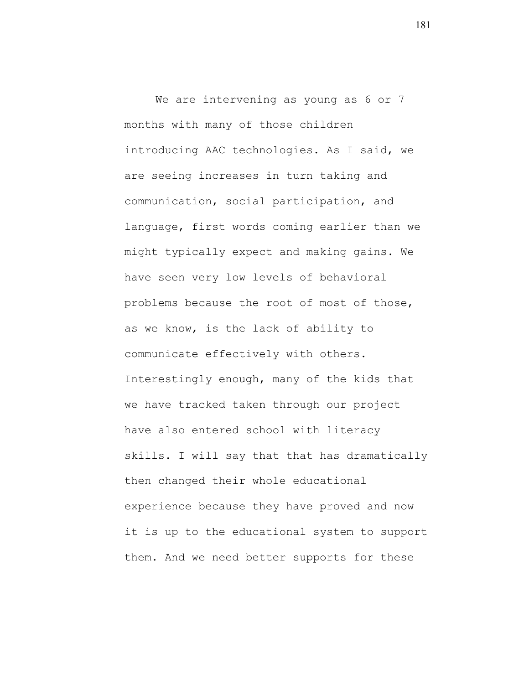We are intervening as young as 6 or 7 months with many of those children introducing AAC technologies. As I said, we are seeing increases in turn taking and communication, social participation, and language, first words coming earlier than we might typically expect and making gains. We have seen very low levels of behavioral problems because the root of most of those, as we know, is the lack of ability to communicate effectively with others. Interestingly enough, many of the kids that we have tracked taken through our project have also entered school with literacy skills. I will say that that has dramatically then changed their whole educational experience because they have proved and now it is up to the educational system to support them. And we need better supports for these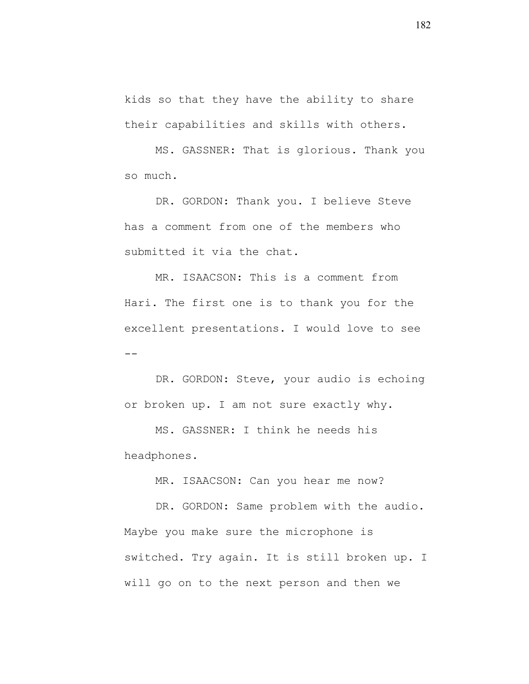kids so that they have the ability to share their capabilities and skills with others.

MS. GASSNER: That is glorious. Thank you so much.

DR. GORDON: Thank you. I believe Steve has a comment from one of the members who submitted it via the chat.

MR. ISAACSON: This is a comment from Hari. The first one is to thank you for the excellent presentations. I would love to see  $-$ 

DR. GORDON: Steve, your audio is echoing or broken up. I am not sure exactly why.

MS. GASSNER: I think he needs his headphones.

MR. ISAACSON: Can you hear me now?

DR. GORDON: Same problem with the audio. Maybe you make sure the microphone is switched. Try again. It is still broken up. I will go on to the next person and then we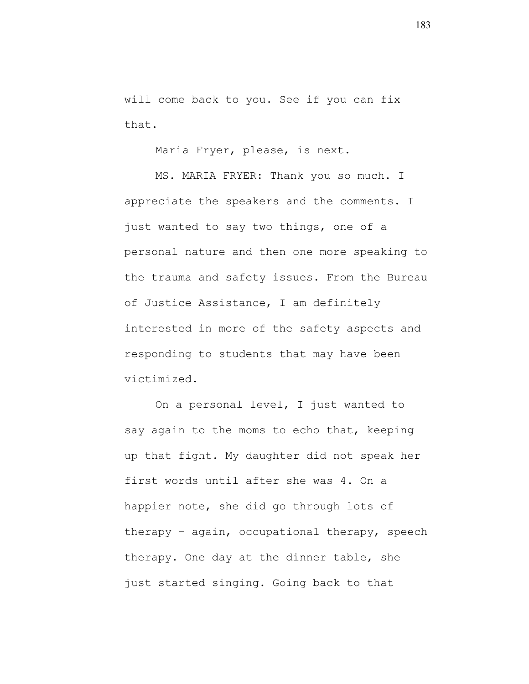will come back to you. See if you can fix that.

Maria Fryer, please, is next.

MS. MARIA FRYER: Thank you so much. I appreciate the speakers and the comments. I just wanted to say two things, one of a personal nature and then one more speaking to the trauma and safety issues. From the Bureau of Justice Assistance, I am definitely interested in more of the safety aspects and responding to students that may have been victimized.

On a personal level, I just wanted to say again to the moms to echo that, keeping up that fight. My daughter did not speak her first words until after she was 4. On a happier note, she did go through lots of therapy – again, occupational therapy, speech therapy. One day at the dinner table, she just started singing. Going back to that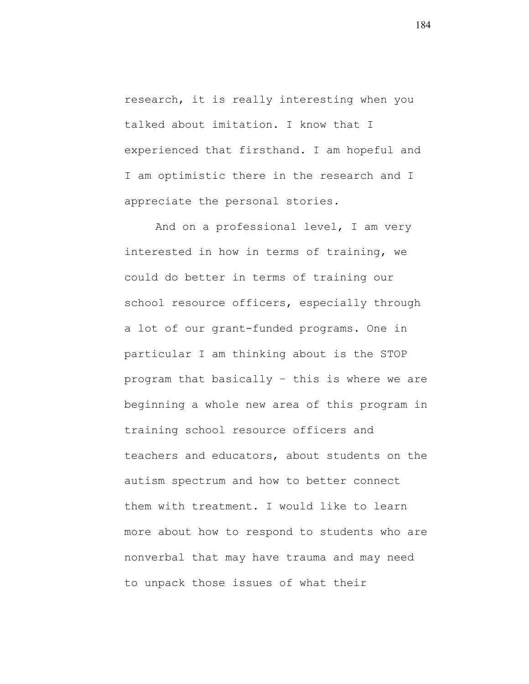research, it is really interesting when you talked about imitation. I know that I experienced that firsthand. I am hopeful and I am optimistic there in the research and I appreciate the personal stories.

And on a professional level, I am very interested in how in terms of training, we could do better in terms of training our school resource officers, especially through a lot of our grant-funded programs. One in particular I am thinking about is the STOP program that basically – this is where we are beginning a whole new area of this program in training school resource officers and teachers and educators, about students on the autism spectrum and how to better connect them with treatment. I would like to learn more about how to respond to students who are nonverbal that may have trauma and may need to unpack those issues of what their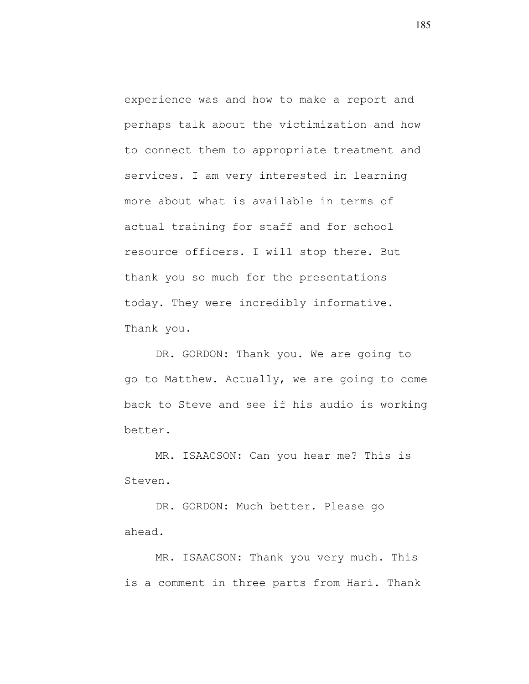experience was and how to make a report and perhaps talk about the victimization and how to connect them to appropriate treatment and services. I am very interested in learning more about what is available in terms of actual training for staff and for school resource officers. I will stop there. But thank you so much for the presentations today. They were incredibly informative. Thank you.

DR. GORDON: Thank you. We are going to go to Matthew. Actually, we are going to come back to Steve and see if his audio is working better.

MR. ISAACSON: Can you hear me? This is Steven.

DR. GORDON: Much better. Please go ahead.

MR. ISAACSON: Thank you very much. This is a comment in three parts from Hari. Thank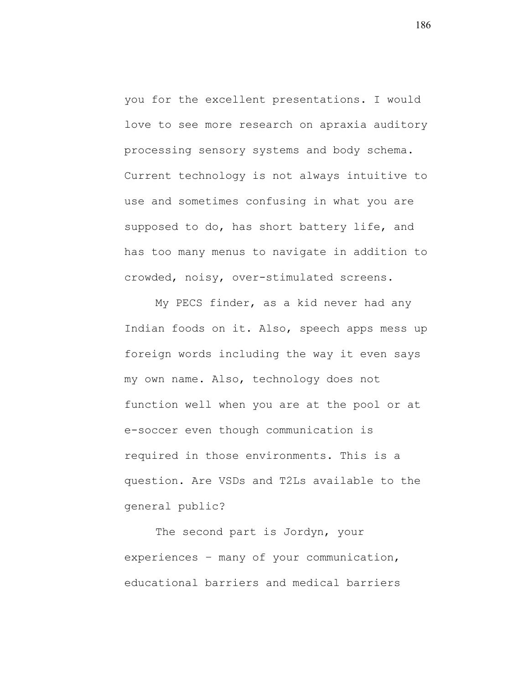you for the excellent presentations. I would love to see more research on apraxia auditory processing sensory systems and body schema. Current technology is not always intuitive to use and sometimes confusing in what you are supposed to do, has short battery life, and has too many menus to navigate in addition to crowded, noisy, over-stimulated screens.

My PECS finder, as a kid never had any Indian foods on it. Also, speech apps mess up foreign words including the way it even says my own name. Also, technology does not function well when you are at the pool or at e-soccer even though communication is required in those environments. This is a question. Are VSDs and T2Ls available to the general public?

The second part is Jordyn, your experiences – many of your communication, educational barriers and medical barriers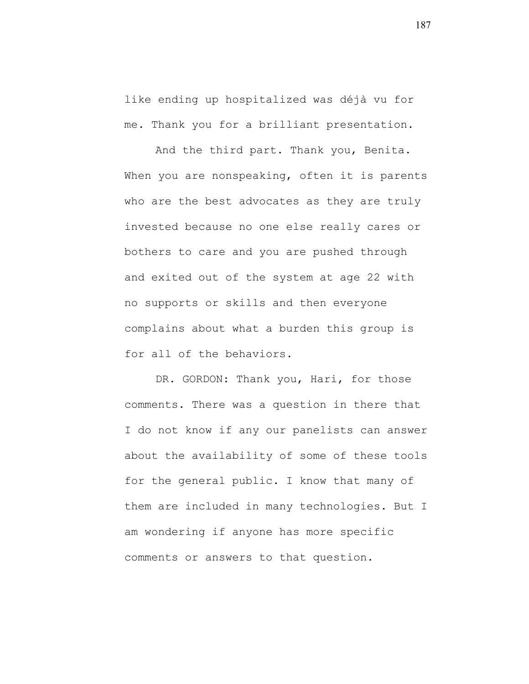like ending up hospitalized was déjà vu for me. Thank you for a brilliant presentation.

And the third part. Thank you, Benita. When you are nonspeaking, often it is parents who are the best advocates as they are truly invested because no one else really cares or bothers to care and you are pushed through and exited out of the system at age 22 with no supports or skills and then everyone complains about what a burden this group is for all of the behaviors.

DR. GORDON: Thank you, Hari, for those comments. There was a question in there that I do not know if any our panelists can answer about the availability of some of these tools for the general public. I know that many of them are included in many technologies. But I am wondering if anyone has more specific comments or answers to that question.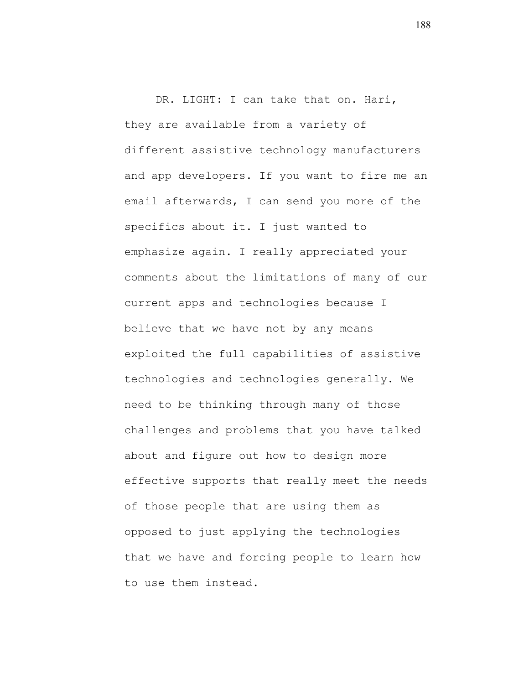DR. LIGHT: I can take that on. Hari, they are available from a variety of different assistive technology manufacturers and app developers. If you want to fire me an email afterwards, I can send you more of the specifics about it. I just wanted to emphasize again. I really appreciated your comments about the limitations of many of our current apps and technologies because I believe that we have not by any means exploited the full capabilities of assistive technologies and technologies generally. We need to be thinking through many of those challenges and problems that you have talked about and figure out how to design more effective supports that really meet the needs of those people that are using them as opposed to just applying the technologies that we have and forcing people to learn how to use them instead.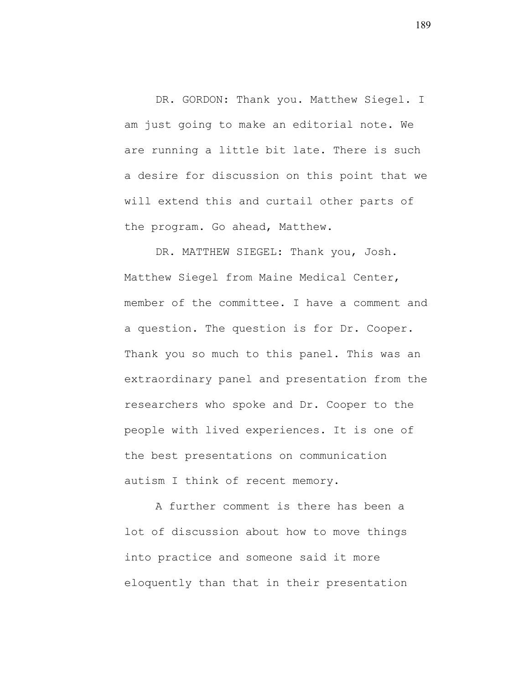DR. GORDON: Thank you. Matthew Siegel. I am just going to make an editorial note. We are running a little bit late. There is such a desire for discussion on this point that we will extend this and curtail other parts of the program. Go ahead, Matthew.

DR. MATTHEW SIEGEL: Thank you, Josh. Matthew Siegel from Maine Medical Center, member of the committee. I have a comment and a question. The question is for Dr. Cooper. Thank you so much to this panel. This was an extraordinary panel and presentation from the researchers who spoke and Dr. Cooper to the people with lived experiences. It is one of the best presentations on communication autism I think of recent memory.

A further comment is there has been a lot of discussion about how to move things into practice and someone said it more eloquently than that in their presentation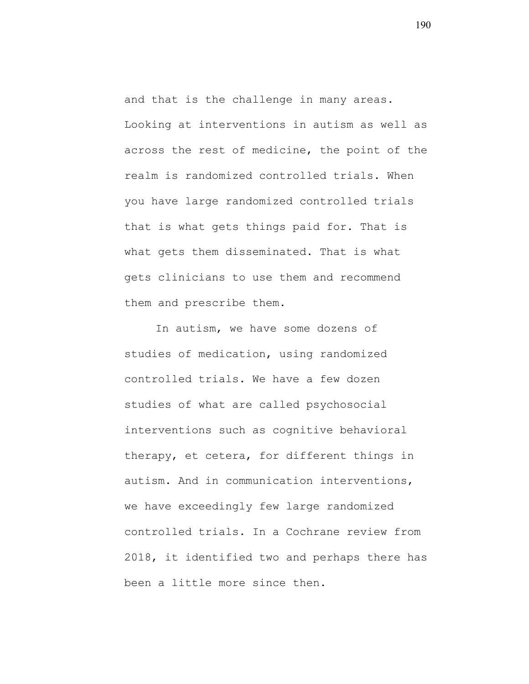and that is the challenge in many areas. Looking at interventions in autism as well as across the rest of medicine, the point of the realm is randomized controlled trials. When you have large randomized controlled trials that is what gets things paid for. That is what gets them disseminated. That is what gets clinicians to use them and recommend them and prescribe them.

In autism, we have some dozens of studies of medication, using randomized controlled trials. We have a few dozen studies of what are called psychosocial interventions such as cognitive behavioral therapy, et cetera, for different things in autism. And in communication interventions, we have exceedingly few large randomized controlled trials. In a Cochrane review from 2018, it identified two and perhaps there has been a little more since then.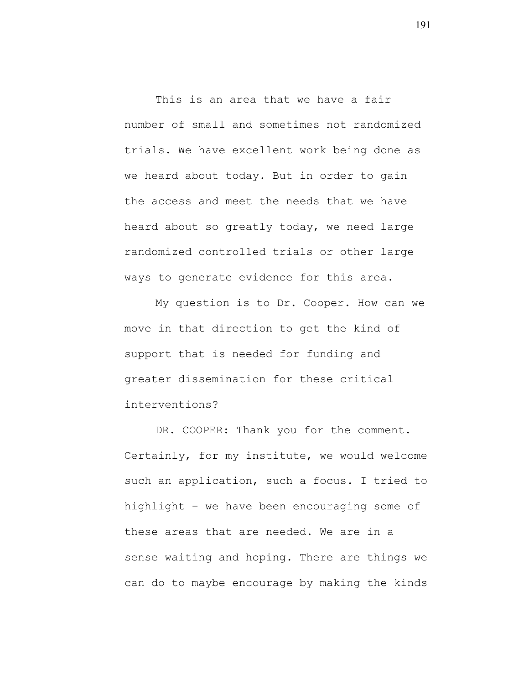This is an area that we have a fair number of small and sometimes not randomized trials. We have excellent work being done as we heard about today. But in order to gain the access and meet the needs that we have heard about so greatly today, we need large randomized controlled trials or other large ways to generate evidence for this area.

My question is to Dr. Cooper. How can we move in that direction to get the kind of support that is needed for funding and greater dissemination for these critical interventions?

DR. COOPER: Thank you for the comment. Certainly, for my institute, we would welcome such an application, such a focus. I tried to highlight – we have been encouraging some of these areas that are needed. We are in a sense waiting and hoping. There are things we can do to maybe encourage by making the kinds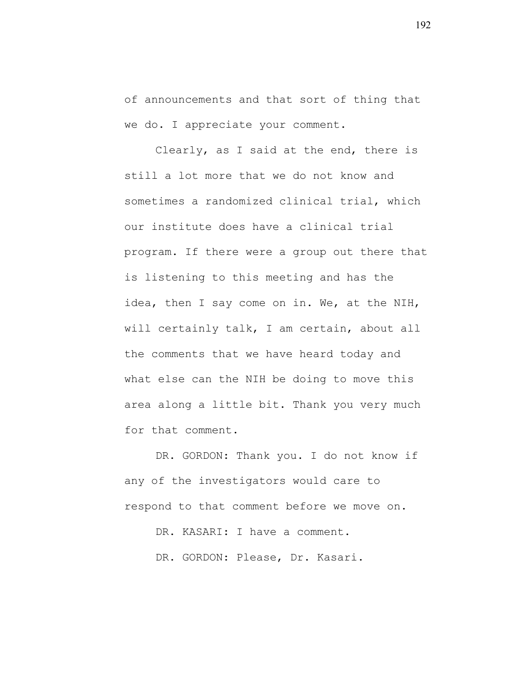of announcements and that sort of thing that we do. I appreciate your comment.

Clearly, as I said at the end, there is still a lot more that we do not know and sometimes a randomized clinical trial, which our institute does have a clinical trial program. If there were a group out there that is listening to this meeting and has the idea, then I say come on in. We, at the NIH, will certainly talk, I am certain, about all the comments that we have heard today and what else can the NIH be doing to move this area along a little bit. Thank you very much for that comment.

DR. GORDON: Thank you. I do not know if any of the investigators would care to respond to that comment before we move on.

DR. KASARI: I have a comment.

DR. GORDON: Please, Dr. Kasari.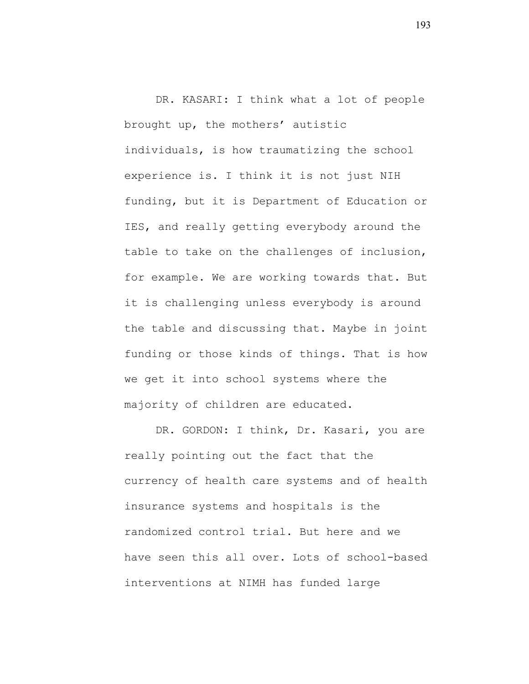DR. KASARI: I think what a lot of people brought up, the mothers' autistic individuals, is how traumatizing the school experience is. I think it is not just NIH funding, but it is Department of Education or IES, and really getting everybody around the table to take on the challenges of inclusion, for example. We are working towards that. But it is challenging unless everybody is around the table and discussing that. Maybe in joint funding or those kinds of things. That is how we get it into school systems where the majority of children are educated.

DR. GORDON: I think, Dr. Kasari, you are really pointing out the fact that the currency of health care systems and of health insurance systems and hospitals is the randomized control trial. But here and we have seen this all over. Lots of school-based interventions at NIMH has funded large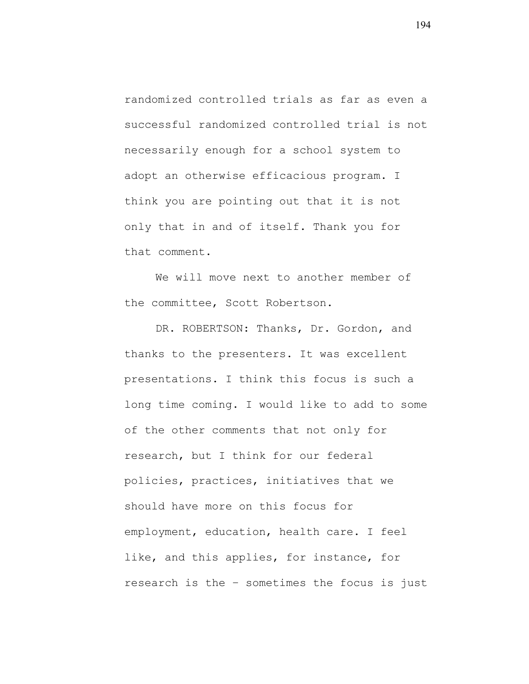randomized controlled trials as far as even a successful randomized controlled trial is not necessarily enough for a school system to adopt an otherwise efficacious program. I think you are pointing out that it is not only that in and of itself. Thank you for that comment.

We will move next to another member of the committee, Scott Robertson.

DR. ROBERTSON: Thanks, Dr. Gordon, and thanks to the presenters. It was excellent presentations. I think this focus is such a long time coming. I would like to add to some of the other comments that not only for research, but I think for our federal policies, practices, initiatives that we should have more on this focus for employment, education, health care. I feel like, and this applies, for instance, for research is the – sometimes the focus is just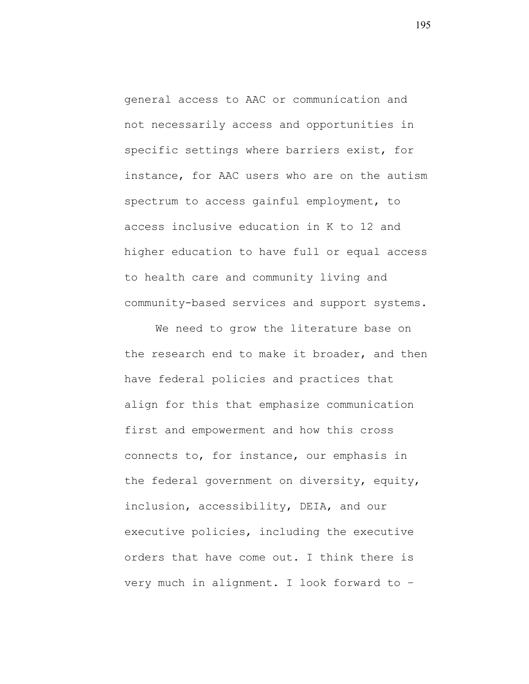general access to AAC or communication and not necessarily access and opportunities in specific settings where barriers exist, for instance, for AAC users who are on the autism spectrum to access gainful employment, to access inclusive education in K to 12 and higher education to have full or equal access to health care and community living and community-based services and support systems.

We need to grow the literature base on the research end to make it broader, and then have federal policies and practices that align for this that emphasize communication first and empowerment and how this cross connects to, for instance, our emphasis in the federal government on diversity, equity, inclusion, accessibility, DEIA, and our executive policies, including the executive orders that have come out. I think there is very much in alignment. I look forward to –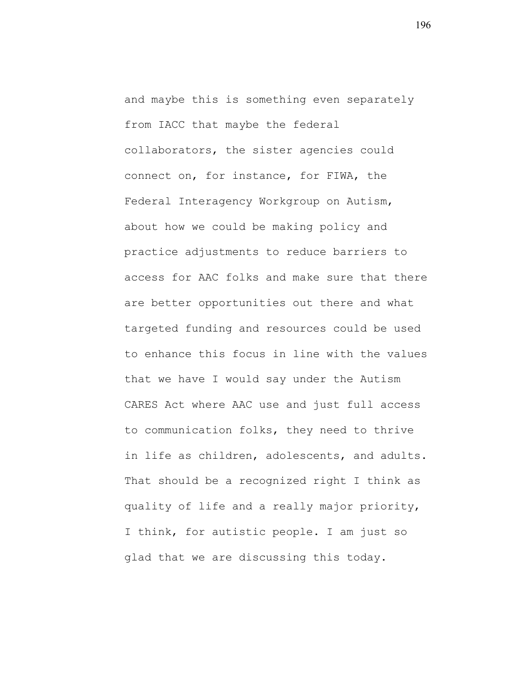and maybe this is something even separately from IACC that maybe the federal collaborators, the sister agencies could connect on, for instance, for FIWA, the Federal Interagency Workgroup on Autism, about how we could be making policy and practice adjustments to reduce barriers to access for AAC folks and make sure that there are better opportunities out there and what targeted funding and resources could be used to enhance this focus in line with the values that we have I would say under the Autism CARES Act where AAC use and just full access to communication folks, they need to thrive in life as children, adolescents, and adults. That should be a recognized right I think as quality of life and a really major priority, I think, for autistic people. I am just so glad that we are discussing this today.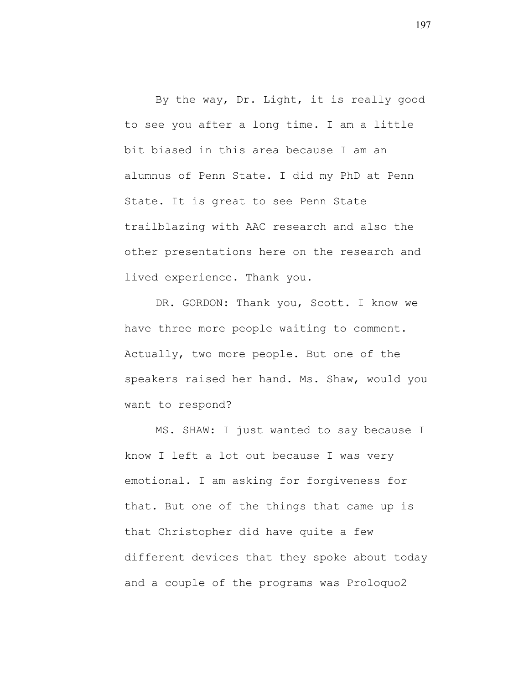By the way, Dr. Light, it is really good to see you after a long time. I am a little bit biased in this area because I am an alumnus of Penn State. I did my PhD at Penn State. It is great to see Penn State trailblazing with AAC research and also the other presentations here on the research and lived experience. Thank you.

DR. GORDON: Thank you, Scott. I know we have three more people waiting to comment. Actually, two more people. But one of the speakers raised her hand. Ms. Shaw, would you want to respond?

MS. SHAW: I just wanted to say because I know I left a lot out because I was very emotional. I am asking for forgiveness for that. But one of the things that came up is that Christopher did have quite a few different devices that they spoke about today and a couple of the programs was Proloquo2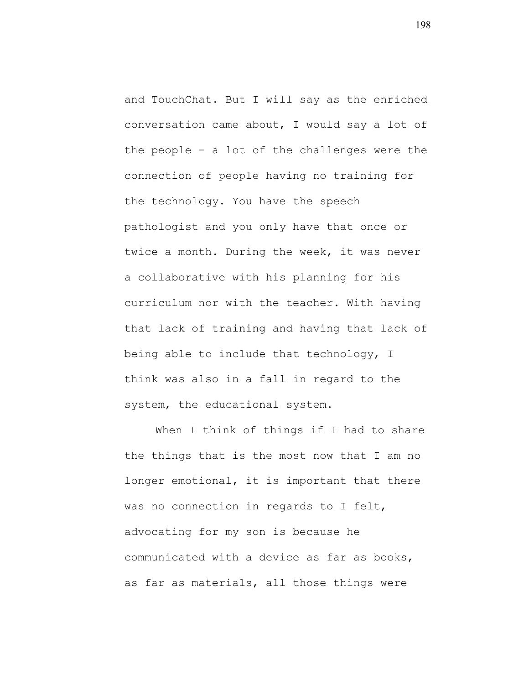and TouchChat. But I will say as the enriched conversation came about, I would say a lot of the people – a lot of the challenges were the connection of people having no training for the technology. You have the speech pathologist and you only have that once or twice a month. During the week, it was never a collaborative with his planning for his curriculum nor with the teacher. With having that lack of training and having that lack of being able to include that technology, I think was also in a fall in regard to the system, the educational system.

When I think of things if I had to share the things that is the most now that I am no longer emotional, it is important that there was no connection in regards to I felt, advocating for my son is because he communicated with a device as far as books, as far as materials, all those things were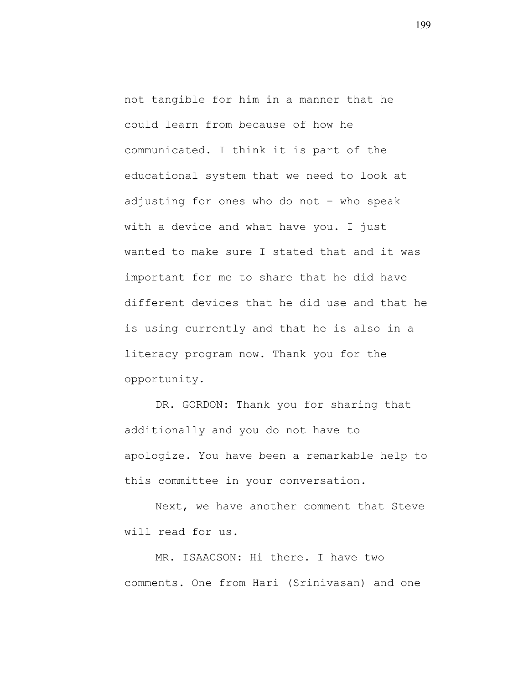not tangible for him in a manner that he could learn from because of how he communicated. I think it is part of the educational system that we need to look at adjusting for ones who do not – who speak with a device and what have you. I just wanted to make sure I stated that and it was important for me to share that he did have different devices that he did use and that he is using currently and that he is also in a literacy program now. Thank you for the opportunity.

DR. GORDON: Thank you for sharing that additionally and you do not have to apologize. You have been a remarkable help to this committee in your conversation.

Next, we have another comment that Steve will read for us.

MR. ISAACSON: Hi there. I have two comments. One from Hari (Srinivasan) and one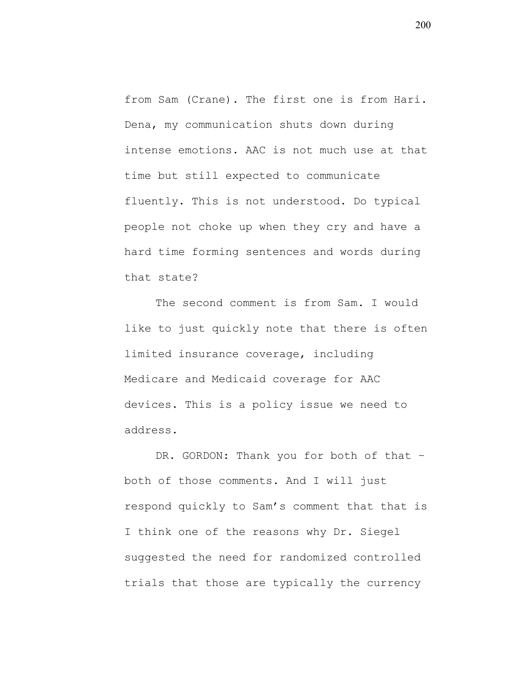from Sam (Crane). The first one is from Hari. Dena, my communication shuts down during intense emotions. AAC is not much use at that time but still expected to communicate fluently. This is not understood. Do typical people not choke up when they cry and have a hard time forming sentences and words during that state?

The second comment is from Sam. I would like to just quickly note that there is often limited insurance coverage, including Medicare and Medicaid coverage for AAC devices. This is a policy issue we need to address.

DR. GORDON: Thank you for both of that both of those comments. And I will just respond quickly to Sam's comment that that is I think one of the reasons why Dr. Siegel suggested the need for randomized controlled trials that those are typically the currency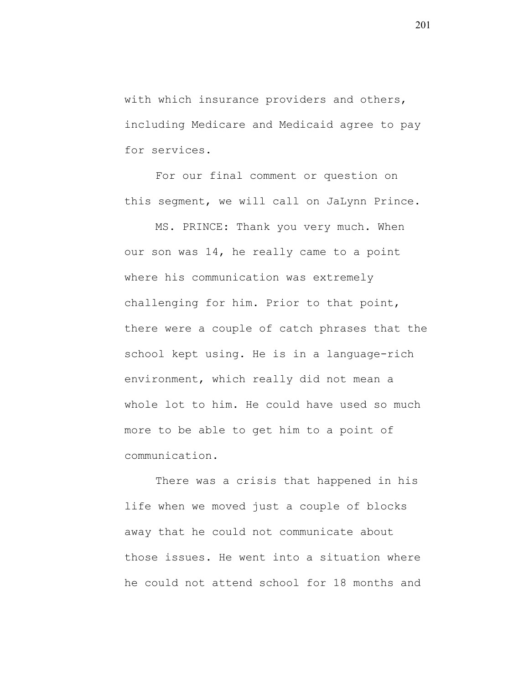with which insurance providers and others, including Medicare and Medicaid agree to pay for services.

For our final comment or question on this segment, we will call on JaLynn Prince.

MS. PRINCE: Thank you very much. When our son was 14, he really came to a point where his communication was extremely challenging for him. Prior to that point, there were a couple of catch phrases that the school kept using. He is in a language-rich environment, which really did not mean a whole lot to him. He could have used so much more to be able to get him to a point of communication.

There was a crisis that happened in his life when we moved just a couple of blocks away that he could not communicate about those issues. He went into a situation where he could not attend school for 18 months and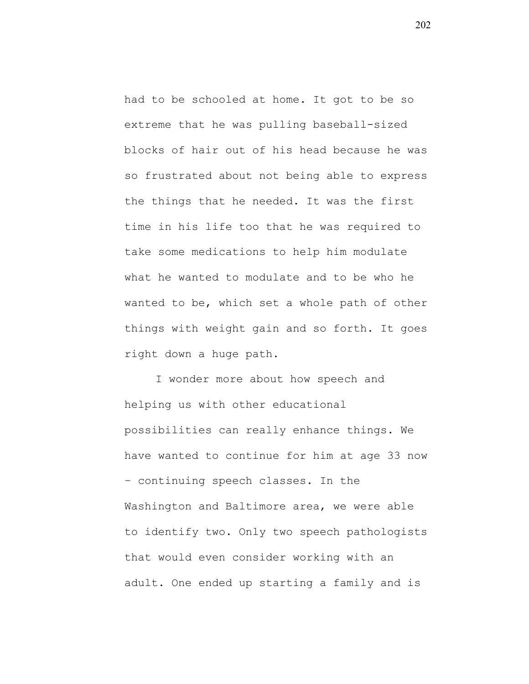had to be schooled at home. It got to be so extreme that he was pulling baseball-sized blocks of hair out of his head because he was so frustrated about not being able to express the things that he needed. It was the first time in his life too that he was required to take some medications to help him modulate what he wanted to modulate and to be who he wanted to be, which set a whole path of other things with weight gain and so forth. It goes right down a huge path.

I wonder more about how speech and helping us with other educational possibilities can really enhance things. We have wanted to continue for him at age 33 now – continuing speech classes. In the Washington and Baltimore area, we were able to identify two. Only two speech pathologists that would even consider working with an adult. One ended up starting a family and is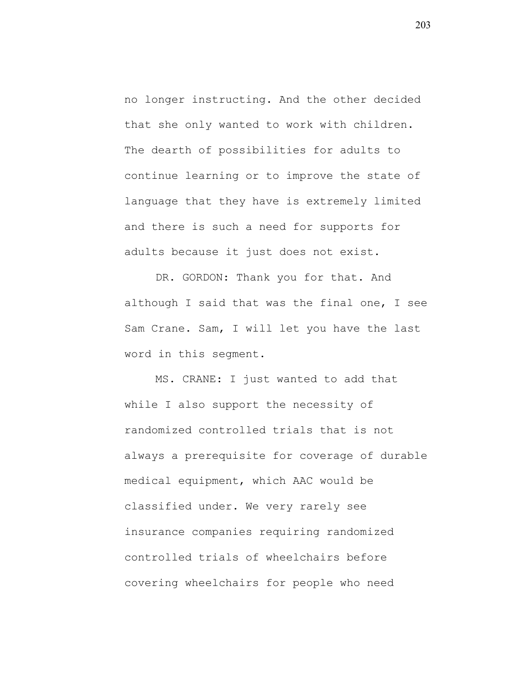no longer instructing. And the other decided that she only wanted to work with children. The dearth of possibilities for adults to continue learning or to improve the state of language that they have is extremely limited and there is such a need for supports for adults because it just does not exist.

DR. GORDON: Thank you for that. And although I said that was the final one, I see Sam Crane. Sam, I will let you have the last word in this segment.

MS. CRANE: I just wanted to add that while I also support the necessity of randomized controlled trials that is not always a prerequisite for coverage of durable medical equipment, which AAC would be classified under. We very rarely see insurance companies requiring randomized controlled trials of wheelchairs before covering wheelchairs for people who need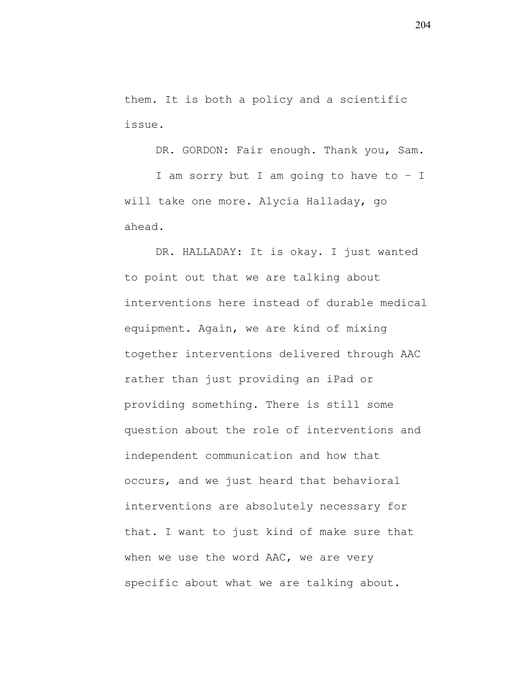them. It is both a policy and a scientific issue.

DR. GORDON: Fair enough. Thank you, Sam.

I am sorry but I am going to have to – I will take one more. Alycia Halladay, go ahead.

DR. HALLADAY: It is okay. I just wanted to point out that we are talking about interventions here instead of durable medical equipment. Again, we are kind of mixing together interventions delivered through AAC rather than just providing an iPad or providing something. There is still some question about the role of interventions and independent communication and how that occurs, and we just heard that behavioral interventions are absolutely necessary for that. I want to just kind of make sure that when we use the word AAC, we are very specific about what we are talking about.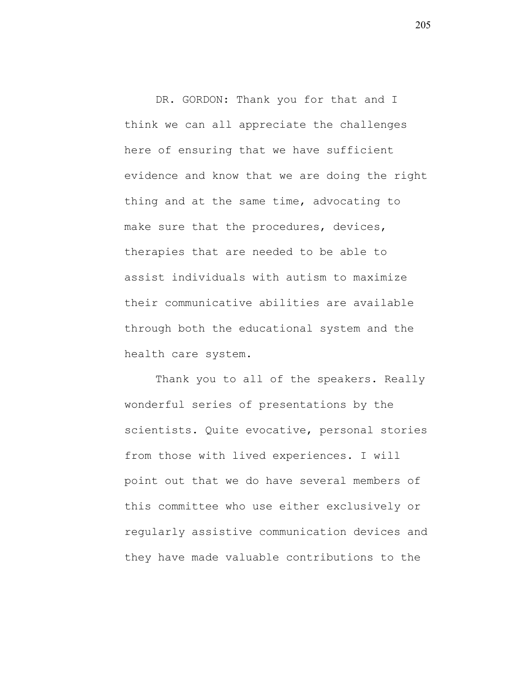DR. GORDON: Thank you for that and I think we can all appreciate the challenges here of ensuring that we have sufficient evidence and know that we are doing the right thing and at the same time, advocating to make sure that the procedures, devices, therapies that are needed to be able to assist individuals with autism to maximize their communicative abilities are available through both the educational system and the health care system.

Thank you to all of the speakers. Really wonderful series of presentations by the scientists. Quite evocative, personal stories from those with lived experiences. I will point out that we do have several members of this committee who use either exclusively or regularly assistive communication devices and they have made valuable contributions to the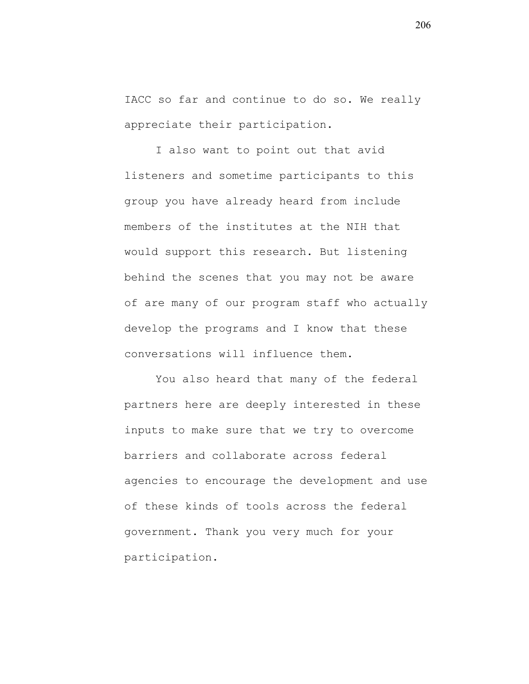IACC so far and continue to do so. We really appreciate their participation.

I also want to point out that avid listeners and sometime participants to this group you have already heard from include members of the institutes at the NIH that would support this research. But listening behind the scenes that you may not be aware of are many of our program staff who actually develop the programs and I know that these conversations will influence them.

You also heard that many of the federal partners here are deeply interested in these inputs to make sure that we try to overcome barriers and collaborate across federal agencies to encourage the development and use of these kinds of tools across the federal government. Thank you very much for your participation.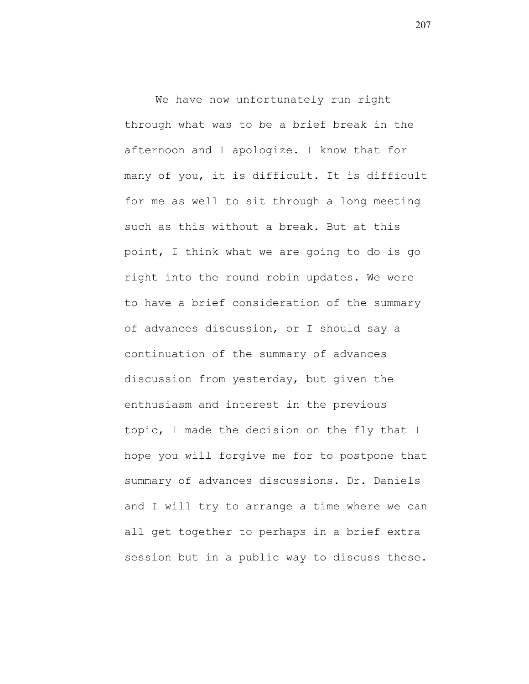We have now unfortunately run right through what was to be a brief break in the afternoon and I apologize. I know that for many of you, it is difficult. It is difficult for me as well to sit through a long meeting such as this without a break. But at this point, I think what we are going to do is go right into the round robin updates. We were to have a brief consideration of the summary of advances discussion, or I should say a continuation of the summary of advances discussion from yesterday, but given the enthusiasm and interest in the previous topic, I made the decision on the fly that I hope you will forgive me for to postpone that summary of advances discussions. Dr. Daniels and I will try to arrange a time where we can all get together to perhaps in a brief extra session but in a public way to discuss these.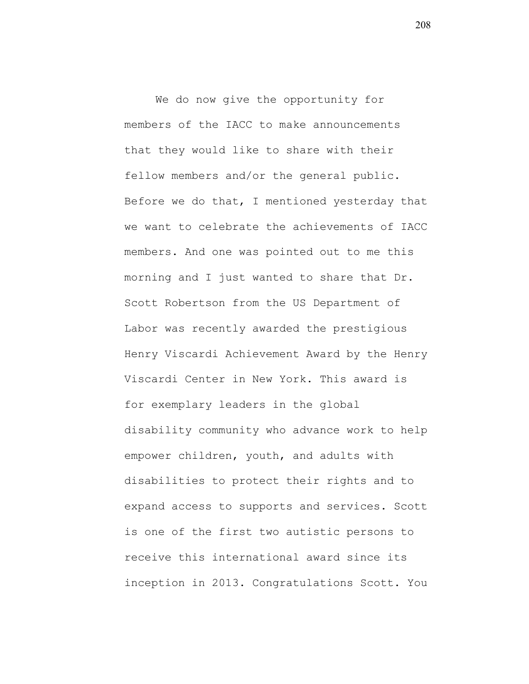We do now give the opportunity for members of the IACC to make announcements that they would like to share with their fellow members and/or the general public. Before we do that, I mentioned yesterday that we want to celebrate the achievements of IACC members. And one was pointed out to me this morning and I just wanted to share that Dr. Scott Robertson from the US Department of Labor was recently awarded the prestigious Henry Viscardi Achievement Award by the Henry Viscardi Center in New York. This award is for exemplary leaders in the global disability community who advance work to help empower children, youth, and adults with disabilities to protect their rights and to expand access to supports and services. Scott is one of the first two autistic persons to receive this international award since its inception in 2013. Congratulations Scott. You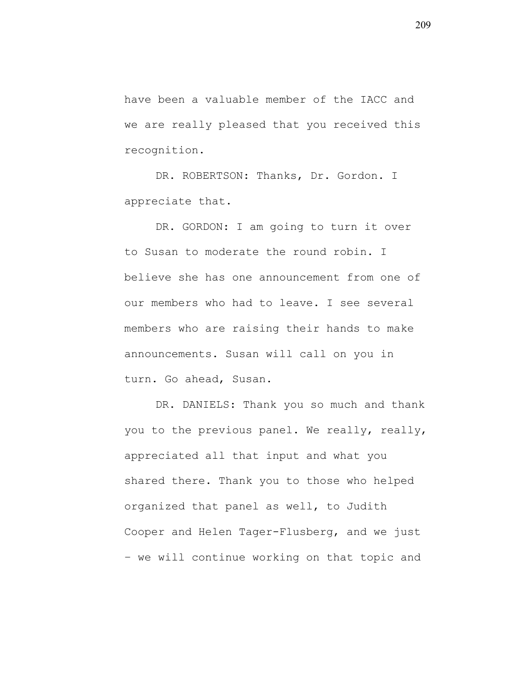have been a valuable member of the IACC and we are really pleased that you received this recognition.

DR. ROBERTSON: Thanks, Dr. Gordon. I appreciate that.

DR. GORDON: I am going to turn it over to Susan to moderate the round robin. I believe she has one announcement from one of our members who had to leave. I see several members who are raising their hands to make announcements. Susan will call on you in turn. Go ahead, Susan.

DR. DANIELS: Thank you so much and thank you to the previous panel. We really, really, appreciated all that input and what you shared there. Thank you to those who helped organized that panel as well, to Judith Cooper and Helen Tager-Flusberg, and we just – we will continue working on that topic and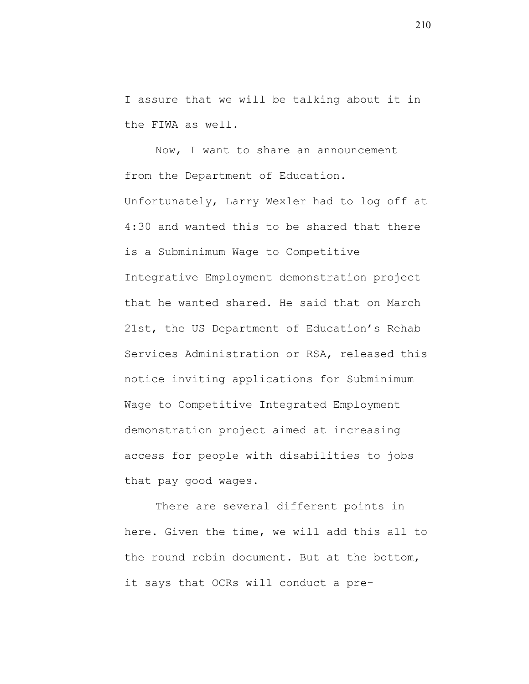I assure that we will be talking about it in the FIWA as well.

Now, I want to share an announcement from the Department of Education. Unfortunately, Larry Wexler had to log off at 4:30 and wanted this to be shared that there is a Subminimum Wage to Competitive Integrative Employment demonstration project that he wanted shared. He said that on March 21st, the US Department of Education's Rehab Services Administration or RSA, released this notice inviting applications for Subminimum Wage to Competitive Integrated Employment demonstration project aimed at increasing access for people with disabilities to jobs that pay good wages.

There are several different points in here. Given the time, we will add this all to the round robin document. But at the bottom, it says that OCRs will conduct a pre-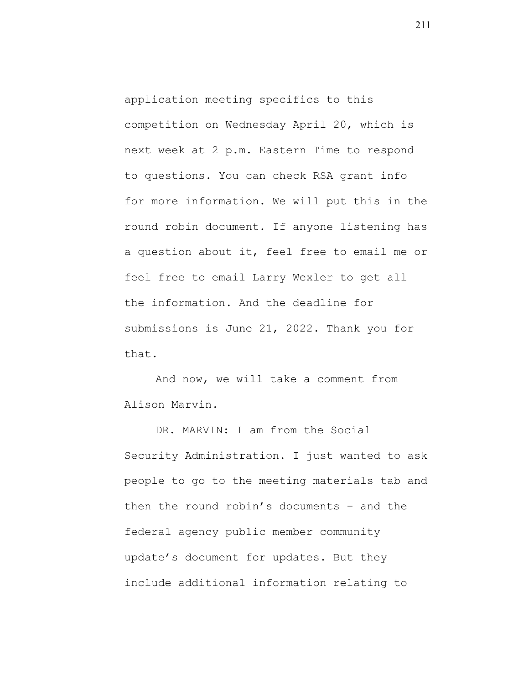application meeting specifics to this competition on Wednesday April 20, which is next week at 2 p.m. Eastern Time to respond to questions. You can check RSA grant info for more information. We will put this in the round robin document. If anyone listening has a question about it, feel free to email me or feel free to email Larry Wexler to get all the information. And the deadline for submissions is June 21, 2022. Thank you for that.

And now, we will take a comment from Alison Marvin.

DR. MARVIN: I am from the Social Security Administration. I just wanted to ask people to go to the meeting materials tab and then the round robin's documents – and the federal agency public member community update's document for updates. But they include additional information relating to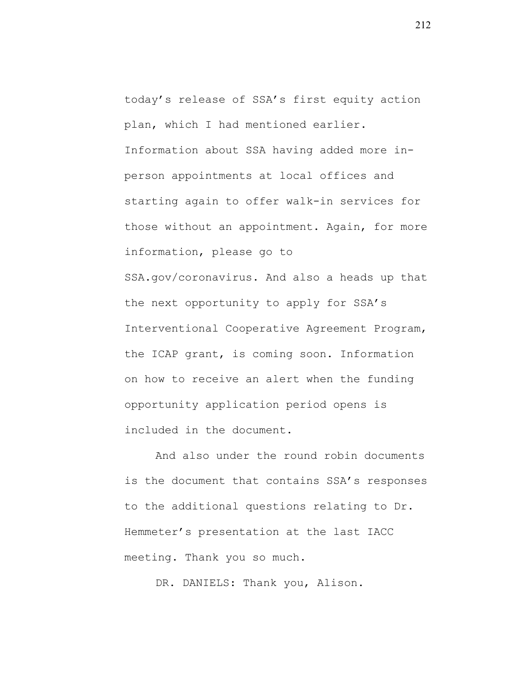today's release of SSA's first equity action plan, which I had mentioned earlier. Information about SSA having added more inperson appointments at local offices and starting again to offer walk-in services for those without an appointment. Again, for more information, please go to SSA.gov/coronavirus. And also a heads up that the next opportunity to apply for SSA's Interventional Cooperative Agreement Program, the ICAP grant, is coming soon. Information on how to receive an alert when the funding opportunity application period opens is included in the document.

And also under the round robin documents is the document that contains SSA's responses to the additional questions relating to Dr. Hemmeter's presentation at the last IACC meeting. Thank you so much.

DR. DANIELS: Thank you, Alison.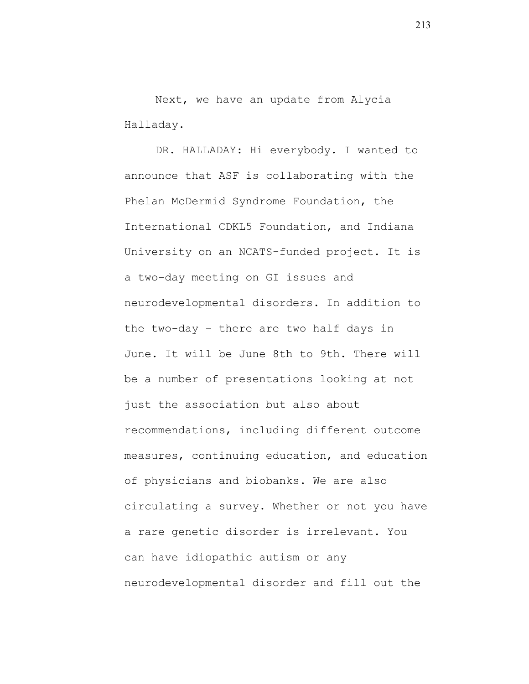Next, we have an update from Alycia Halladay.

DR. HALLADAY: Hi everybody. I wanted to announce that ASF is collaborating with the Phelan McDermid Syndrome Foundation, the International CDKL5 Foundation, and Indiana University on an NCATS-funded project. It is a two-day meeting on GI issues and neurodevelopmental disorders. In addition to the two-day – there are two half days in June. It will be June 8th to 9th. There will be a number of presentations looking at not just the association but also about recommendations, including different outcome measures, continuing education, and education of physicians and biobanks. We are also circulating a survey. Whether or not you have a rare genetic disorder is irrelevant. You can have idiopathic autism or any neurodevelopmental disorder and fill out the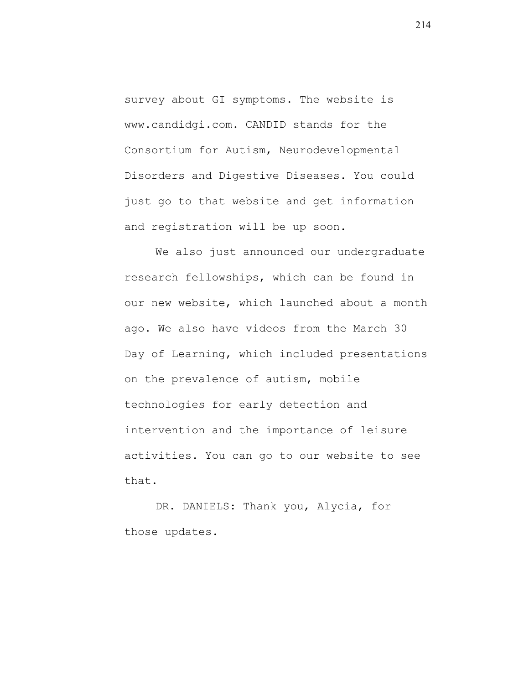survey about GI symptoms. The website is www.candidgi.com. CANDID stands for the Consortium for Autism, Neurodevelopmental Disorders and Digestive Diseases. You could just go to that website and get information and registration will be up soon.

We also just announced our undergraduate research fellowships, which can be found in our new website, which launched about a month ago. We also have videos from the March 30 Day of Learning, which included presentations on the prevalence of autism, mobile technologies for early detection and intervention and the importance of leisure activities. You can go to our website to see that.

DR. DANIELS: Thank you, Alycia, for those updates.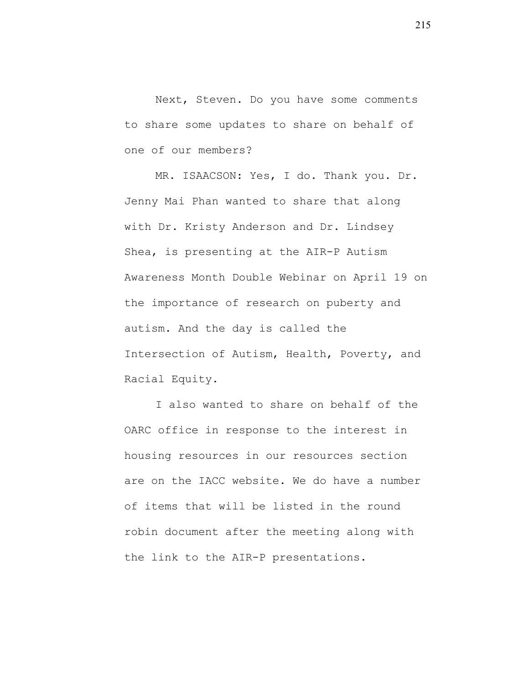Next, Steven. Do you have some comments to share some updates to share on behalf of one of our members?

MR. ISAACSON: Yes, I do. Thank you. Dr. Jenny Mai Phan wanted to share that along with Dr. Kristy Anderson and Dr. Lindsey Shea, is presenting at the AIR-P Autism Awareness Month Double Webinar on April 19 on the importance of research on puberty and autism. And the day is called the Intersection of Autism, Health, Poverty, and Racial Equity.

I also wanted to share on behalf of the OARC office in response to the interest in housing resources in our resources section are on the IACC website. We do have a number of items that will be listed in the round robin document after the meeting along with the link to the AIR-P presentations.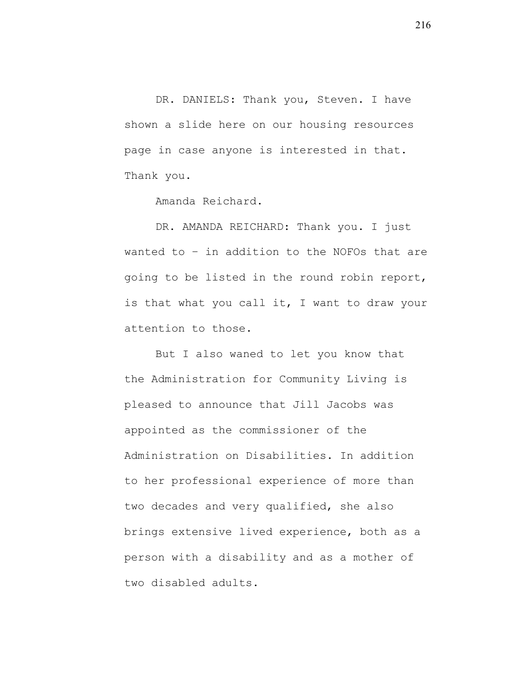DR. DANIELS: Thank you, Steven. I have shown a slide here on our housing resources page in case anyone is interested in that. Thank you.

Amanda Reichard.

DR. AMANDA REICHARD: Thank you. I just wanted to – in addition to the NOFOs that are going to be listed in the round robin report, is that what you call it, I want to draw your attention to those.

But I also waned to let you know that the Administration for Community Living is pleased to announce that Jill Jacobs was appointed as the commissioner of the Administration on Disabilities. In addition to her professional experience of more than two decades and very qualified, she also brings extensive lived experience, both as a person with a disability and as a mother of two disabled adults.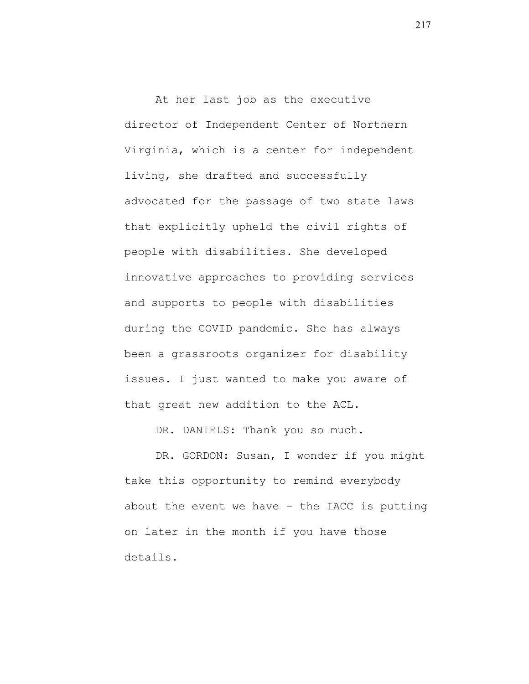At her last job as the executive director of Independent Center of Northern Virginia, which is a center for independent living, she drafted and successfully advocated for the passage of two state laws that explicitly upheld the civil rights of people with disabilities. She developed innovative approaches to providing services and supports to people with disabilities during the COVID pandemic. She has always been a grassroots organizer for disability issues. I just wanted to make you aware of that great new addition to the ACL.

DR. DANIELS: Thank you so much.

DR. GORDON: Susan, I wonder if you might take this opportunity to remind everybody about the event we have – the IACC is putting on later in the month if you have those details.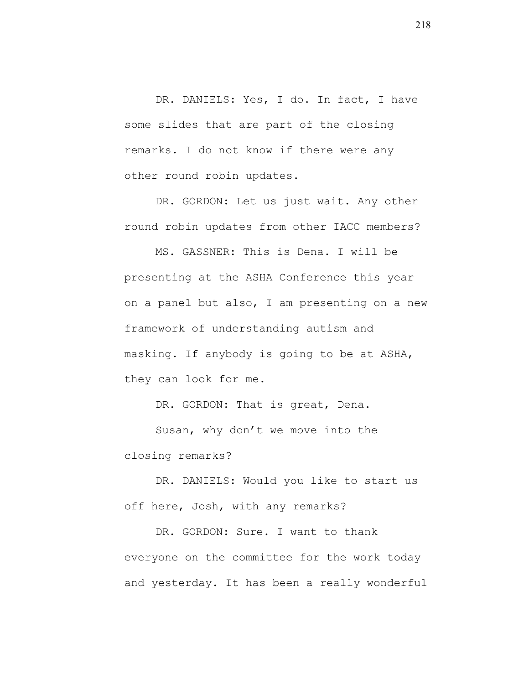DR. DANIELS: Yes, I do. In fact, I have some slides that are part of the closing remarks. I do not know if there were any other round robin updates.

DR. GORDON: Let us just wait. Any other round robin updates from other IACC members?

MS. GASSNER: This is Dena. I will be presenting at the ASHA Conference this year on a panel but also, I am presenting on a new framework of understanding autism and masking. If anybody is going to be at ASHA, they can look for me.

DR. GORDON: That is great, Dena.

Susan, why don't we move into the closing remarks?

DR. DANIELS: Would you like to start us off here, Josh, with any remarks?

DR. GORDON: Sure. I want to thank everyone on the committee for the work today and yesterday. It has been a really wonderful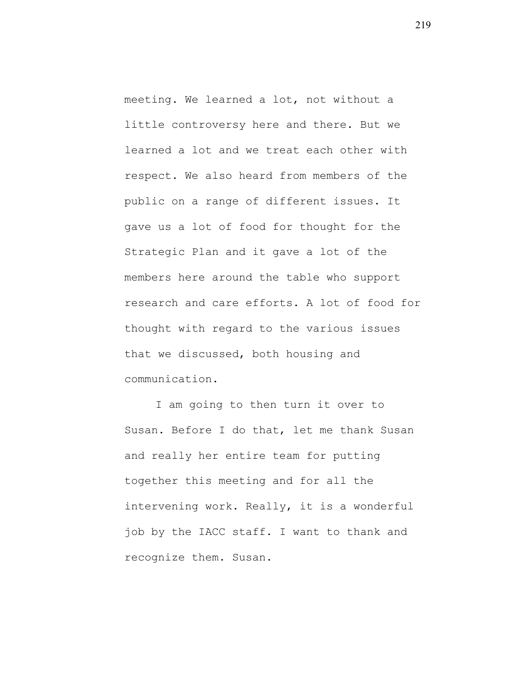meeting. We learned a lot, not without a little controversy here and there. But we learned a lot and we treat each other with respect. We also heard from members of the public on a range of different issues. It gave us a lot of food for thought for the Strategic Plan and it gave a lot of the members here around the table who support research and care efforts. A lot of food for thought with regard to the various issues that we discussed, both housing and communication.

I am going to then turn it over to Susan. Before I do that, let me thank Susan and really her entire team for putting together this meeting and for all the intervening work. Really, it is a wonderful job by the IACC staff. I want to thank and recognize them. Susan.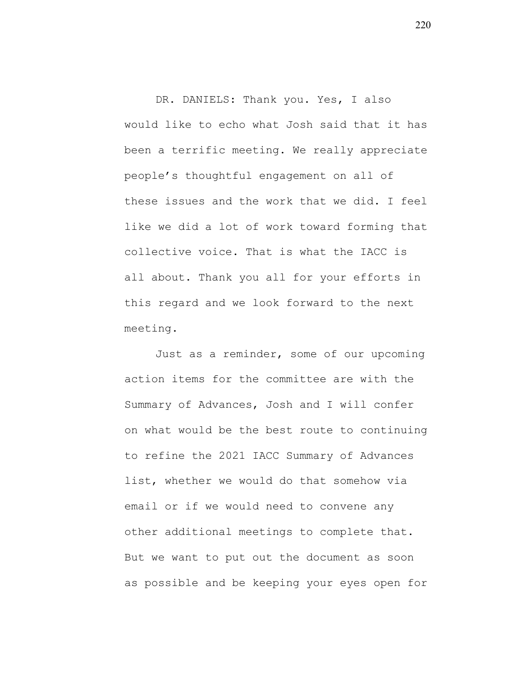DR. DANIELS: Thank you. Yes, I also would like to echo what Josh said that it has been a terrific meeting. We really appreciate people's thoughtful engagement on all of these issues and the work that we did. I feel like we did a lot of work toward forming that collective voice. That is what the IACC is all about. Thank you all for your efforts in this regard and we look forward to the next meeting.

Just as a reminder, some of our upcoming action items for the committee are with the Summary of Advances, Josh and I will confer on what would be the best route to continuing to refine the 2021 IACC Summary of Advances list, whether we would do that somehow via email or if we would need to convene any other additional meetings to complete that. But we want to put out the document as soon as possible and be keeping your eyes open for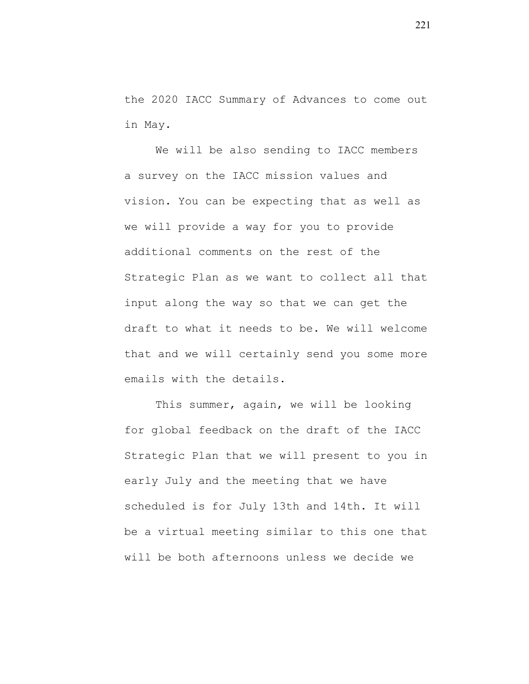the 2020 IACC Summary of Advances to come out in May.

We will be also sending to IACC members a survey on the IACC mission values and vision. You can be expecting that as well as we will provide a way for you to provide additional comments on the rest of the Strategic Plan as we want to collect all that input along the way so that we can get the draft to what it needs to be. We will welcome that and we will certainly send you some more emails with the details.

This summer, again, we will be looking for global feedback on the draft of the IACC Strategic Plan that we will present to you in early July and the meeting that we have scheduled is for July 13th and 14th. It will be a virtual meeting similar to this one that will be both afternoons unless we decide we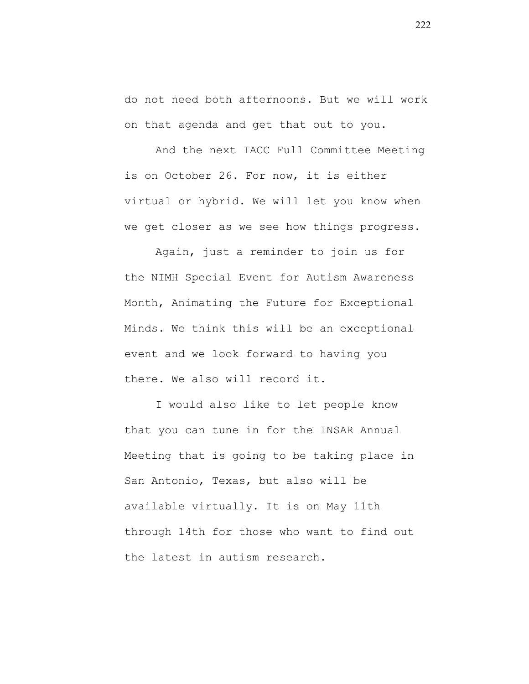do not need both afternoons. But we will work on that agenda and get that out to you.

And the next IACC Full Committee Meeting is on October 26. For now, it is either virtual or hybrid. We will let you know when we get closer as we see how things progress.

Again, just a reminder to join us for the NIMH Special Event for Autism Awareness Month, Animating the Future for Exceptional Minds. We think this will be an exceptional event and we look forward to having you there. We also will record it.

I would also like to let people know that you can tune in for the INSAR Annual Meeting that is going to be taking place in San Antonio, Texas, but also will be available virtually. It is on May 11th through 14th for those who want to find out the latest in autism research.